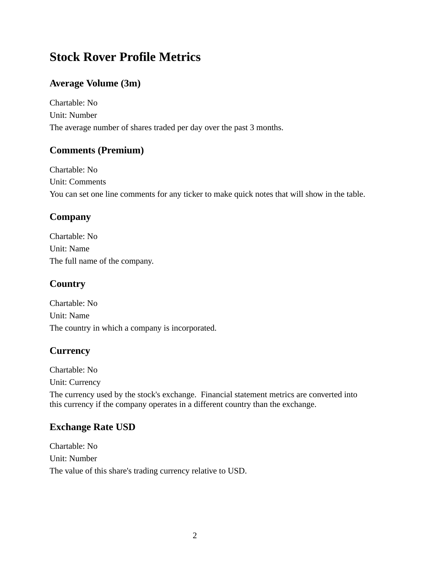# **Stock Rover Profile Metrics**

### **Average Volume (3m)**

Chartable: No Unit: Number The average number of shares traded per day over the past 3 months.

#### **Comments (Premium)**

Chartable: No Unit: Comments You can set one line comments for any ticker to make quick notes that will show in the table.

### **Company**

Chartable: No Unit: Name The full name of the company.

# **Country**

Chartable: No Unit: Name The country in which a company is incorporated.

### **Currency**

Chartable: No Unit: Currency

The currency used by the stock's exchange. Financial statement metrics are converted into this currency if the company operates in a different country than the exchange.

### **Exchange Rate USD**

Chartable: No Unit: Number The value of this share's trading currency relative to USD.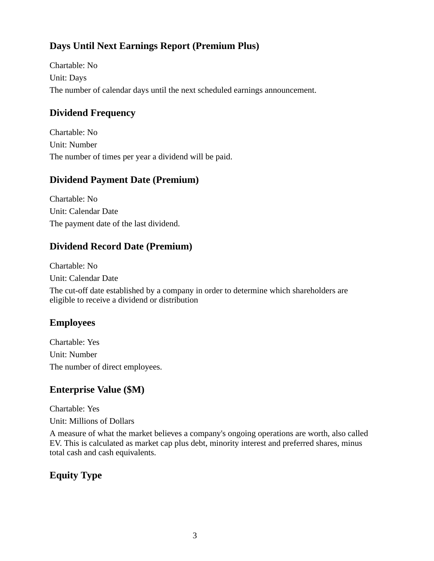# **Days Until Next Earnings Report (Premium Plus)**

Chartable: No Unit: Days The number of calendar days until the next scheduled earnings announcement.

### **Dividend Frequency**

Chartable: No Unit: Number The number of times per year a dividend will be paid.

#### **Dividend Payment Date (Premium)**

Chartable: No Unit: Calendar Date The payment date of the last dividend.

#### **Dividend Record Date (Premium)**

Chartable: No Unit: Calendar Date

The cut-off date established by a company in order to determine which shareholders are eligible to receive a dividend or distribution

### **Employees**

Chartable: Yes Unit: Number The number of direct employees.

#### **Enterprise Value (\$M)**

Chartable: Yes

Unit: Millions of Dollars

A measure of what the market believes a company's ongoing operations are worth, also called EV. This is calculated as market cap plus debt, minority interest and preferred shares, minus total cash and cash equivalents.

### **Equity Type**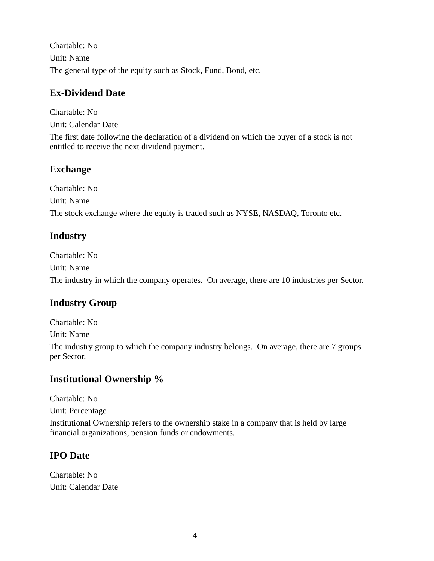Chartable: No Unit: Name The general type of the equity such as Stock, Fund, Bond, etc.

### **Ex-Dividend Date**

Chartable: No Unit: Calendar Date The first date following the declaration of a dividend on which the buyer of a stock is not entitled to receive the next dividend payment.

### **Exchange**

Chartable: No Unit: Name The stock exchange where the equity is traded such as NYSE, NASDAQ, Toronto etc.

# **Industry**

Chartable: No Unit: Name The industry in which the company operates. On average, there are 10 industries per Sector.

# **Industry Group**

Chartable: No

Unit: Name

The industry group to which the company industry belongs. On average, there are 7 groups per Sector.

# **Institutional Ownership %**

Chartable: No

Unit: Percentage

Institutional Ownership refers to the ownership stake in a company that is held by large financial organizations, pension funds or endowments.

# **IPO Date**

Chartable: No Unit: Calendar Date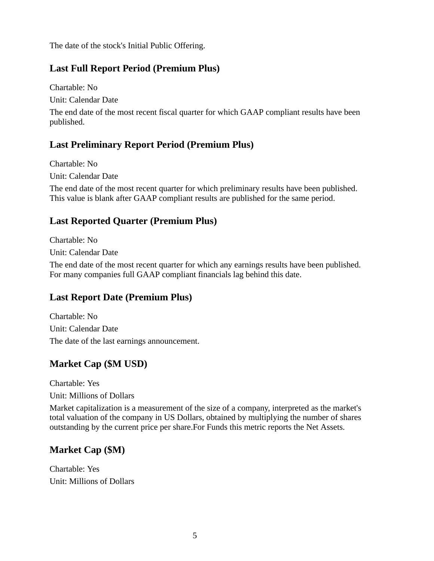The date of the stock's Initial Public Offering.

#### **Last Full Report Period (Premium Plus)**

Chartable: No Unit: Calendar Date

The end date of the most recent fiscal quarter for which GAAP compliant results have been published.

#### **Last Preliminary Report Period (Premium Plus)**

Chartable: No Unit: Calendar Date

The end date of the most recent quarter for which preliminary results have been published. This value is blank after GAAP compliant results are published for the same period.

#### **Last Reported Quarter (Premium Plus)**

Chartable: No

Unit: Calendar Date

The end date of the most recent quarter for which any earnings results have been published. For many companies full GAAP compliant financials lag behind this date.

#### **Last Report Date (Premium Plus)**

Chartable: No Unit: Calendar Date The date of the last earnings announcement.

# **Market Cap (\$M USD)**

Chartable: Yes

Unit: Millions of Dollars

Market capitalization is a measurement of the size of a company, interpreted as the market's total valuation of the company in US Dollars, obtained by multiplying the number of shares outstanding by the current price per share.For Funds this metric reports the Net Assets.

#### **Market Cap (\$M)**

Chartable: Yes Unit: Millions of Dollars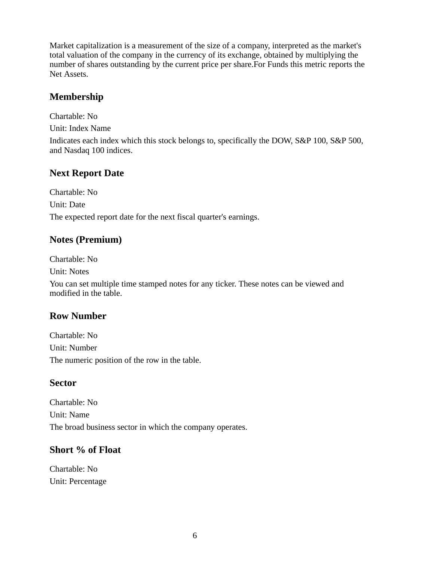Market capitalization is a measurement of the size of a company, interpreted as the market's total valuation of the company in the currency of its exchange, obtained by multiplying the number of shares outstanding by the current price per share.For Funds this metric reports the Net Assets.

### **Membership**

Chartable: No

Unit: Index Name

Indicates each index which this stock belongs to, specifically the DOW, S&P 100, S&P 500, and Nasdaq 100 indices.

### **Next Report Date**

Chartable: No Unit: Date The expected report date for the next fiscal quarter's earnings.

### **Notes (Premium)**

Chartable: No Unit: Notes

You can set multiple time stamped notes for any ticker. These notes can be viewed and modified in the table.

### **Row Number**

Chartable: No Unit: Number The numeric position of the row in the table.

### **Sector**

Chartable: No Unit: Name The broad business sector in which the company operates.

### **Short % of Float**

Chartable: No Unit: Percentage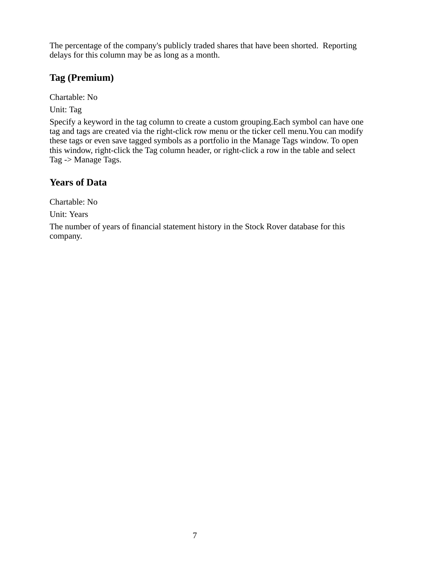The percentage of the company's publicly traded shares that have been shorted. Reporting delays for this column may be as long as a month.

#### **Tag (Premium)**

Chartable: No

Unit: Tag

Specify a keyword in the tag column to create a custom grouping.Each symbol can have one tag and tags are created via the right-click row menu or the ticker cell menu.You can modify these tags or even save tagged symbols as a portfolio in the Manage Tags window. To open this window, right-click the Tag column header, or right-click a row in the table and select Tag -> Manage Tags.

# **Years of Data**

Chartable: No

Unit: Years

The number of years of financial statement history in the Stock Rover database for this company.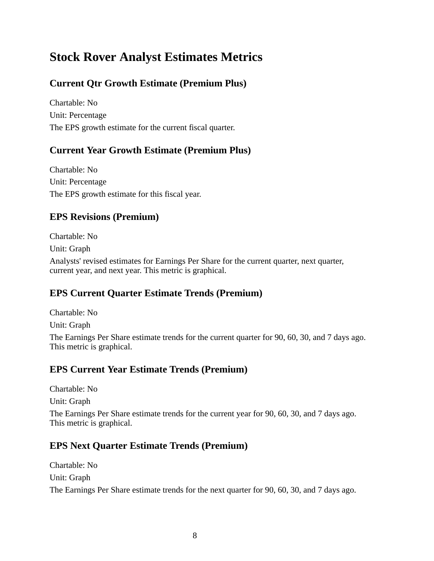# **Stock Rover Analyst Estimates Metrics**

# **Current Qtr Growth Estimate (Premium Plus)**

Chartable: No Unit: Percentage The EPS growth estimate for the current fiscal quarter.

#### **Current Year Growth Estimate (Premium Plus)**

Chartable: No Unit: Percentage The EPS growth estimate for this fiscal year.

#### **EPS Revisions (Premium)**

Chartable: No

Unit: Graph

Analysts' revised estimates for Earnings Per Share for the current quarter, next quarter, current year, and next year. This metric is graphical.

### **EPS Current Quarter Estimate Trends (Premium)**

Chartable: No Unit: Graph The Earnings Per Share estimate trends for the current quarter for 90, 60, 30, and 7 days ago. This metric is graphical.

### **EPS Current Year Estimate Trends (Premium)**

Chartable: No Unit: Graph The Earnings Per Share estimate trends for the current year for 90, 60, 30, and 7 days ago. This metric is graphical.

### **EPS Next Quarter Estimate Trends (Premium)**

Chartable: No Unit: Graph

The Earnings Per Share estimate trends for the next quarter for 90, 60, 30, and 7 days ago.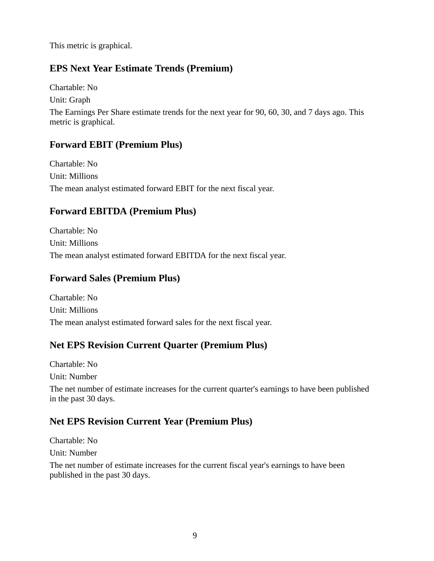This metric is graphical.

#### **EPS Next Year Estimate Trends (Premium)**

Chartable: No

Unit: Graph

The Earnings Per Share estimate trends for the next year for 90, 60, 30, and 7 days ago. This metric is graphical.

#### **Forward EBIT (Premium Plus)**

Chartable: No Unit: Millions The mean analyst estimated forward EBIT for the next fiscal year.

### **Forward EBITDA (Premium Plus)**

Chartable: No Unit: Millions The mean analyst estimated forward EBITDA for the next fiscal year.

#### **Forward Sales (Premium Plus)**

Chartable: No Unit: Millions The mean analyst estimated forward sales for the next fiscal year.

### **Net EPS Revision Current Quarter (Premium Plus)**

Chartable: No Unit: Number

The net number of estimate increases for the current quarter's earnings to have been published in the past 30 days.

### **Net EPS Revision Current Year (Premium Plus)**

Chartable: No

Unit: Number

The net number of estimate increases for the current fiscal year's earnings to have been published in the past 30 days.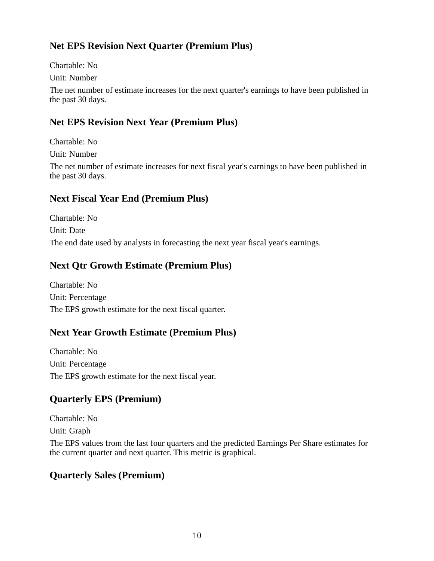### **Net EPS Revision Next Quarter (Premium Plus)**

Chartable: No

Unit: Number

The net number of estimate increases for the next quarter's earnings to have been published in the past 30 days.

# **Net EPS Revision Next Year (Premium Plus)**

Chartable: No Unit: Number The net number of estimate increases for next fiscal year's earnings to have been published in the past 30 days.

### **Next Fiscal Year End (Premium Plus)**

Chartable: No Unit: Date The end date used by analysts in forecasting the next year fiscal year's earnings.

### **Next Qtr Growth Estimate (Premium Plus)**

Chartable: No Unit: Percentage The EPS growth estimate for the next fiscal quarter.

# **Next Year Growth Estimate (Premium Plus)**

Chartable: No Unit: Percentage The EPS growth estimate for the next fiscal year.

# **Quarterly EPS (Premium)**

Chartable: No Unit: Graph The EPS values from the last four quarters and the predicted Earnings Per Share estimates for the current quarter and next quarter. This metric is graphical.

### **Quarterly Sales (Premium)**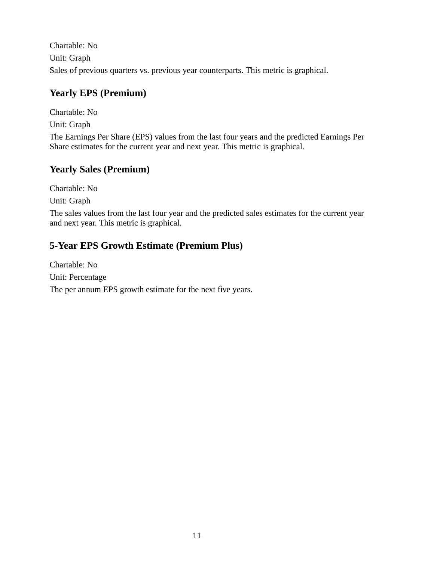Chartable: No Unit: Graph Sales of previous quarters vs. previous year counterparts. This metric is graphical.

# **Yearly EPS (Premium)**

Chartable: No Unit: Graph The Earnings Per Share (EPS) values from the last four years and the predicted Earnings Per Share estimates for the current year and next year. This metric is graphical.

# **Yearly Sales (Premium)**

Chartable: No Unit: Graph The sales values from the last four year and the predicted sales estimates for the current year and next year. This metric is graphical.

# **5-Year EPS Growth Estimate (Premium Plus)**

Chartable: No Unit: Percentage The per annum EPS growth estimate for the next five years.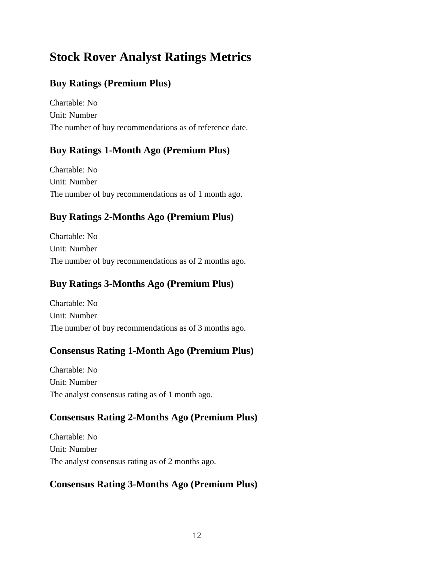# **Stock Rover Analyst Ratings Metrics**

### **Buy Ratings (Premium Plus)**

Chartable: No Unit: Number The number of buy recommendations as of reference date.

#### **Buy Ratings 1-Month Ago (Premium Plus)**

Chartable: No Unit: Number The number of buy recommendations as of 1 month ago.

### **Buy Ratings 2-Months Ago (Premium Plus)**

Chartable: No Unit: Number The number of buy recommendations as of 2 months ago.

### **Buy Ratings 3-Months Ago (Premium Plus)**

Chartable: No Unit: Number The number of buy recommendations as of 3 months ago.

#### **Consensus Rating 1-Month Ago (Premium Plus)**

Chartable: No Unit: Number The analyst consensus rating as of 1 month ago.

#### **Consensus Rating 2-Months Ago (Premium Plus)**

Chartable: No Unit: Number The analyst consensus rating as of 2 months ago.

#### **Consensus Rating 3-Months Ago (Premium Plus)**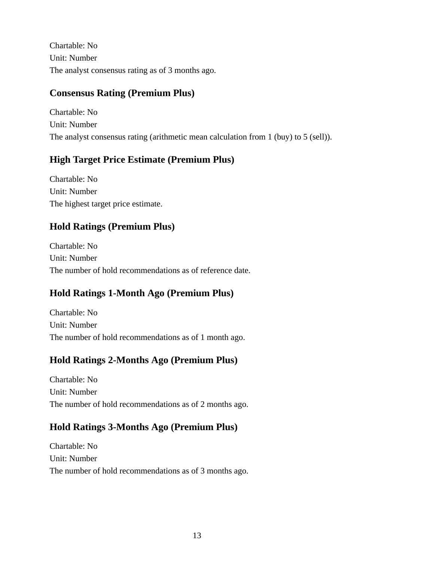Chartable: No Unit: Number The analyst consensus rating as of 3 months ago.

# **Consensus Rating (Premium Plus)**

Chartable: No Unit: Number The analyst consensus rating (arithmetic mean calculation from 1 (buy) to 5 (sell)).

### **High Target Price Estimate (Premium Plus)**

Chartable: No Unit: Number The highest target price estimate.

### **Hold Ratings (Premium Plus)**

Chartable: No Unit: Number The number of hold recommendations as of reference date.

# **Hold Ratings 1-Month Ago (Premium Plus)**

Chartable: No Unit: Number The number of hold recommendations as of 1 month ago.

### **Hold Ratings 2-Months Ago (Premium Plus)**

Chartable: No Unit: Number The number of hold recommendations as of 2 months ago.

### **Hold Ratings 3-Months Ago (Premium Plus)**

Chartable: No Unit: Number The number of hold recommendations as of 3 months ago.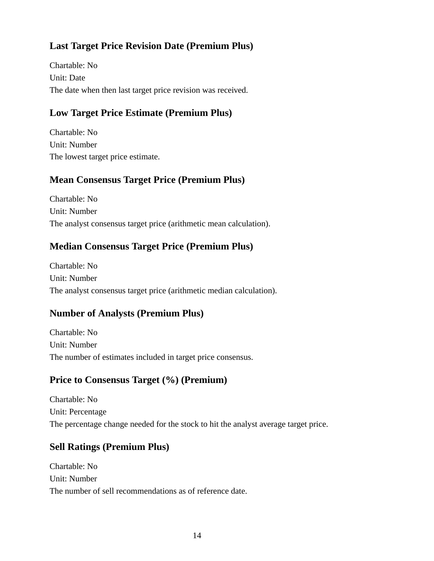### **Last Target Price Revision Date (Premium Plus)**

Chartable: No Unit: Date The date when then last target price revision was received.

### **Low Target Price Estimate (Premium Plus)**

Chartable: No Unit: Number The lowest target price estimate.

### **Mean Consensus Target Price (Premium Plus)**

Chartable: No Unit: Number The analyst consensus target price (arithmetic mean calculation).

### **Median Consensus Target Price (Premium Plus)**

Chartable: No Unit: Number The analyst consensus target price (arithmetic median calculation).

# **Number of Analysts (Premium Plus)**

Chartable: No Unit: Number The number of estimates included in target price consensus.

### **Price to Consensus Target (%) (Premium)**

Chartable: No Unit: Percentage The percentage change needed for the stock to hit the analyst average target price.

# **Sell Ratings (Premium Plus)**

Chartable: No Unit: Number The number of sell recommendations as of reference date.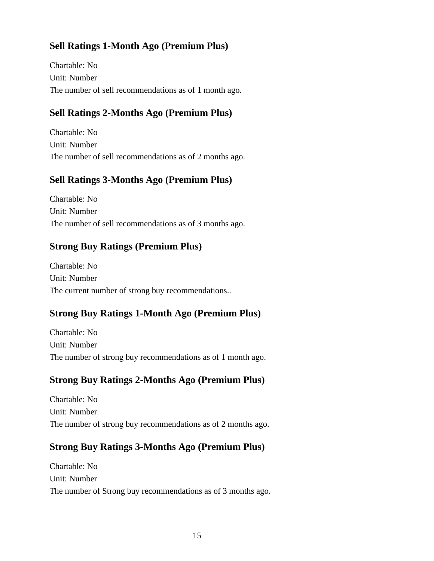### **Sell Ratings 1-Month Ago (Premium Plus)**

Chartable: No Unit: Number The number of sell recommendations as of 1 month ago.

### **Sell Ratings 2-Months Ago (Premium Plus)**

Chartable: No Unit: Number The number of sell recommendations as of 2 months ago.

### **Sell Ratings 3-Months Ago (Premium Plus)**

Chartable: No Unit: Number The number of sell recommendations as of 3 months ago.

#### **Strong Buy Ratings (Premium Plus)**

Chartable: No Unit: Number The current number of strong buy recommendations..

### **Strong Buy Ratings 1-Month Ago (Premium Plus)**

Chartable: No Unit: Number The number of strong buy recommendations as of 1 month ago.

### **Strong Buy Ratings 2-Months Ago (Premium Plus)**

Chartable: No Unit: Number The number of strong buy recommendations as of 2 months ago.

### **Strong Buy Ratings 3-Months Ago (Premium Plus)**

Chartable: No Unit: Number The number of Strong buy recommendations as of 3 months ago.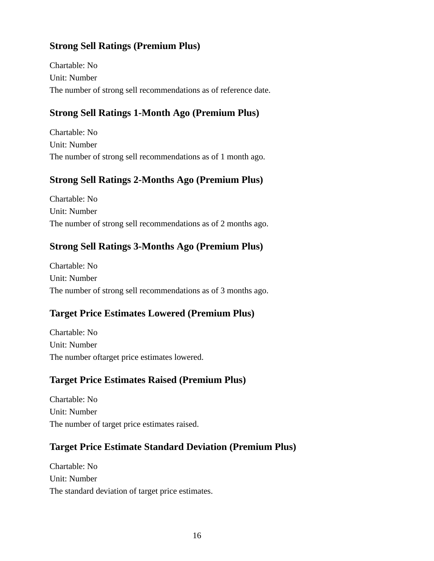### **Strong Sell Ratings (Premium Plus)**

Chartable: No Unit: Number The number of strong sell recommendations as of reference date.

### **Strong Sell Ratings 1-Month Ago (Premium Plus)**

Chartable: No Unit: Number The number of strong sell recommendations as of 1 month ago.

### **Strong Sell Ratings 2-Months Ago (Premium Plus)**

Chartable: No Unit: Number The number of strong sell recommendations as of 2 months ago.

### **Strong Sell Ratings 3-Months Ago (Premium Plus)**

Chartable: No Unit: Number The number of strong sell recommendations as of 3 months ago.

### **Target Price Estimates Lowered (Premium Plus)**

Chartable: No Unit: Number The number oftarget price estimates lowered.

### **Target Price Estimates Raised (Premium Plus)**

Chartable: No Unit: Number The number of target price estimates raised.

### **Target Price Estimate Standard Deviation (Premium Plus)**

Chartable: No Unit: Number The standard deviation of target price estimates.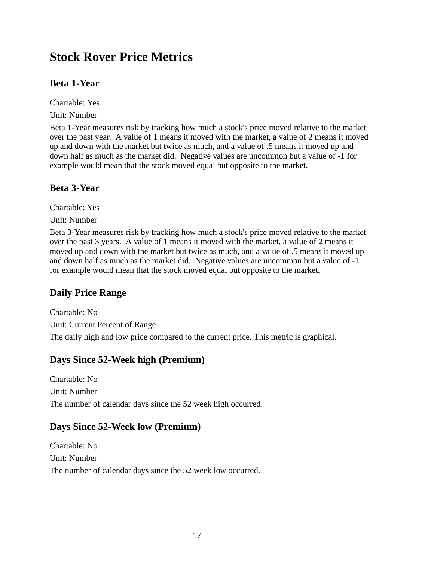# **Stock Rover Price Metrics**

# **Beta 1-Year**

Chartable: Yes

Unit: Number

Beta 1-Year measures risk by tracking how much a stock's price moved relative to the market over the past year. A value of 1 means it moved with the market, a value of 2 means it moved up and down with the market but twice as much, and a value of .5 means it moved up and down half as much as the market did. Negative values are uncommon but a value of -1 for example would mean that the stock moved equal but opposite to the market.

### **Beta 3-Year**

Chartable: Yes

Unit: Number

Beta 3-Year measures risk by tracking how much a stock's price moved relative to the market over the past 3 years. A value of 1 means it moved with the market, a value of 2 means it moved up and down with the market but twice as much, and a value of .5 means it moved up and down half as much as the market did. Negative values are uncommon but a value of -1 for example would mean that the stock moved equal but opposite to the market.

# **Daily Price Range**

Chartable: No Unit: Current Percent of Range The daily high and low price compared to the current price. This metric is graphical.

# **Days Since 52-Week high (Premium)**

Chartable: No Unit: Number The number of calendar days since the 52 week high occurred.

### **Days Since 52-Week low (Premium)**

Chartable: No Unit: Number The number of calendar days since the 52 week low occurred.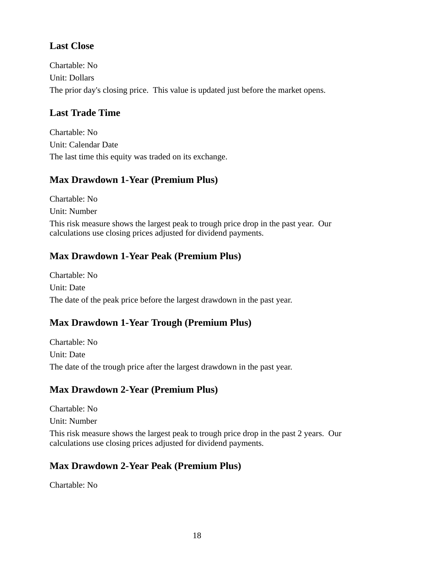### **Last Close**

Chartable: No Unit: Dollars The prior day's closing price. This value is updated just before the market opens.

#### **Last Trade Time**

Chartable: No Unit: Calendar Date The last time this equity was traded on its exchange.

#### **Max Drawdown 1-Year (Premium Plus)**

Chartable: No Unit: Number This risk measure shows the largest peak to trough price drop in the past year. Our calculations use closing prices adjusted for dividend payments.

### **Max Drawdown 1-Year Peak (Premium Plus)**

Chartable: No Unit: Date The date of the peak price before the largest drawdown in the past year.

### **Max Drawdown 1-Year Trough (Premium Plus)**

Chartable: No Unit: Date The date of the trough price after the largest drawdown in the past year.

### **Max Drawdown 2-Year (Premium Plus)**

Chartable: No Unit: Number This risk measure shows the largest peak to trough price drop in the past 2 years. Our calculations use closing prices adjusted for dividend payments.

#### **Max Drawdown 2-Year Peak (Premium Plus)**

Chartable: No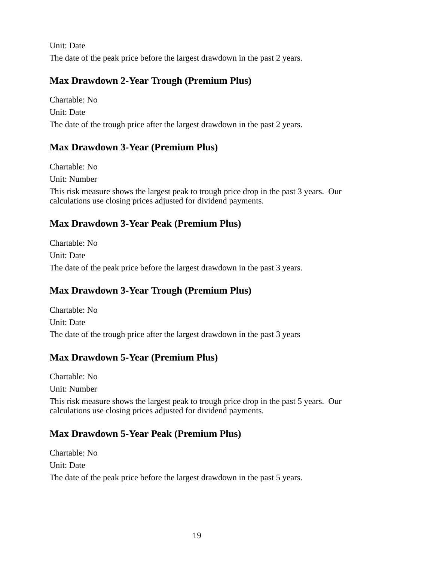Unit: Date The date of the peak price before the largest drawdown in the past 2 years.

### **Max Drawdown 2-Year Trough (Premium Plus)**

Chartable: No Unit: Date The date of the trough price after the largest drawdown in the past 2 years.

### **Max Drawdown 3-Year (Premium Plus)**

Chartable: No Unit: Number This risk measure shows the largest peak to trough price drop in the past 3 years. Our calculations use closing prices adjusted for dividend payments.

# **Max Drawdown 3-Year Peak (Premium Plus)**

Chartable: No Unit: Date The date of the peak price before the largest drawdown in the past 3 years.

### **Max Drawdown 3-Year Trough (Premium Plus)**

Chartable: No Unit: Date The date of the trough price after the largest drawdown in the past 3 years

### **Max Drawdown 5-Year (Premium Plus)**

Chartable: No Unit: Number

This risk measure shows the largest peak to trough price drop in the past 5 years. Our calculations use closing prices adjusted for dividend payments.

### **Max Drawdown 5-Year Peak (Premium Plus)**

Chartable: No Unit: Date The date of the peak price before the largest drawdown in the past 5 years.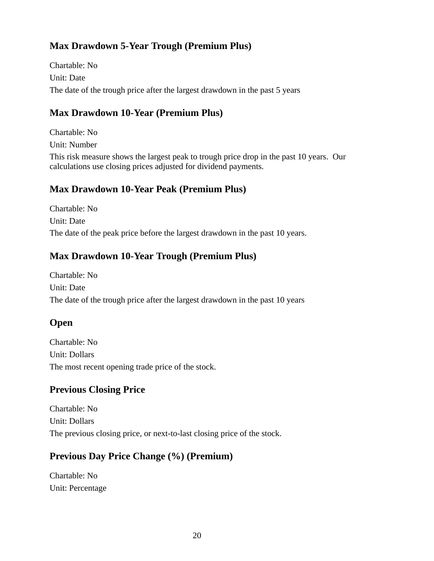# **Max Drawdown 5-Year Trough (Premium Plus)**

Chartable: No Unit: Date The date of the trough price after the largest drawdown in the past 5 years

### **Max Drawdown 10-Year (Premium Plus)**

Chartable: No Unit: Number

This risk measure shows the largest peak to trough price drop in the past 10 years. Our calculations use closing prices adjusted for dividend payments.

### **Max Drawdown 10-Year Peak (Premium Plus)**

Chartable: No Unit: Date The date of the peak price before the largest drawdown in the past 10 years.

### **Max Drawdown 10-Year Trough (Premium Plus)**

Chartable: No Unit: Date The date of the trough price after the largest drawdown in the past 10 years

# **Open**

Chartable: No Unit: Dollars The most recent opening trade price of the stock.

# **Previous Closing Price**

Chartable: No Unit: Dollars The previous closing price, or next-to-last closing price of the stock.

### **Previous Day Price Change (%) (Premium)**

Chartable: No Unit: Percentage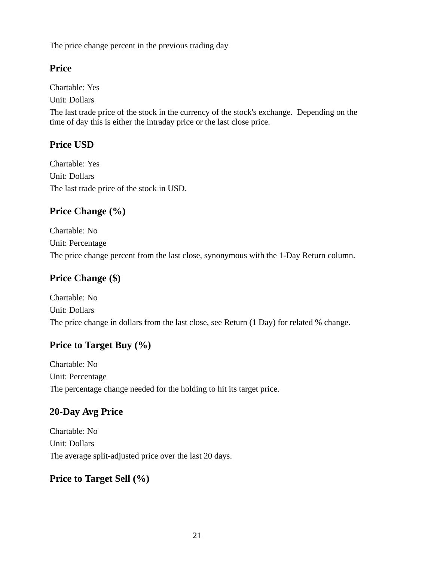The price change percent in the previous trading day

### **Price**

Chartable: Yes

Unit: Dollars

The last trade price of the stock in the currency of the stock's exchange. Depending on the time of day this is either the intraday price or the last close price.

# **Price USD**

Chartable: Yes Unit: Dollars The last trade price of the stock in USD.

# **Price Change (%)**

Chartable: No Unit: Percentage The price change percent from the last close, synonymous with the 1-Day Return column.

# **Price Change (\$)**

Chartable: No Unit: Dollars The price change in dollars from the last close, see Return (1 Day) for related % change.

# **Price to Target Buy (%)**

Chartable: No Unit: Percentage The percentage change needed for the holding to hit its target price.

# **20-Day Avg Price**

Chartable: No Unit: Dollars The average split-adjusted price over the last 20 days.

# **Price to Target Sell (%)**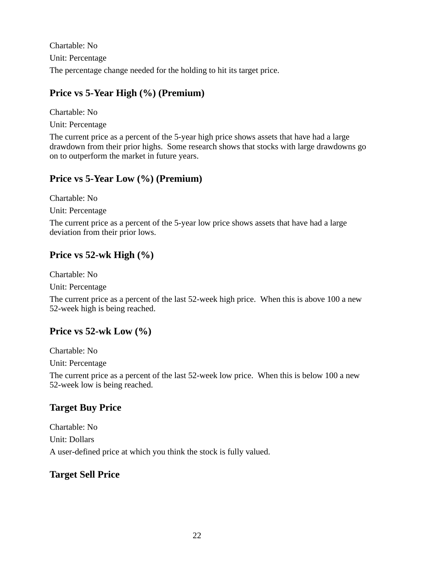Chartable: No Unit: Percentage The percentage change needed for the holding to hit its target price.

### **Price vs 5-Year High (%) (Premium)**

Chartable: No Unit: Percentage

The current price as a percent of the 5-year high price shows assets that have had a large drawdown from their prior highs. Some research shows that stocks with large drawdowns go on to outperform the market in future years.

### **Price vs 5-Year Low (%) (Premium)**

Chartable: No

Unit: Percentage

The current price as a percent of the 5-year low price shows assets that have had a large deviation from their prior lows.

### **Price vs 52-wk High (%)**

Chartable: No

Unit: Percentage

The current price as a percent of the last 52-week high price. When this is above 100 a new 52-week high is being reached.

### **Price vs 52-wk Low (%)**

Chartable: No

Unit: Percentage

The current price as a percent of the last 52-week low price. When this is below 100 a new 52-week low is being reached.

# **Target Buy Price**

Chartable: No Unit: Dollars A user-defined price at which you think the stock is fully valued.

# **Target Sell Price**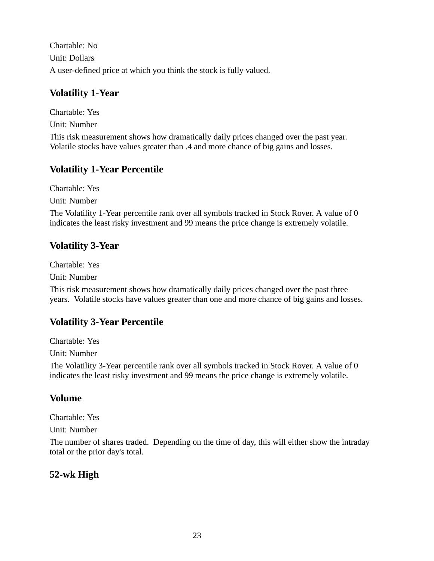Chartable: No Unit: Dollars A user-defined price at which you think the stock is fully valued.

#### **Volatility 1-Year**

Chartable: Yes Unit: Number This risk measurement shows how dramatically daily prices changed over the past year. Volatile stocks have values greater than .4 and more chance of big gains and losses.

### **Volatility 1-Year Percentile**

Chartable: Yes Unit: Number

The Volatility 1-Year percentile rank over all symbols tracked in Stock Rover. A value of 0 indicates the least risky investment and 99 means the price change is extremely volatile.

### **Volatility 3-Year**

Chartable: Yes

Unit: Number

This risk measurement shows how dramatically daily prices changed over the past three years. Volatile stocks have values greater than one and more chance of big gains and losses.

# **Volatility 3-Year Percentile**

Chartable: Yes

Unit: Number

The Volatility 3-Year percentile rank over all symbols tracked in Stock Rover. A value of 0 indicates the least risky investment and 99 means the price change is extremely volatile.

### **Volume**

Chartable: Yes

Unit: Number

The number of shares traded. Depending on the time of day, this will either show the intraday total or the prior day's total.

# **52-wk High**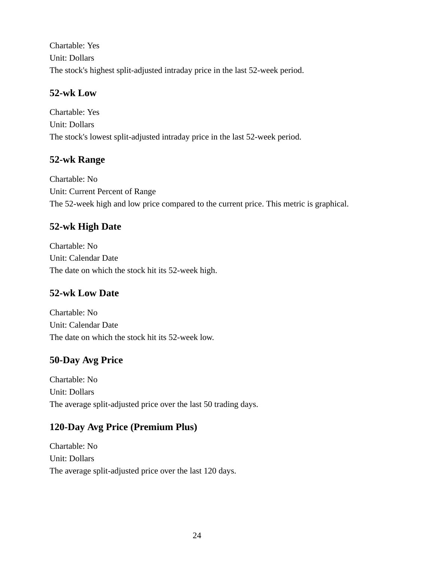Chartable: Yes Unit: Dollars The stock's highest split-adjusted intraday price in the last 52-week period.

### **52-wk Low**

Chartable: Yes Unit: Dollars The stock's lowest split-adjusted intraday price in the last 52-week period.

# **52-wk Range**

Chartable: No Unit: Current Percent of Range The 52-week high and low price compared to the current price. This metric is graphical.

# **52-wk High Date**

Chartable: No Unit: Calendar Date The date on which the stock hit its 52-week high.

# **52-wk Low Date**

Chartable: No Unit: Calendar Date The date on which the stock hit its 52-week low.

# **50-Day Avg Price**

Chartable: No Unit: Dollars The average split-adjusted price over the last 50 trading days.

### **120-Day Avg Price (Premium Plus)**

Chartable: No Unit: Dollars The average split-adjusted price over the last 120 days.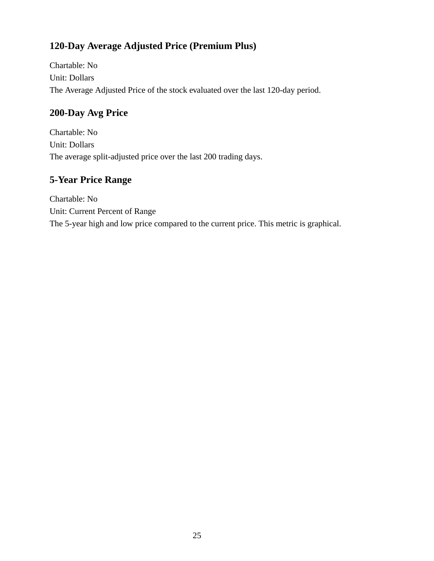# **120-Day Average Adjusted Price (Premium Plus)**

Chartable: No Unit: Dollars The Average Adjusted Price of the stock evaluated over the last 120-day period.

# **200-Day Avg Price**

Chartable: No Unit: Dollars The average split-adjusted price over the last 200 trading days.

# **5-Year Price Range**

Chartable: No Unit: Current Percent of Range The 5-year high and low price compared to the current price. This metric is graphical.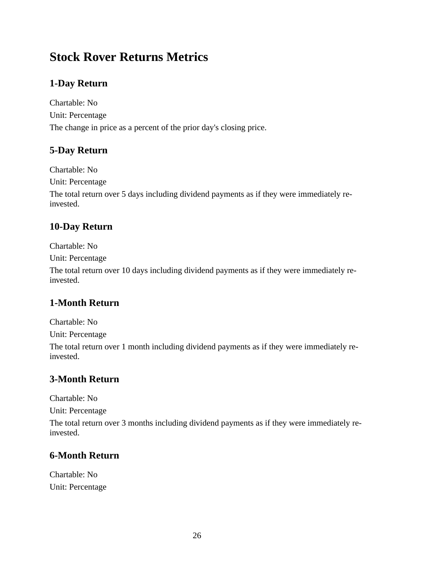# **Stock Rover Returns Metrics**

# **1-Day Return**

Chartable: No Unit: Percentage The change in price as a percent of the prior day's closing price.

#### **5-Day Return**

Chartable: No

Unit: Percentage

The total return over 5 days including dividend payments as if they were immediately reinvested.

# **10-Day Return**

Chartable: No

Unit: Percentage

The total return over 10 days including dividend payments as if they were immediately reinvested.

# **1-Month Return**

Chartable: No

Unit: Percentage

The total return over 1 month including dividend payments as if they were immediately reinvested.

# **3-Month Return**

Chartable: No

Unit: Percentage

The total return over 3 months including dividend payments as if they were immediately reinvested.

# **6-Month Return**

Chartable: No Unit: Percentage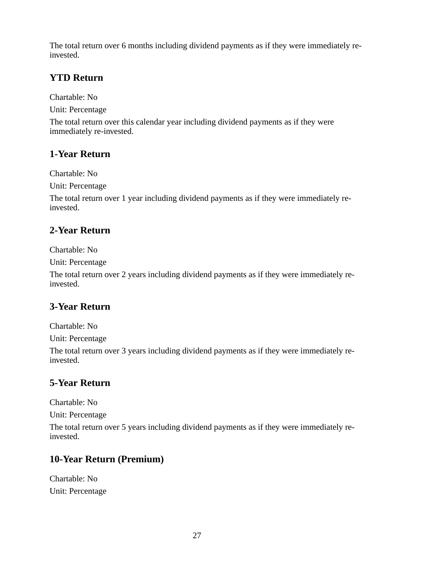The total return over 6 months including dividend payments as if they were immediately reinvested.

### **YTD Return**

Chartable: No

Unit: Percentage

The total return over this calendar year including dividend payments as if they were immediately re-invested.

### **1-Year Return**

Chartable: No

Unit: Percentage

The total return over 1 year including dividend payments as if they were immediately reinvested.

# **2-Year Return**

Chartable: No

Unit: Percentage

The total return over 2 years including dividend payments as if they were immediately reinvested.

### **3-Year Return**

Chartable: No

Unit: Percentage

The total return over 3 years including dividend payments as if they were immediately reinvested.

# **5-Year Return**

Chartable: No

Unit: Percentage

The total return over 5 years including dividend payments as if they were immediately reinvested.

# **10-Year Return (Premium)**

Chartable: No Unit: Percentage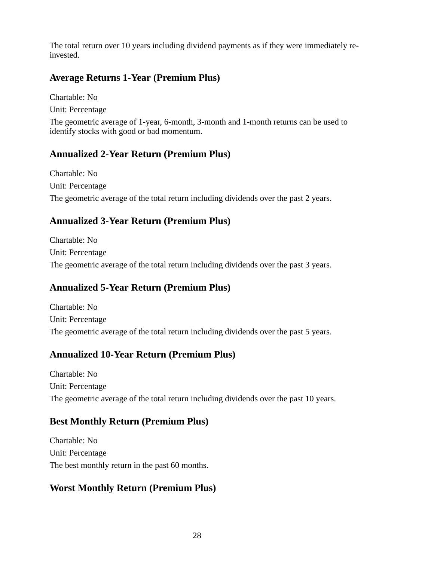The total return over 10 years including dividend payments as if they were immediately reinvested.

#### **Average Returns 1-Year (Premium Plus)**

Chartable: No Unit: Percentage

The geometric average of 1-year, 6-month, 3-month and 1-month returns can be used to identify stocks with good or bad momentum.

#### **Annualized 2-Year Return (Premium Plus)**

Chartable: No Unit: Percentage The geometric average of the total return including dividends over the past 2 years.

### **Annualized 3-Year Return (Premium Plus)**

Chartable: No Unit: Percentage The geometric average of the total return including dividends over the past 3 years.

### **Annualized 5-Year Return (Premium Plus)**

Chartable: No Unit: Percentage The geometric average of the total return including dividends over the past 5 years.

### **Annualized 10-Year Return (Premium Plus)**

Chartable: No Unit: Percentage The geometric average of the total return including dividends over the past 10 years.

#### **Best Monthly Return (Premium Plus)**

Chartable: No Unit: Percentage The best monthly return in the past 60 months.

# **Worst Monthly Return (Premium Plus)**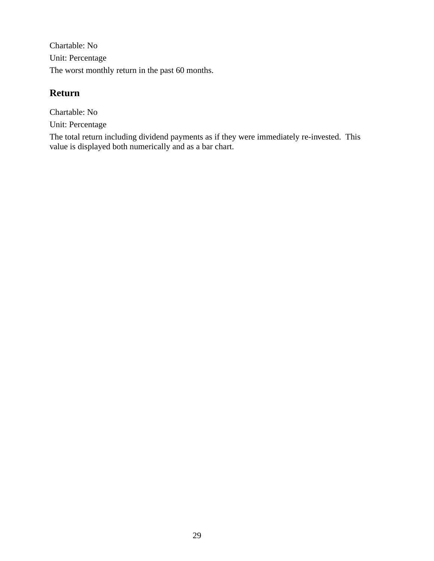Chartable: No Unit: Percentage The worst monthly return in the past 60 months.

#### **Return**

Chartable: No Unit: Percentage

The total return including dividend payments as if they were immediately re-invested. This value is displayed both numerically and as a bar chart.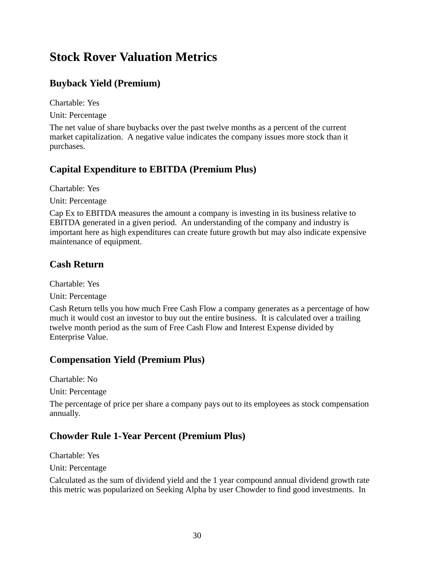# **Stock Rover Valuation Metrics**

# **Buyback Yield (Premium)**

Chartable: Yes

Unit: Percentage

The net value of share buybacks over the past twelve months as a percent of the current market capitalization. A negative value indicates the company issues more stock than it purchases.

### **Capital Expenditure to EBITDA (Premium Plus)**

Chartable: Yes

Unit: Percentage

Cap Ex to EBITDA measures the amount a company is investing in its business relative to EBITDA generated in a given period. An understanding of the company and industry is important here as high expenditures can create future growth but may also indicate expensive maintenance of equipment.

# **Cash Return**

Chartable: Yes

Unit: Percentage

Cash Return tells you how much Free Cash Flow a company generates as a percentage of how much it would cost an investor to buy out the entire business. It is calculated over a trailing twelve month period as the sum of Free Cash Flow and Interest Expense divided by Enterprise Value.

# **Compensation Yield (Premium Plus)**

Chartable: No

Unit: Percentage

The percentage of price per share a company pays out to its employees as stock compensation annually.

# **Chowder Rule 1-Year Percent (Premium Plus)**

Chartable: Yes

Unit: Percentage

Calculated as the sum of dividend yield and the 1 year compound annual dividend growth rate this metric was popularized on Seeking Alpha by user Chowder to find good investments. In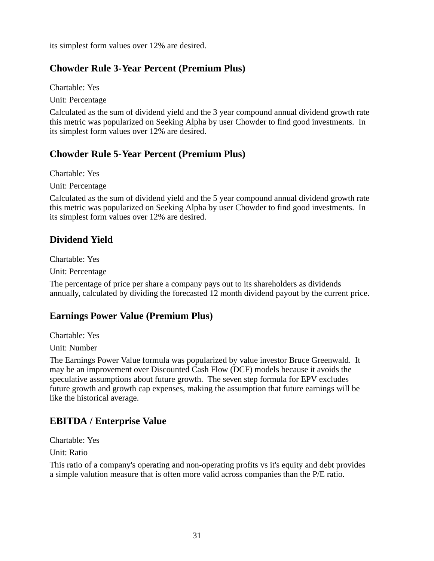its simplest form values over 12% are desired.

#### **Chowder Rule 3-Year Percent (Premium Plus)**

Chartable: Yes

Unit: Percentage

Calculated as the sum of dividend yield and the 3 year compound annual dividend growth rate this metric was popularized on Seeking Alpha by user Chowder to find good investments. In its simplest form values over 12% are desired.

#### **Chowder Rule 5-Year Percent (Premium Plus)**

Chartable: Yes

Unit: Percentage

Calculated as the sum of dividend yield and the 5 year compound annual dividend growth rate this metric was popularized on Seeking Alpha by user Chowder to find good investments. In its simplest form values over 12% are desired.

#### **Dividend Yield**

Chartable: Yes

Unit: Percentage

The percentage of price per share a company pays out to its shareholders as dividends annually, calculated by dividing the forecasted 12 month dividend payout by the current price.

#### **Earnings Power Value (Premium Plus)**

Chartable: Yes

Unit: Number

The Earnings Power Value formula was popularized by value investor Bruce Greenwald. It may be an improvement over Discounted Cash Flow (DCF) models because it avoids the speculative assumptions about future growth. The seven step formula for EPV excludes future growth and growth cap expenses, making the assumption that future earnings will be like the historical average.

### **EBITDA / Enterprise Value**

Chartable: Yes

Unit: Ratio

This ratio of a company's operating and non-operating profits vs it's equity and debt provides a simple valution measure that is often more valid across companies than the P/E ratio.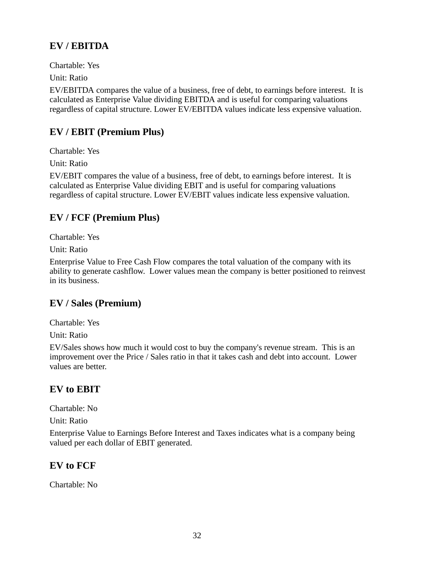# **EV / EBITDA**

Chartable: Yes

Unit: Ratio

EV/EBITDA compares the value of a business, free of debt, to earnings before interest. It is calculated as Enterprise Value dividing EBITDA and is useful for comparing valuations regardless of capital structure. Lower EV/EBITDA values indicate less expensive valuation.

### **EV / EBIT (Premium Plus)**

Chartable: Yes

Unit: Ratio

EV/EBIT compares the value of a business, free of debt, to earnings before interest. It is calculated as Enterprise Value dividing EBIT and is useful for comparing valuations regardless of capital structure. Lower EV/EBIT values indicate less expensive valuation.

### **EV / FCF (Premium Plus)**

Chartable: Yes

Unit: Ratio

Enterprise Value to Free Cash Flow compares the total valuation of the company with its ability to generate cashflow. Lower values mean the company is better positioned to reinvest in its business.

### **EV / Sales (Premium)**

Chartable: Yes

Unit: Ratio

EV/Sales shows how much it would cost to buy the company's revenue stream. This is an improvement over the Price / Sales ratio in that it takes cash and debt into account. Lower values are better.

### **EV to EBIT**

Chartable: No

Unit: Ratio

Enterprise Value to Earnings Before Interest and Taxes indicates what is a company being valued per each dollar of EBIT generated.

### **EV to FCF**

Chartable: No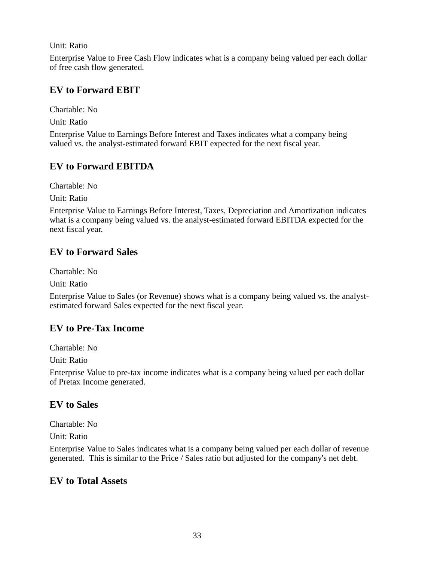Unit: Ratio

Enterprise Value to Free Cash Flow indicates what is a company being valued per each dollar of free cash flow generated.

#### **EV to Forward EBIT**

Chartable: No

Unit: Ratio

Enterprise Value to Earnings Before Interest and Taxes indicates what a company being valued vs. the analyst-estimated forward EBIT expected for the next fiscal year.

#### **EV to Forward EBITDA**

Chartable: No

Unit: Ratio

Enterprise Value to Earnings Before Interest, Taxes, Depreciation and Amortization indicates what is a company being valued vs. the analyst-estimated forward EBITDA expected for the next fiscal year.

### **EV to Forward Sales**

Chartable: No

Unit: Ratio

Enterprise Value to Sales (or Revenue) shows what is a company being valued vs. the analystestimated forward Sales expected for the next fiscal year.

### **EV to Pre-Tax Income**

Chartable: No

Unit: Ratio

Enterprise Value to pre-tax income indicates what is a company being valued per each dollar of Pretax Income generated.

#### **EV to Sales**

Chartable: No

Unit: Ratio

Enterprise Value to Sales indicates what is a company being valued per each dollar of revenue generated. This is similar to the Price / Sales ratio but adjusted for the company's net debt.

#### **EV to Total Assets**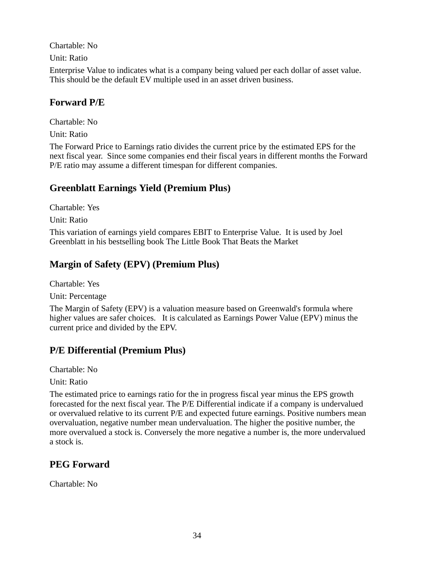Chartable: No Unit: Ratio Enterprise Value to indicates what is a company being valued per each dollar of asset value. This should be the default EV multiple used in an asset driven business.

#### **Forward P/E**

Chartable: No Unit: Ratio

The Forward Price to Earnings ratio divides the current price by the estimated EPS for the next fiscal year. Since some companies end their fiscal years in different months the Forward P/E ratio may assume a different timespan for different companies.

### **Greenblatt Earnings Yield (Premium Plus)**

Chartable: Yes

Unit: Ratio

This variation of earnings yield compares EBIT to Enterprise Value. It is used by Joel Greenblatt in his bestselling book The Little Book That Beats the Market

### **Margin of Safety (EPV) (Premium Plus)**

Chartable: Yes

Unit: Percentage

The Margin of Safety (EPV) is a valuation measure based on Greenwald's formula where higher values are safer choices. It is calculated as Earnings Power Value (EPV) minus the current price and divided by the EPV.

# **P/E Differential (Premium Plus)**

Chartable: No

Unit: Ratio

The estimated price to earnings ratio for the in progress fiscal year minus the EPS growth forecasted for the next fiscal year. The P/E Differential indicate if a company is undervalued or overvalued relative to its current P/E and expected future earnings. Positive numbers mean overvaluation, negative number mean undervaluation. The higher the positive number, the more overvalued a stock is. Conversely the more negative a number is, the more undervalued a stock is.

# **PEG Forward**

Chartable: No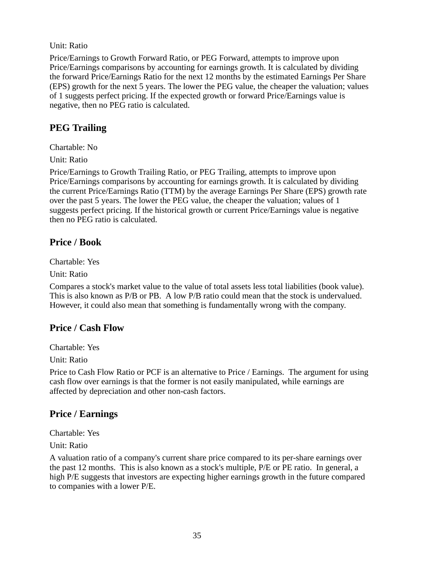#### Unit: Ratio

Price/Earnings to Growth Forward Ratio, or PEG Forward, attempts to improve upon Price/Earnings comparisons by accounting for earnings growth. It is calculated by dividing the forward Price/Earnings Ratio for the next 12 months by the estimated Earnings Per Share (EPS) growth for the next 5 years. The lower the PEG value, the cheaper the valuation; values of 1 suggests perfect pricing. If the expected growth or forward Price/Earnings value is negative, then no PEG ratio is calculated.

### **PEG Trailing**

Chartable: No

Unit: Ratio

Price/Earnings to Growth Trailing Ratio, or PEG Trailing, attempts to improve upon Price/Earnings comparisons by accounting for earnings growth. It is calculated by dividing the current Price/Earnings Ratio (TTM) by the average Earnings Per Share (EPS) growth rate over the past 5 years. The lower the PEG value, the cheaper the valuation; values of 1 suggests perfect pricing. If the historical growth or current Price/Earnings value is negative then no PEG ratio is calculated.

#### **Price / Book**

Chartable: Yes

Unit: Ratio

Compares a stock's market value to the value of total assets less total liabilities (book value). This is also known as P/B or PB. A low P/B ratio could mean that the stock is undervalued. However, it could also mean that something is fundamentally wrong with the company.

### **Price / Cash Flow**

Chartable: Yes

Unit: Ratio

Price to Cash Flow Ratio or PCF is an alternative to Price / Earnings. The argument for using cash flow over earnings is that the former is not easily manipulated, while earnings are affected by depreciation and other non-cash factors.

### **Price / Earnings**

Chartable: Yes

Unit: Ratio

A valuation ratio of a company's current share price compared to its per-share earnings over the past 12 months. This is also known as a stock's multiple, P/E or PE ratio. In general, a high P/E suggests that investors are expecting higher earnings growth in the future compared to companies with a lower P/E.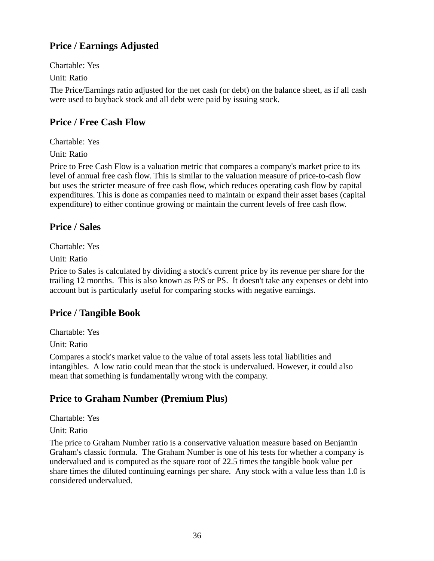# **Price / Earnings Adjusted**

Chartable: Yes

Unit: Ratio

The Price/Earnings ratio adjusted for the net cash (or debt) on the balance sheet, as if all cash were used to buyback stock and all debt were paid by issuing stock.

### **Price / Free Cash Flow**

Chartable: Yes

Unit: Ratio

Price to Free Cash Flow is a valuation metric that compares a company's market price to its level of annual free cash flow. This is similar to the valuation measure of price-to-cash flow but uses the stricter measure of free cash flow, which reduces operating cash flow by capital expenditures. This is done as companies need to maintain or expand their asset bases (capital expenditure) to either continue growing or maintain the current levels of free cash flow.

### **Price / Sales**

Chartable: Yes

Unit: Ratio

Price to Sales is calculated by dividing a stock's current price by its revenue per share for the trailing 12 months. This is also known as P/S or PS. It doesn't take any expenses or debt into account but is particularly useful for comparing stocks with negative earnings.

# **Price / Tangible Book**

Chartable: Yes

Unit: Ratio

Compares a stock's market value to the value of total assets less total liabilities and intangibles. A low ratio could mean that the stock is undervalued. However, it could also mean that something is fundamentally wrong with the company.

### **Price to Graham Number (Premium Plus)**

Chartable: Yes

Unit: Ratio

The price to Graham Number ratio is a conservative valuation measure based on Benjamin Graham's classic formula. The Graham Number is one of his tests for whether a company is undervalued and is computed as the square root of 22.5 times the tangible book value per share times the diluted continuing earnings per share. Any stock with a value less than 1.0 is considered undervalued.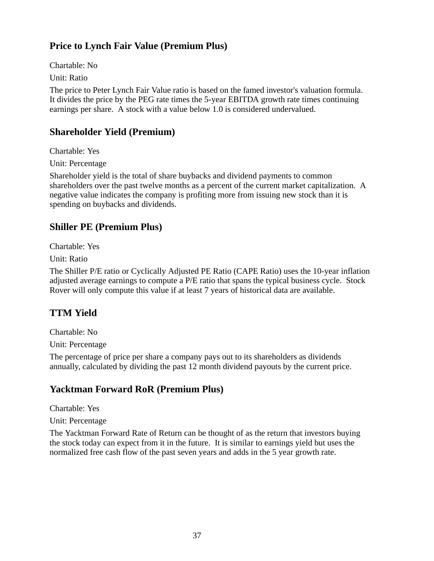# **Price to Lynch Fair Value (Premium Plus)**

Chartable: No

Unit: Ratio

The price to Peter Lynch Fair Value ratio is based on the famed investor's valuation formula. It divides the price by the PEG rate times the 5-year EBITDA growth rate times continuing earnings per share. A stock with a value below 1.0 is considered undervalued.

#### **Shareholder Yield (Premium)**

Chartable: Yes

Unit: Percentage

Shareholder yield is the total of share buybacks and dividend payments to common shareholders over the past twelve months as a percent of the current market capitalization. A negative value indicates the company is profiting more from issuing new stock than it is spending on buybacks and dividends.

### **Shiller PE (Premium Plus)**

Chartable: Yes

Unit: Ratio

The Shiller P/E ratio or Cyclically Adjusted PE Ratio (CAPE Ratio) uses the 10-year inflation adjusted average earnings to compute a P/E ratio that spans the typical business cycle. Stock Rover will only compute this value if at least 7 years of historical data are available.

# **TTM Yield**

Chartable: No

Unit: Percentage

The percentage of price per share a company pays out to its shareholders as dividends annually, calculated by dividing the past 12 month dividend payouts by the current price.

### **Yacktman Forward RoR (Premium Plus)**

Chartable: Yes

Unit: Percentage

The Yacktman Forward Rate of Return can be thought of as the return that investors buying the stock today can expect from it in the future. It is similar to earnings yield but uses the normalized free cash flow of the past seven years and adds in the 5 year growth rate.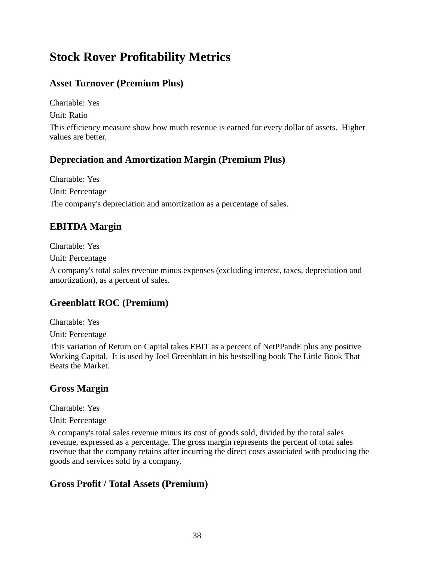# **Stock Rover Profitability Metrics**

## **Asset Turnover (Premium Plus)**

Chartable: Yes

Unit: Ratio

This efficiency measure show how much revenue is earned for every dollar of assets. Higher values are better.

### **Depreciation and Amortization Margin (Premium Plus)**

Chartable: Yes Unit: Percentage The company's depreciation and amortization as a percentage of sales.

## **EBITDA Margin**

Chartable: Yes

Unit: Percentage

A company's total sales revenue minus expenses (excluding interest, taxes, depreciation and amortization), as a percent of sales.

## **Greenblatt ROC (Premium)**

Chartable: Yes

Unit: Percentage

This variation of Return on Capital takes EBIT as a percent of NetPPandE plus any positive Working Capital. It is used by Joel Greenblatt in his bestselling book The Little Book That Beats the Market.

## **Gross Margin**

Chartable: Yes

Unit: Percentage

A company's total sales revenue minus its cost of goods sold, divided by the total sales revenue, expressed as a percentage. The gross margin represents the percent of total sales revenue that the company retains after incurring the direct costs associated with producing the goods and services sold by a company.

### **Gross Profit / Total Assets (Premium)**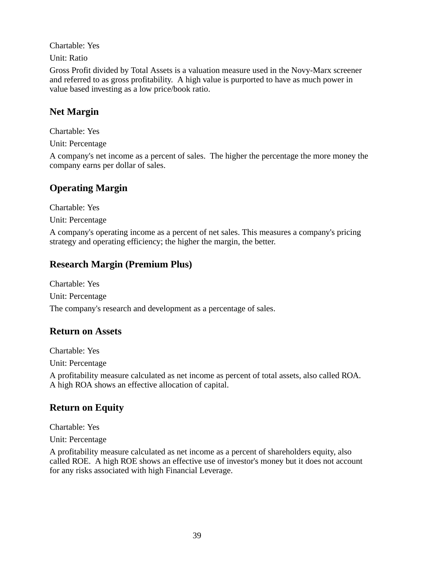Chartable: Yes

Unit: Ratio

Gross Profit divided by Total Assets is a valuation measure used in the Novy-Marx screener and referred to as gross profitability. A high value is purported to have as much power in value based investing as a low price/book ratio.

## **Net Margin**

Chartable: Yes

Unit: Percentage

A company's net income as a percent of sales. The higher the percentage the more money the company earns per dollar of sales.

### **Operating Margin**

Chartable: Yes

Unit: Percentage

A company's operating income as a percent of net sales. This measures a company's pricing strategy and operating efficiency; the higher the margin, the better.

### **Research Margin (Premium Plus)**

Chartable: Yes Unit: Percentage The company's research and development as a percentage of sales.

#### **Return on Assets**

Chartable: Yes

Unit: Percentage

A profitability measure calculated as net income as percent of total assets, also called ROA. A high ROA shows an effective allocation of capital.

### **Return on Equity**

Chartable: Yes

Unit: Percentage

A profitability measure calculated as net income as a percent of shareholders equity, also called ROE. A high ROE shows an effective use of investor's money but it does not account for any risks associated with high Financial Leverage.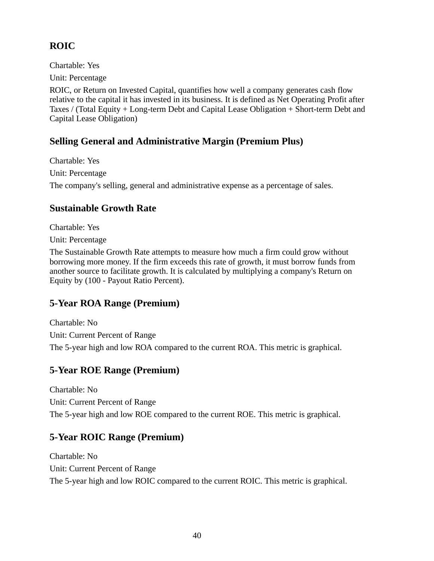## **ROIC**

Chartable: Yes

Unit: Percentage

ROIC, or Return on Invested Capital, quantifies how well a company generates cash flow relative to the capital it has invested in its business. It is defined as Net Operating Profit after Taxes / (Total Equity + Long-term Debt and Capital Lease Obligation + Short-term Debt and Capital Lease Obligation)

## **Selling General and Administrative Margin (Premium Plus)**

Chartable: Yes Unit: Percentage The company's selling, general and administrative expense as a percentage of sales.

## **Sustainable Growth Rate**

Chartable: Yes

Unit: Percentage

The Sustainable Growth Rate attempts to measure how much a firm could grow without borrowing more money. If the firm exceeds this rate of growth, it must borrow funds from another source to facilitate growth. It is calculated by multiplying a company's Return on Equity by (100 - Payout Ratio Percent).

## **5-Year ROA Range (Premium)**

Chartable: No Unit: Current Percent of Range The 5-year high and low ROA compared to the current ROA. This metric is graphical.

## **5-Year ROE Range (Premium)**

Chartable: No Unit: Current Percent of Range The 5-year high and low ROE compared to the current ROE. This metric is graphical.

## **5-Year ROIC Range (Premium)**

Chartable: No Unit: Current Percent of Range The 5-year high and low ROIC compared to the current ROIC. This metric is graphical.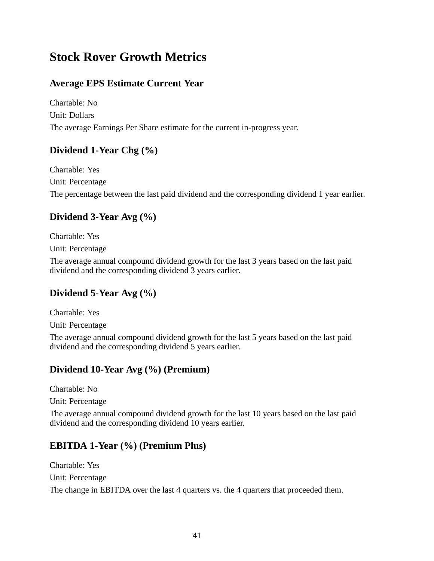# **Stock Rover Growth Metrics**

### **Average EPS Estimate Current Year**

Chartable: No Unit: Dollars The average Earnings Per Share estimate for the current in-progress year.

### **Dividend 1-Year Chg (%)**

Chartable: Yes Unit: Percentage The percentage between the last paid dividend and the corresponding dividend 1 year earlier.

## **Dividend 3-Year Avg (%)**

Chartable: Yes Unit: Percentage

The average annual compound dividend growth for the last 3 years based on the last paid dividend and the corresponding dividend 3 years earlier.

### **Dividend 5-Year Avg (%)**

Chartable: Yes

Unit: Percentage

The average annual compound dividend growth for the last 5 years based on the last paid dividend and the corresponding dividend 5 years earlier.

### **Dividend 10-Year Avg (%) (Premium)**

Chartable: No

Unit: Percentage

The average annual compound dividend growth for the last 10 years based on the last paid dividend and the corresponding dividend 10 years earlier.

### **EBITDA 1-Year (%) (Premium Plus)**

Chartable: Yes Unit: Percentage

The change in EBITDA over the last 4 quarters vs. the 4 quarters that proceeded them.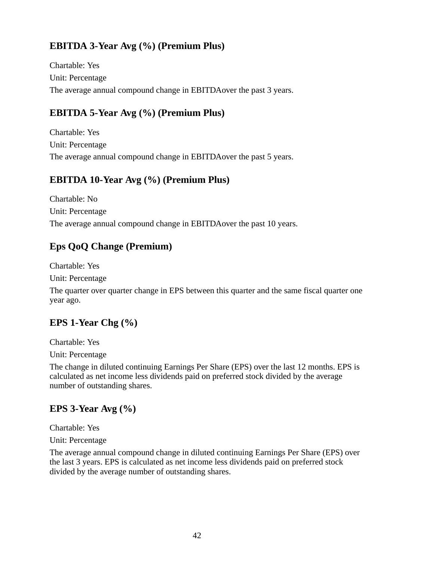## **EBITDA 3-Year Avg (%) (Premium Plus)**

Chartable: Yes Unit: Percentage The average annual compound change in EBITDAover the past 3 years.

### **EBITDA 5-Year Avg (%) (Premium Plus)**

Chartable: Yes Unit: Percentage The average annual compound change in EBITDAover the past 5 years.

#### **EBITDA 10-Year Avg (%) (Premium Plus)**

Chartable: No Unit: Percentage The average annual compound change in EBITDAover the past 10 years.

### **Eps QoQ Change (Premium)**

Chartable: Yes

Unit: Percentage

The quarter over quarter change in EPS between this quarter and the same fiscal quarter one year ago.

### **EPS 1-Year Chg (%)**

Chartable: Yes

Unit: Percentage

The change in diluted continuing Earnings Per Share (EPS) over the last 12 months. EPS is calculated as net income less dividends paid on preferred stock divided by the average number of outstanding shares.

### **EPS 3-Year Avg (%)**

Chartable: Yes

Unit: Percentage

The average annual compound change in diluted continuing Earnings Per Share (EPS) over the last 3 years. EPS is calculated as net income less dividends paid on preferred stock divided by the average number of outstanding shares.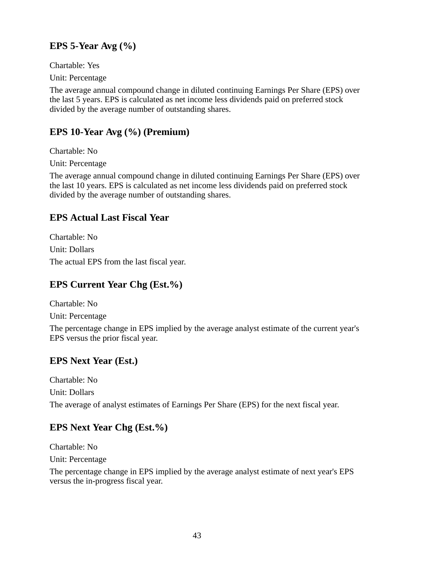## **EPS 5-Year Avg (%)**

Chartable: Yes

Unit: Percentage

The average annual compound change in diluted continuing Earnings Per Share (EPS) over the last 5 years. EPS is calculated as net income less dividends paid on preferred stock divided by the average number of outstanding shares.

## **EPS 10-Year Avg (%) (Premium)**

Chartable: No

Unit: Percentage

The average annual compound change in diluted continuing Earnings Per Share (EPS) over the last 10 years. EPS is calculated as net income less dividends paid on preferred stock divided by the average number of outstanding shares.

## **EPS Actual Last Fiscal Year**

Chartable: No Unit: Dollars The actual EPS from the last fiscal year.

## **EPS Current Year Chg (Est.%)**

Chartable: No

Unit: Percentage

The percentage change in EPS implied by the average analyst estimate of the current year's EPS versus the prior fiscal year.

## **EPS Next Year (Est.)**

Chartable: No Unit: Dollars The average of analyst estimates of Earnings Per Share (EPS) for the next fiscal year.

## **EPS Next Year Chg (Est.%)**

Chartable: No Unit: Percentage

The percentage change in EPS implied by the average analyst estimate of next year's EPS versus the in-progress fiscal year.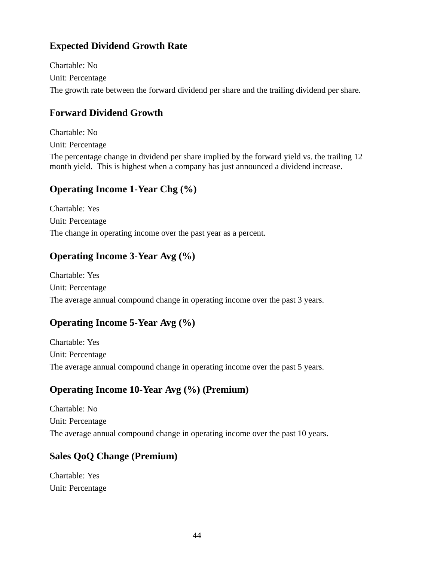## **Expected Dividend Growth Rate**

Chartable: No Unit: Percentage The growth rate between the forward dividend per share and the trailing dividend per share.

## **Forward Dividend Growth**

Chartable: No Unit: Percentage

The percentage change in dividend per share implied by the forward yield vs. the trailing 12 month yield. This is highest when a company has just announced a dividend increase.

### **Operating Income 1-Year Chg (%)**

Chartable: Yes Unit: Percentage The change in operating income over the past year as a percent.

## **Operating Income 3-Year Avg (%)**

Chartable: Yes Unit: Percentage The average annual compound change in operating income over the past 3 years.

## **Operating Income 5-Year Avg (%)**

Chartable: Yes Unit: Percentage The average annual compound change in operating income over the past 5 years.

## **Operating Income 10-Year Avg (%) (Premium)**

Chartable: No Unit: Percentage The average annual compound change in operating income over the past 10 years.

## **Sales QoQ Change (Premium)**

Chartable: Yes Unit: Percentage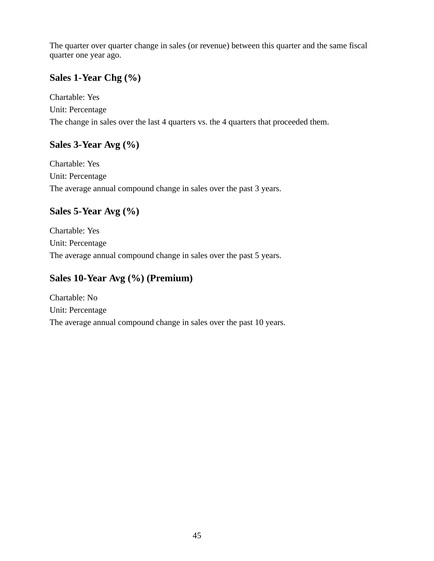The quarter over quarter change in sales (or revenue) between this quarter and the same fiscal quarter one year ago.

## **Sales 1-Year Chg (%)**

Chartable: Yes Unit: Percentage The change in sales over the last 4 quarters vs. the 4 quarters that proceeded them.

### **Sales 3-Year Avg (%)**

Chartable: Yes Unit: Percentage The average annual compound change in sales over the past 3 years.

## **Sales 5-Year Avg (%)**

Chartable: Yes Unit: Percentage The average annual compound change in sales over the past 5 years.

## **Sales 10-Year Avg (%) (Premium)**

Chartable: No Unit: Percentage The average annual compound change in sales over the past 10 years.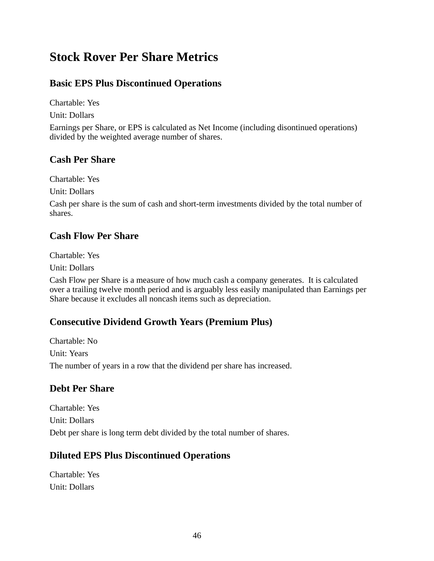# **Stock Rover Per Share Metrics**

### **Basic EPS Plus Discontinued Operations**

Chartable: Yes

Unit: Dollars

Earnings per Share, or EPS is calculated as Net Income (including disontinued operations) divided by the weighted average number of shares.

#### **Cash Per Share**

Chartable: Yes

Unit: Dollars

Cash per share is the sum of cash and short-term investments divided by the total number of shares.

#### **Cash Flow Per Share**

Chartable: Yes

Unit: Dollars

Cash Flow per Share is a measure of how much cash a company generates. It is calculated over a trailing twelve month period and is arguably less easily manipulated than Earnings per Share because it excludes all noncash items such as depreciation.

### **Consecutive Dividend Growth Years (Premium Plus)**

Chartable: No Unit: Years The number of years in a row that the dividend per share has increased.

### **Debt Per Share**

Chartable: Yes Unit: Dollars Debt per share is long term debt divided by the total number of shares.

### **Diluted EPS Plus Discontinued Operations**

Chartable: Yes Unit: Dollars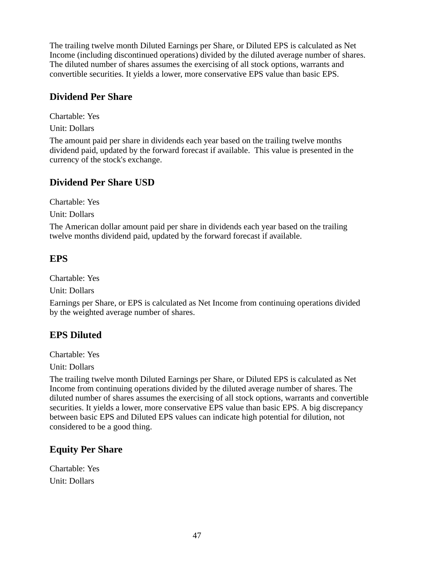The trailing twelve month Diluted Earnings per Share, or Diluted EPS is calculated as Net Income (including discontinued operations) divided by the diluted average number of shares. The diluted number of shares assumes the exercising of all stock options, warrants and convertible securities. It yields a lower, more conservative EPS value than basic EPS.

### **Dividend Per Share**

Chartable: Yes

Unit: Dollars

The amount paid per share in dividends each year based on the trailing twelve months dividend paid, updated by the forward forecast if available. This value is presented in the currency of the stock's exchange.

### **Dividend Per Share USD**

Chartable: Yes

Unit: Dollars

The American dollar amount paid per share in dividends each year based on the trailing twelve months dividend paid, updated by the forward forecast if available.

### **EPS**

Chartable: Yes

Unit: Dollars

Earnings per Share, or EPS is calculated as Net Income from continuing operations divided by the weighted average number of shares.

#### **EPS Diluted**

Chartable: Yes

Unit: Dollars

The trailing twelve month Diluted Earnings per Share, or Diluted EPS is calculated as Net Income from continuing operations divided by the diluted average number of shares. The diluted number of shares assumes the exercising of all stock options, warrants and convertible securities. It yields a lower, more conservative EPS value than basic EPS. A big discrepancy between basic EPS and Diluted EPS values can indicate high potential for dilution, not considered to be a good thing.

### **Equity Per Share**

Chartable: Yes Unit: Dollars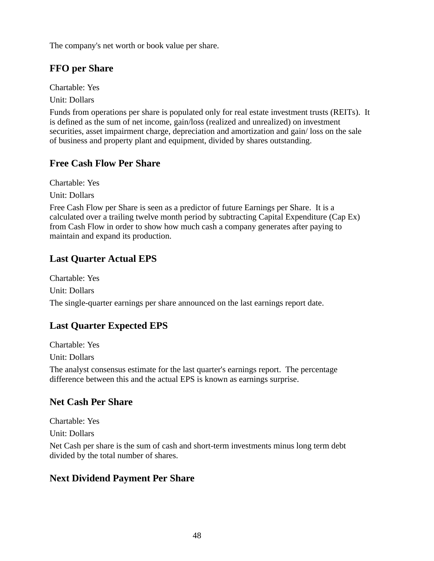The company's net worth or book value per share.

### **FFO per Share**

Chartable: Yes

Unit: Dollars

Funds from operations per share is populated only for real estate investment trusts (REITs). It is defined as the sum of net income, gain/loss (realized and unrealized) on investment securities, asset impairment charge, depreciation and amortization and gain/ loss on the sale of business and property plant and equipment, divided by shares outstanding.

## **Free Cash Flow Per Share**

Chartable: Yes

Unit: Dollars

Free Cash Flow per Share is seen as a predictor of future Earnings per Share. It is a calculated over a trailing twelve month period by subtracting Capital Expenditure (Cap Ex) from Cash Flow in order to show how much cash a company generates after paying to maintain and expand its production.

## **Last Quarter Actual EPS**

Chartable: Yes Unit: Dollars The single-quarter earnings per share announced on the last earnings report date.

## **Last Quarter Expected EPS**

Chartable: Yes

Unit: Dollars

The analyst consensus estimate for the last quarter's earnings report. The percentage difference between this and the actual EPS is known as earnings surprise.

## **Net Cash Per Share**

Chartable: Yes

Unit: Dollars

Net Cash per share is the sum of cash and short-term investments minus long term debt divided by the total number of shares.

## **Next Dividend Payment Per Share**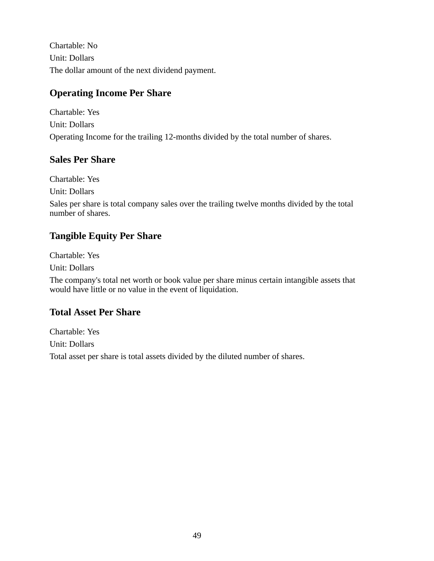Chartable: No Unit: Dollars The dollar amount of the next dividend payment.

## **Operating Income Per Share**

Chartable: Yes Unit: Dollars Operating Income for the trailing 12-months divided by the total number of shares.

### **Sales Per Share**

Chartable: Yes

Unit: Dollars

Sales per share is total company sales over the trailing twelve months divided by the total number of shares.

## **Tangible Equity Per Share**

Chartable: Yes

Unit: Dollars

The company's total net worth or book value per share minus certain intangible assets that would have little or no value in the event of liquidation.

### **Total Asset Per Share**

Chartable: Yes Unit: Dollars Total asset per share is total assets divided by the diluted number of shares.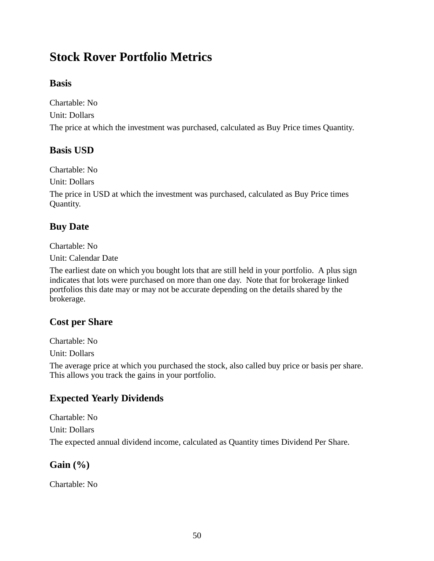# **Stock Rover Portfolio Metrics**

### **Basis**

Chartable: No Unit: Dollars The price at which the investment was purchased, calculated as Buy Price times Quantity.

### **Basis USD**

Chartable: No

Unit: Dollars

The price in USD at which the investment was purchased, calculated as Buy Price times Quantity.

## **Buy Date**

Chartable: No

Unit: Calendar Date

The earliest date on which you bought lots that are still held in your portfolio. A plus sign indicates that lots were purchased on more than one day. Note that for brokerage linked portfolios this date may or may not be accurate depending on the details shared by the brokerage.

### **Cost per Share**

Chartable: No

Unit: Dollars

The average price at which you purchased the stock, also called buy price or basis per share. This allows you track the gains in your portfolio.

## **Expected Yearly Dividends**

Chartable: No Unit: Dollars The expected annual dividend income, calculated as Quantity times Dividend Per Share.

### **Gain (%)**

Chartable: No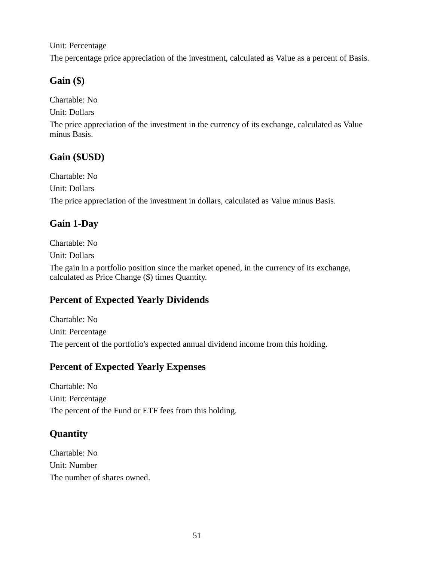Unit: Percentage

The percentage price appreciation of the investment, calculated as Value as a percent of Basis.

## **Gain (\$)**

Chartable: No

Unit: Dollars

The price appreciation of the investment in the currency of its exchange, calculated as Value minus Basis.

## **Gain (\$USD)**

Chartable: No Unit: Dollars The price appreciation of the investment in dollars, calculated as Value minus Basis.

## **Gain 1-Day**

Chartable: No

Unit: Dollars

The gain in a portfolio position since the market opened, in the currency of its exchange, calculated as Price Change (\$) times Quantity.

## **Percent of Expected Yearly Dividends**

Chartable: No Unit: Percentage The percent of the portfolio's expected annual dividend income from this holding.

## **Percent of Expected Yearly Expenses**

Chartable: No Unit: Percentage The percent of the Fund or ETF fees from this holding.

## **Quantity**

Chartable: No Unit: Number The number of shares owned.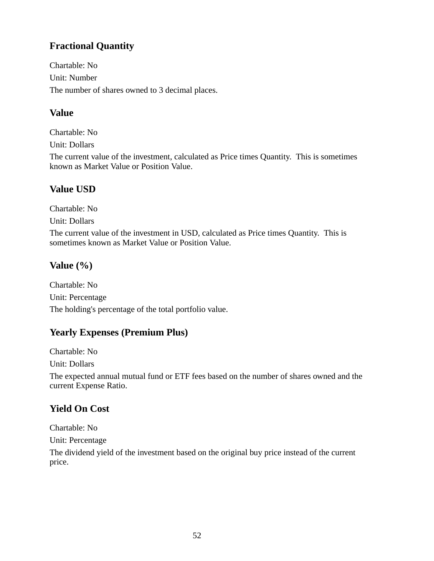## **Fractional Quantity**

Chartable: No Unit: Number The number of shares owned to 3 decimal places.

### **Value**

Chartable: No Unit: Dollars

The current value of the investment, calculated as Price times Quantity. This is sometimes known as Market Value or Position Value.

## **Value USD**

Chartable: No

Unit: Dollars

The current value of the investment in USD, calculated as Price times Quantity. This is sometimes known as Market Value or Position Value.

## **Value (%)**

Chartable: No Unit: Percentage The holding's percentage of the total portfolio value.

## **Yearly Expenses (Premium Plus)**

Chartable: No

Unit: Dollars

The expected annual mutual fund or ETF fees based on the number of shares owned and the current Expense Ratio.

## **Yield On Cost**

Chartable: No

Unit: Percentage

The dividend yield of the investment based on the original buy price instead of the current price.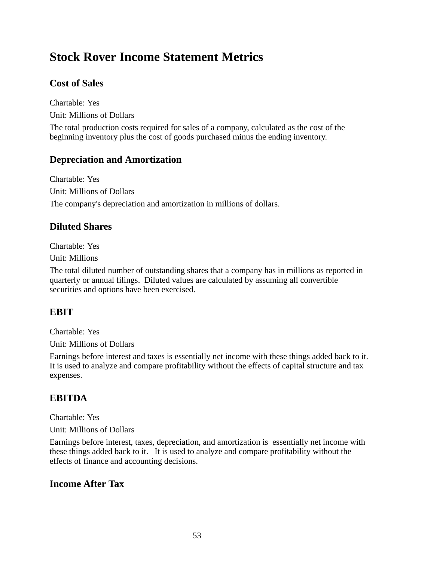# **Stock Rover Income Statement Metrics**

### **Cost of Sales**

Chartable: Yes Unit: Millions of Dollars

The total production costs required for sales of a company, calculated as the cost of the beginning inventory plus the cost of goods purchased minus the ending inventory.

### **Depreciation and Amortization**

Chartable: Yes Unit: Millions of Dollars The company's depreciation and amortization in millions of dollars.

#### **Diluted Shares**

Chartable: Yes

Unit: Millions

The total diluted number of outstanding shares that a company has in millions as reported in quarterly or annual filings. Diluted values are calculated by assuming all convertible securities and options have been exercised.

### **EBIT**

Chartable: Yes

Unit: Millions of Dollars

Earnings before interest and taxes is essentially net income with these things added back to it. It is used to analyze and compare profitability without the effects of capital structure and tax expenses.

### **EBITDA**

Chartable: Yes

Unit: Millions of Dollars

Earnings before interest, taxes, depreciation, and amortization is essentially net income with these things added back to it. It is used to analyze and compare profitability without the effects of finance and accounting decisions.

#### **Income After Tax**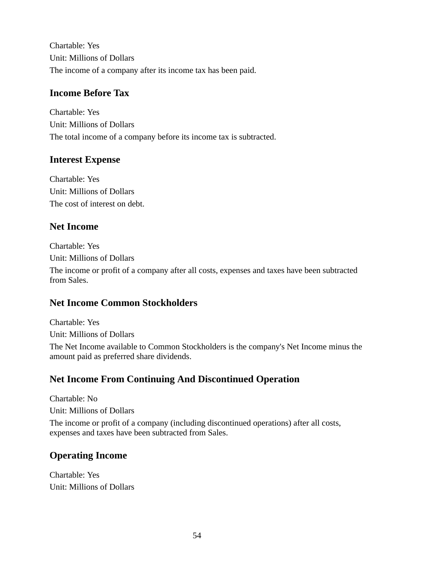Chartable: Yes Unit: Millions of Dollars The income of a company after its income tax has been paid.

#### **Income Before Tax**

Chartable: Yes Unit: Millions of Dollars The total income of a company before its income tax is subtracted.

### **Interest Expense**

Chartable: Yes Unit: Millions of Dollars The cost of interest on debt.

### **Net Income**

Chartable: Yes Unit: Millions of Dollars

The income or profit of a company after all costs, expenses and taxes have been subtracted from Sales.

### **Net Income Common Stockholders**

Chartable: Yes Unit: Millions of Dollars

The Net Income available to Common Stockholders is the company's Net Income minus the amount paid as preferred share dividends.

## **Net Income From Continuing And Discontinued Operation**

Chartable: No Unit: Millions of Dollars The income or profit of a company (including discontinued operations) after all costs, expenses and taxes have been subtracted from Sales.

## **Operating Income**

Chartable: Yes Unit: Millions of Dollars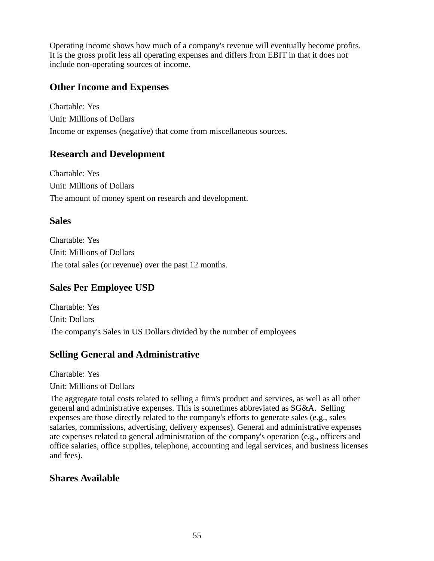Operating income shows how much of a company's revenue will eventually become profits. It is the gross profit less all operating expenses and differs from EBIT in that it does not include non-operating sources of income.

#### **Other Income and Expenses**

Chartable: Yes Unit: Millions of Dollars Income or expenses (negative) that come from miscellaneous sources.

#### **Research and Development**

Chartable: Yes Unit: Millions of Dollars The amount of money spent on research and development.

#### **Sales**

Chartable: Yes Unit: Millions of Dollars The total sales (or revenue) over the past 12 months.

### **Sales Per Employee USD**

Chartable: Yes Unit: Dollars The company's Sales in US Dollars divided by the number of employees

### **Selling General and Administrative**

Chartable: Yes

#### Unit: Millions of Dollars

The aggregate total costs related to selling a firm's product and services, as well as all other general and administrative expenses. This is sometimes abbreviated as SG&A. Selling expenses are those directly related to the company's efforts to generate sales (e.g., sales salaries, commissions, advertising, delivery expenses). General and administrative expenses are expenses related to general administration of the company's operation (e.g., officers and office salaries, office supplies, telephone, accounting and legal services, and business licenses and fees).

#### **Shares Available**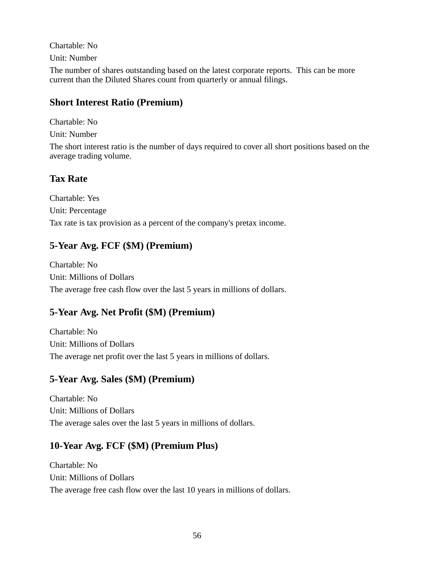Chartable: No Unit: Number The number of shares outstanding based on the latest corporate reports. This can be more current than the Diluted Shares count from quarterly or annual filings.

### **Short Interest Ratio (Premium)**

Chartable: No

Unit: Number

The short interest ratio is the number of days required to cover all short positions based on the average trading volume.

## **Tax Rate**

Chartable: Yes Unit: Percentage Tax rate is tax provision as a percent of the company's pretax income.

## **5-Year Avg. FCF (\$M) (Premium)**

Chartable: No Unit: Millions of Dollars The average free cash flow over the last 5 years in millions of dollars.

## **5-Year Avg. Net Profit (\$M) (Premium)**

Chartable: No Unit: Millions of Dollars The average net profit over the last 5 years in millions of dollars.

## **5-Year Avg. Sales (\$M) (Premium)**

Chartable: No Unit: Millions of Dollars The average sales over the last 5 years in millions of dollars.

## **10-Year Avg. FCF (\$M) (Premium Plus)**

Chartable: No Unit: Millions of Dollars The average free cash flow over the last 10 years in millions of dollars.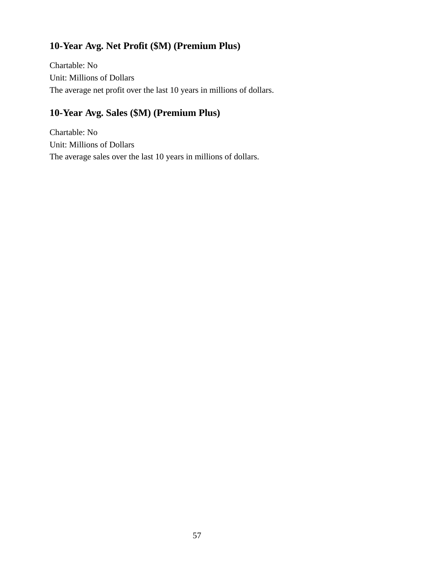## **10-Year Avg. Net Profit (\$M) (Premium Plus)**

Chartable: No Unit: Millions of Dollars The average net profit over the last 10 years in millions of dollars.

## **10-Year Avg. Sales (\$M) (Premium Plus)**

Chartable: No Unit: Millions of Dollars The average sales over the last 10 years in millions of dollars.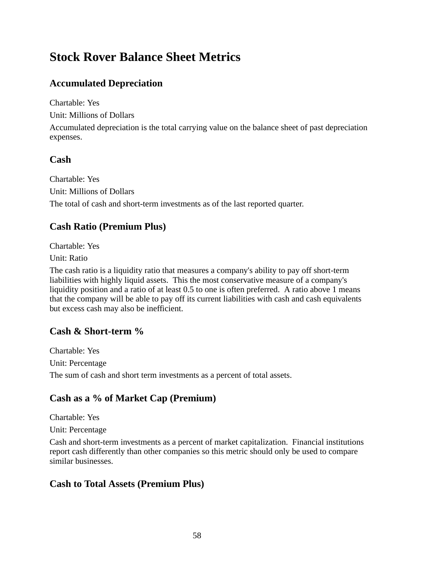# **Stock Rover Balance Sheet Metrics**

## **Accumulated Depreciation**

Chartable: Yes

Unit: Millions of Dollars

Accumulated depreciation is the total carrying value on the balance sheet of past depreciation expenses.

### **Cash**

Chartable: Yes Unit: Millions of Dollars The total of cash and short-term investments as of the last reported quarter.

### **Cash Ratio (Premium Plus)**

Chartable: Yes

Unit: Ratio

The cash ratio is a liquidity ratio that measures a company's ability to pay off short-term liabilities with highly liquid assets. This the most conservative measure of a company's liquidity position and a ratio of at least 0.5 to one is often preferred. A ratio above 1 means that the company will be able to pay off its current liabilities with cash and cash equivalents but excess cash may also be inefficient.

### **Cash & Short-term %**

Chartable: Yes Unit: Percentage The sum of cash and short term investments as a percent of total assets.

## **Cash as a % of Market Cap (Premium)**

Chartable: Yes

Unit: Percentage

Cash and short-term investments as a percent of market capitalization. Financial institutions report cash differently than other companies so this metric should only be used to compare similar businesses.

### **Cash to Total Assets (Premium Plus)**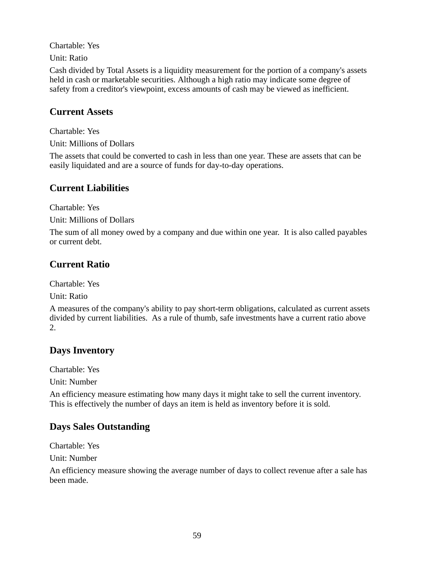Chartable: Yes

Unit: Ratio

Cash divided by Total Assets is a liquidity measurement for the portion of a company's assets held in cash or marketable securities. Although a high ratio may indicate some degree of safety from a creditor's viewpoint, excess amounts of cash may be viewed as inefficient.

#### **Current Assets**

Chartable: Yes

Unit: Millions of Dollars

The assets that could be converted to cash in less than one year. These are assets that can be easily liquidated and are a source of funds for day-to-day operations.

### **Current Liabilities**

Chartable: Yes

Unit: Millions of Dollars

The sum of all money owed by a company and due within one year. It is also called payables or current debt.

## **Current Ratio**

Chartable: Yes

Unit: Ratio

A measures of the company's ability to pay short-term obligations, calculated as current assets divided by current liabilities. As a rule of thumb, safe investments have a current ratio above 2.

### **Days Inventory**

Chartable: Yes

Unit: Number

An efficiency measure estimating how many days it might take to sell the current inventory. This is effectively the number of days an item is held as inventory before it is sold.

### **Days Sales Outstanding**

Chartable: Yes

Unit: Number

An efficiency measure showing the average number of days to collect revenue after a sale has been made.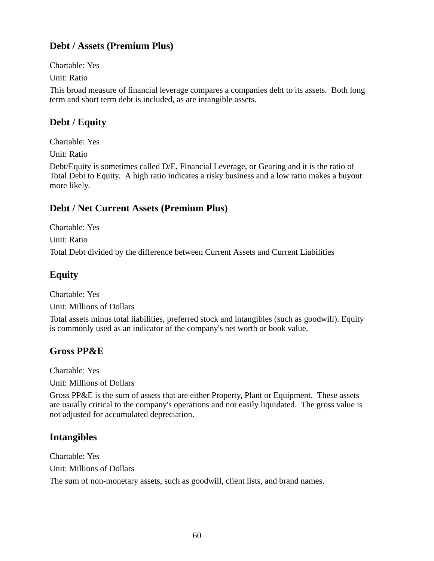## **Debt / Assets (Premium Plus)**

Chartable: Yes

Unit: Ratio

This broad measure of financial leverage compares a companies debt to its assets. Both long term and short term debt is included, as are intangible assets.

## **Debt / Equity**

Chartable: Yes

Unit: Ratio

Debt/Equity is sometimes called D/E, Financial Leverage, or Gearing and it is the ratio of Total Debt to Equity. A high ratio indicates a risky business and a low ratio makes a buyout more likely.

## **Debt / Net Current Assets (Premium Plus)**

Chartable: Yes Unit: Ratio Total Debt divided by the difference between Current Assets and Current Liabilities

## **Equity**

Chartable: Yes Unit: Millions of Dollars

Total assets minus total liabilities, preferred stock and intangibles (such as goodwill). Equity is commonly used as an indicator of the company's net worth or book value.

## **Gross PP&E**

Chartable: Yes

Unit: Millions of Dollars

Gross PP&E is the sum of assets that are either Property, Plant or Equipment. These assets are usually critical to the company's operations and not easily liquidated. The gross value is not adjusted for accumulated depreciation.

## **Intangibles**

Chartable: Yes Unit: Millions of Dollars The sum of non-monetary assets, such as goodwill, client lists, and brand names.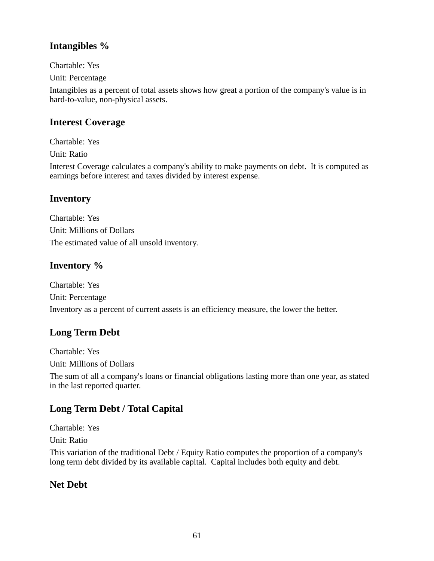### **Intangibles %**

Chartable: Yes

Unit: Percentage

Intangibles as a percent of total assets shows how great a portion of the company's value is in hard-to-value, non-physical assets.

### **Interest Coverage**

Chartable: Yes

Unit: Ratio

Interest Coverage calculates a company's ability to make payments on debt. It is computed as earnings before interest and taxes divided by interest expense.

### **Inventory**

Chartable: Yes Unit: Millions of Dollars The estimated value of all unsold inventory.

### **Inventory %**

Chartable: Yes Unit: Percentage Inventory as a percent of current assets is an efficiency measure, the lower the better.

### **Long Term Debt**

Chartable: Yes Unit: Millions of Dollars

The sum of all a company's loans or financial obligations lasting more than one year, as stated in the last reported quarter.

## **Long Term Debt / Total Capital**

Chartable: Yes

Unit: Ratio

This variation of the traditional Debt / Equity Ratio computes the proportion of a company's long term debt divided by its available capital. Capital includes both equity and debt.

### **Net Debt**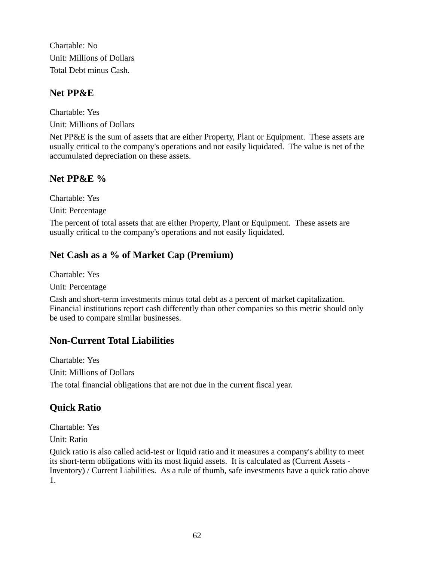Chartable: No Unit: Millions of Dollars Total Debt minus Cash.

### **Net PP&E**

Chartable: Yes Unit: Millions of Dollars

Net PP&E is the sum of assets that are either Property, Plant or Equipment. These assets are usually critical to the company's operations and not easily liquidated. The value is net of the accumulated depreciation on these assets.

## **Net PP&E %**

Chartable: Yes Unit: Percentage

The percent of total assets that are either Property, Plant or Equipment. These assets are usually critical to the company's operations and not easily liquidated.

## **Net Cash as a % of Market Cap (Premium)**

Chartable: Yes

Unit: Percentage

Cash and short-term investments minus total debt as a percent of market capitalization. Financial institutions report cash differently than other companies so this metric should only be used to compare similar businesses.

## **Non-Current Total Liabilities**

Chartable: Yes Unit: Millions of Dollars The total financial obligations that are not due in the current fiscal year.

## **Quick Ratio**

Chartable: Yes

Unit: Ratio

Quick ratio is also called acid-test or liquid ratio and it measures a company's ability to meet its short-term obligations with its most liquid assets. It is calculated as (Current Assets - Inventory) / Current Liabilities. As a rule of thumb, safe investments have a quick ratio above 1.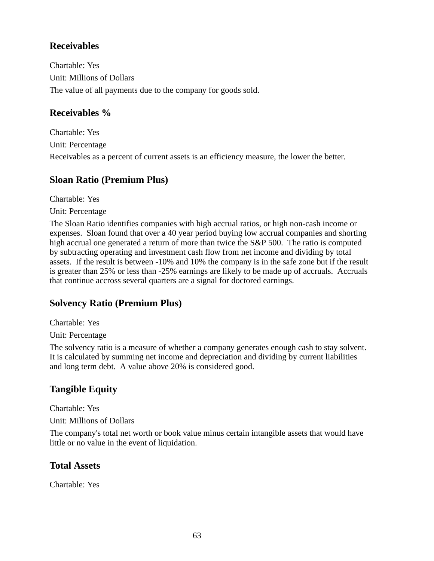## **Receivables**

Chartable: Yes Unit: Millions of Dollars The value of all payments due to the company for goods sold.

### **Receivables %**

Chartable: Yes Unit: Percentage Receivables as a percent of current assets is an efficiency measure, the lower the better.

### **Sloan Ratio (Premium Plus)**

Chartable: Yes

Unit: Percentage

The Sloan Ratio identifies companies with high accrual ratios, or high non-cash income or expenses. Sloan found that over a 40 year period buying low accrual companies and shorting high accrual one generated a return of more than twice the S&P 500. The ratio is computed by subtracting operating and investment cash flow from net income and dividing by total assets. If the result is between -10% and 10% the company is in the safe zone but if the result is greater than 25% or less than -25% earnings are likely to be made up of accruals. Accruals that continue accross several quarters are a signal for doctored earnings.

## **Solvency Ratio (Premium Plus)**

Chartable: Yes

Unit: Percentage

The solvency ratio is a measure of whether a company generates enough cash to stay solvent. It is calculated by summing net income and depreciation and dividing by current liabilities and long term debt. A value above 20% is considered good.

## **Tangible Equity**

Chartable: Yes

Unit: Millions of Dollars

The company's total net worth or book value minus certain intangible assets that would have little or no value in the event of liquidation.

### **Total Assets**

Chartable: Yes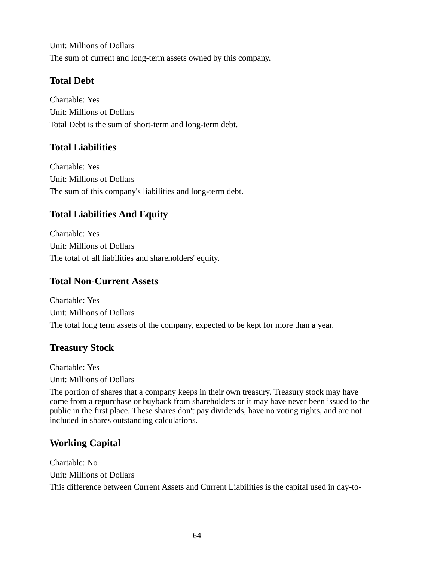Unit: Millions of Dollars The sum of current and long-term assets owned by this company.

## **Total Debt**

Chartable: Yes Unit: Millions of Dollars Total Debt is the sum of short-term and long-term debt.

## **Total Liabilities**

Chartable: Yes Unit: Millions of Dollars The sum of this company's liabilities and long-term debt.

## **Total Liabilities And Equity**

Chartable: Yes Unit: Millions of Dollars The total of all liabilities and shareholders' equity.

### **Total Non-Current Assets**

Chartable: Yes Unit: Millions of Dollars The total long term assets of the company, expected to be kept for more than a year.

## **Treasury Stock**

Chartable: Yes Unit: Millions of Dollars

The portion of shares that a company keeps in their own treasury. Treasury stock may have come from a repurchase or buyback from shareholders or it may have never been issued to the public in the first place. These shares don't pay dividends, have no voting rights, and are not included in shares outstanding calculations.

## **Working Capital**

Chartable: No Unit: Millions of Dollars This difference between Current Assets and Current Liabilities is the capital used in day-to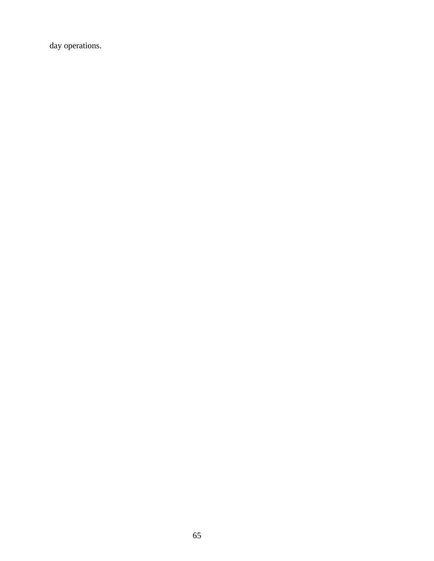day operations.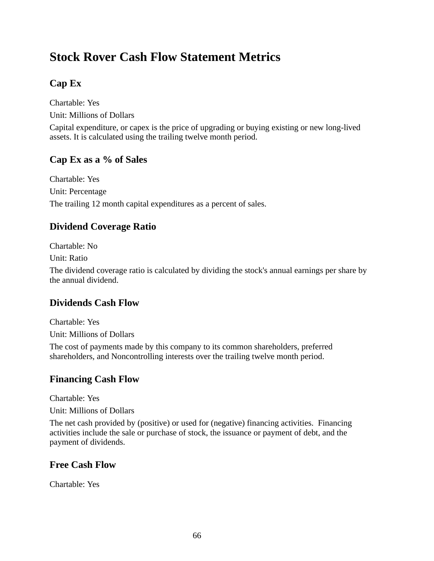# **Stock Rover Cash Flow Statement Metrics**

## **Cap Ex**

Chartable: Yes Unit: Millions of Dollars

Capital expenditure, or capex is the price of upgrading or buying existing or new long-lived assets. It is calculated using the trailing twelve month period.

### **Cap Ex as a % of Sales**

Chartable: Yes Unit: Percentage The trailing 12 month capital expenditures as a percent of sales.

### **Dividend Coverage Ratio**

Chartable: No

Unit: Ratio

The dividend coverage ratio is calculated by dividing the stock's annual earnings per share by the annual dividend.

### **Dividends Cash Flow**

Chartable: Yes

Unit: Millions of Dollars

The cost of payments made by this company to its common shareholders, preferred shareholders, and Noncontrolling interests over the trailing twelve month period.

### **Financing Cash Flow**

Chartable: Yes

Unit: Millions of Dollars

The net cash provided by (positive) or used for (negative) financing activities. Financing activities include the sale or purchase of stock, the issuance or payment of debt, and the payment of dividends.

### **Free Cash Flow**

Chartable: Yes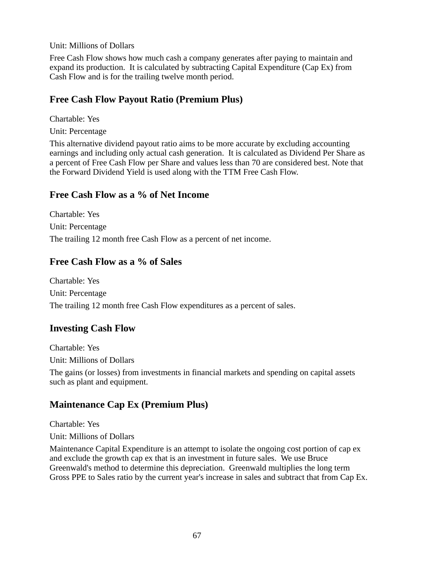Unit: Millions of Dollars

Free Cash Flow shows how much cash a company generates after paying to maintain and expand its production. It is calculated by subtracting Capital Expenditure (Cap Ex) from Cash Flow and is for the trailing twelve month period.

### **Free Cash Flow Payout Ratio (Premium Plus)**

Chartable: Yes

Unit: Percentage

This alternative dividend payout ratio aims to be more accurate by excluding accounting earnings and including only actual cash generation. It is calculated as Dividend Per Share as a percent of Free Cash Flow per Share and values less than 70 are considered best. Note that the Forward Dividend Yield is used along with the TTM Free Cash Flow.

#### **Free Cash Flow as a % of Net Income**

Chartable: Yes Unit: Percentage The trailing 12 month free Cash Flow as a percent of net income.

### **Free Cash Flow as a % of Sales**

Chartable: Yes Unit: Percentage The trailing 12 month free Cash Flow expenditures as a percent of sales.

### **Investing Cash Flow**

Chartable: Yes Unit: Millions of Dollars

The gains (or losses) from investments in financial markets and spending on capital assets such as plant and equipment.

## **Maintenance Cap Ex (Premium Plus)**

Chartable: Yes

Unit: Millions of Dollars

Maintenance Capital Expenditure is an attempt to isolate the ongoing cost portion of cap ex and exclude the growth cap ex that is an investment in future sales. We use Bruce Greenwald's method to determine this depreciation. Greenwald multiplies the long term Gross PPE to Sales ratio by the current year's increase in sales and subtract that from Cap Ex.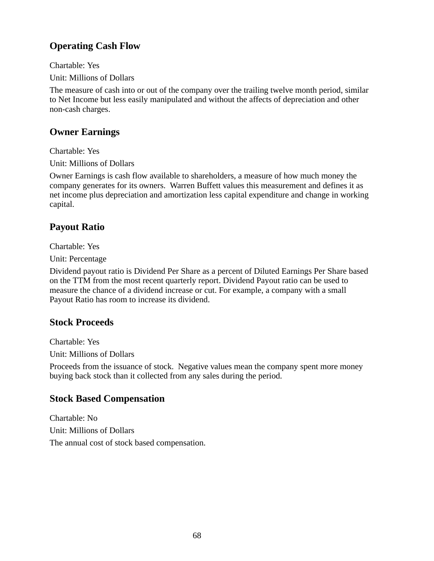## **Operating Cash Flow**

Chartable: Yes

Unit: Millions of Dollars

The measure of cash into or out of the company over the trailing twelve month period, similar to Net Income but less easily manipulated and without the affects of depreciation and other non-cash charges.

## **Owner Earnings**

Chartable: Yes

Unit: Millions of Dollars

Owner Earnings is cash flow available to shareholders, a measure of how much money the company generates for its owners. Warren Buffett values this measurement and defines it as net income plus depreciation and amortization less capital expenditure and change in working capital.

## **Payout Ratio**

Chartable: Yes

Unit: Percentage

Dividend payout ratio is Dividend Per Share as a percent of Diluted Earnings Per Share based on the TTM from the most recent quarterly report. Dividend Payout ratio can be used to measure the chance of a dividend increase or cut. For example, a company with a small Payout Ratio has room to increase its dividend.

### **Stock Proceeds**

Chartable: Yes Unit: Millions of Dollars

Proceeds from the issuance of stock. Negative values mean the company spent more money buying back stock than it collected from any sales during the period.

### **Stock Based Compensation**

Chartable: No Unit: Millions of Dollars The annual cost of stock based compensation.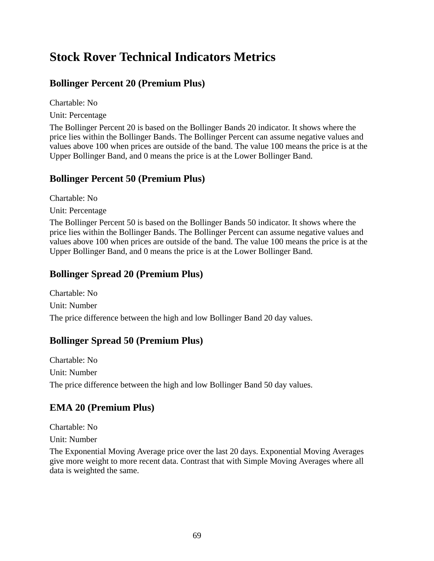# **Stock Rover Technical Indicators Metrics**

## **Bollinger Percent 20 (Premium Plus)**

Chartable: No

Unit: Percentage

The Bollinger Percent 20 is based on the Bollinger Bands 20 indicator. It shows where the price lies within the Bollinger Bands. The Bollinger Percent can assume negative values and values above 100 when prices are outside of the band. The value 100 means the price is at the Upper Bollinger Band, and 0 means the price is at the Lower Bollinger Band.

## **Bollinger Percent 50 (Premium Plus)**

Chartable: No

Unit: Percentage

The Bollinger Percent 50 is based on the Bollinger Bands 50 indicator. It shows where the price lies within the Bollinger Bands. The Bollinger Percent can assume negative values and values above 100 when prices are outside of the band. The value 100 means the price is at the Upper Bollinger Band, and 0 means the price is at the Lower Bollinger Band.

### **Bollinger Spread 20 (Premium Plus)**

Chartable: No Unit: Number The price difference between the high and low Bollinger Band 20 day values.

## **Bollinger Spread 50 (Premium Plus)**

Chartable: No Unit: Number The price difference between the high and low Bollinger Band 50 day values.

## **EMA 20 (Premium Plus)**

Chartable: No

Unit: Number

The Exponential Moving Average price over the last 20 days. Exponential Moving Averages give more weight to more recent data. Contrast that with Simple Moving Averages where all data is weighted the same.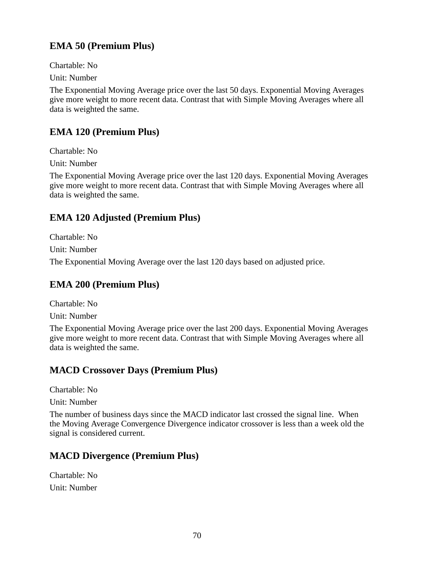## **EMA 50 (Premium Plus)**

Chartable: No

Unit: Number

The Exponential Moving Average price over the last 50 days. Exponential Moving Averages give more weight to more recent data. Contrast that with Simple Moving Averages where all data is weighted the same.

## **EMA 120 (Premium Plus)**

Chartable: No

Unit: Number

The Exponential Moving Average price over the last 120 days. Exponential Moving Averages give more weight to more recent data. Contrast that with Simple Moving Averages where all data is weighted the same.

## **EMA 120 Adjusted (Premium Plus)**

Chartable: No

Unit: Number

The Exponential Moving Average over the last 120 days based on adjusted price.

## **EMA 200 (Premium Plus)**

Chartable: No Unit: Number

The Exponential Moving Average price over the last 200 days. Exponential Moving Averages give more weight to more recent data. Contrast that with Simple Moving Averages where all data is weighted the same.

## **MACD Crossover Days (Premium Plus)**

Chartable: No

Unit: Number

The number of business days since the MACD indicator last crossed the signal line. When the Moving Average Convergence Divergence indicator crossover is less than a week old the signal is considered current.

## **MACD Divergence (Premium Plus)**

Chartable: No Unit: Number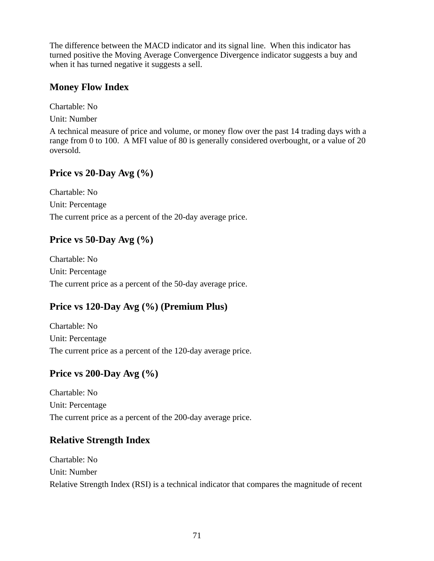The difference between the MACD indicator and its signal line. When this indicator has turned positive the Moving Average Convergence Divergence indicator suggests a buy and when it has turned negative it suggests a sell.

### **Money Flow Index**

Chartable: No

Unit: Number

A technical measure of price and volume, or money flow over the past 14 trading days with a range from 0 to 100. A MFI value of 80 is generally considered overbought, or a value of 20 oversold.

## **Price vs 20-Day Avg (%)**

Chartable: No Unit: Percentage The current price as a percent of the 20-day average price.

## **Price vs 50-Day Avg (%)**

Chartable: No Unit: Percentage The current price as a percent of the 50-day average price.

## **Price vs 120-Day Avg (%) (Premium Plus)**

Chartable: No Unit: Percentage The current price as a percent of the 120-day average price.

### **Price vs 200-Day Avg (%)**

Chartable: No Unit: Percentage The current price as a percent of the 200-day average price.

### **Relative Strength Index**

Chartable: No Unit: Number Relative Strength Index (RSI) is a technical indicator that compares the magnitude of recent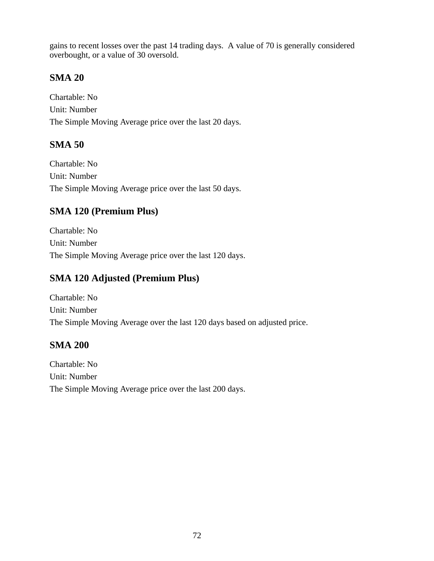gains to recent losses over the past 14 trading days. A value of 70 is generally considered overbought, or a value of 30 oversold.

### **SMA 20**

Chartable: No Unit: Number The Simple Moving Average price over the last 20 days.

### **SMA 50**

Chartable: No Unit: Number The Simple Moving Average price over the last 50 days.

## **SMA 120 (Premium Plus)**

Chartable: No Unit: Number The Simple Moving Average price over the last 120 days.

## **SMA 120 Adjusted (Premium Plus)**

Chartable: No Unit: Number The Simple Moving Average over the last 120 days based on adjusted price.

#### **SMA 200**

Chartable: No Unit: Number The Simple Moving Average price over the last 200 days.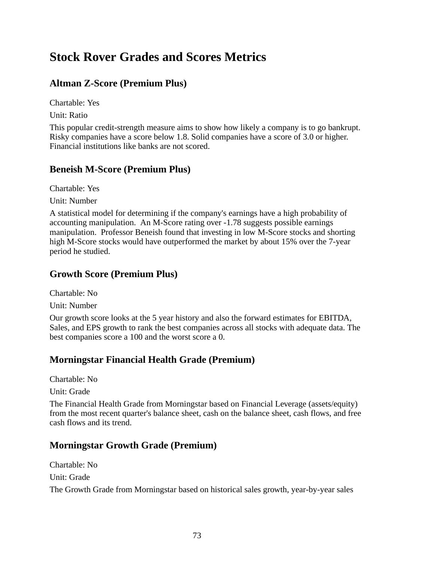# **Stock Rover Grades and Scores Metrics**

## **Altman Z-Score (Premium Plus)**

Chartable: Yes

Unit: Ratio

This popular credit-strength measure aims to show how likely a company is to go bankrupt. Risky companies have a score below 1.8. Solid companies have a score of 3.0 or higher. Financial institutions like banks are not scored.

### **Beneish M-Score (Premium Plus)**

Chartable: Yes

Unit: Number

A statistical model for determining if the company's earnings have a high probability of accounting manipulation. An M-Score rating over -1.78 suggests possible earnings manipulation. Professor Beneish found that investing in low M-Score stocks and shorting high M-Score stocks would have outperformed the market by about 15% over the 7-year period he studied.

## **Growth Score (Premium Plus)**

Chartable: No

Unit: Number

Our growth score looks at the 5 year history and also the forward estimates for EBITDA, Sales, and EPS growth to rank the best companies across all stocks with adequate data. The best companies score a 100 and the worst score a 0.

## **Morningstar Financial Health Grade (Premium)**

Chartable: No

Unit: Grade

The Financial Health Grade from Morningstar based on Financial Leverage (assets/equity) from the most recent quarter's balance sheet, cash on the balance sheet, cash flows, and free cash flows and its trend.

### **Morningstar Growth Grade (Premium)**

Chartable: No

Unit: Grade

The Growth Grade from Morningstar based on historical sales growth, year-by-year sales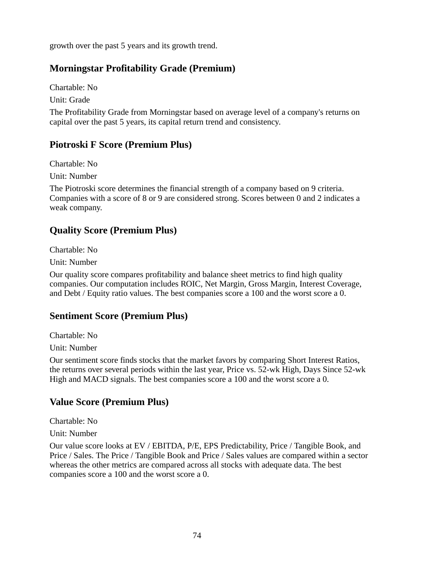growth over the past 5 years and its growth trend.

## **Morningstar Profitability Grade (Premium)**

Chartable: No

Unit: Grade

The Profitability Grade from Morningstar based on average level of a company's returns on capital over the past 5 years, its capital return trend and consistency.

### **Piotroski F Score (Premium Plus)**

Chartable: No

Unit: Number

The Piotroski score determines the financial strength of a company based on 9 criteria. Companies with a score of 8 or 9 are considered strong. Scores between 0 and 2 indicates a weak company.

## **Quality Score (Premium Plus)**

Chartable: No

Unit: Number

Our quality score compares profitability and balance sheet metrics to find high quality companies. Our computation includes ROIC, Net Margin, Gross Margin, Interest Coverage, and Debt / Equity ratio values. The best companies score a 100 and the worst score a 0.

### **Sentiment Score (Premium Plus)**

Chartable: No

Unit: Number

Our sentiment score finds stocks that the market favors by comparing Short Interest Ratios, the returns over several periods within the last year, Price vs. 52-wk High, Days Since 52-wk High and MACD signals. The best companies score a 100 and the worst score a 0.

### **Value Score (Premium Plus)**

Chartable: No

Unit: Number

Our value score looks at EV / EBITDA, P/E, EPS Predictability, Price / Tangible Book, and Price / Sales. The Price / Tangible Book and Price / Sales values are compared within a sector whereas the other metrics are compared across all stocks with adequate data. The best companies score a 100 and the worst score a 0.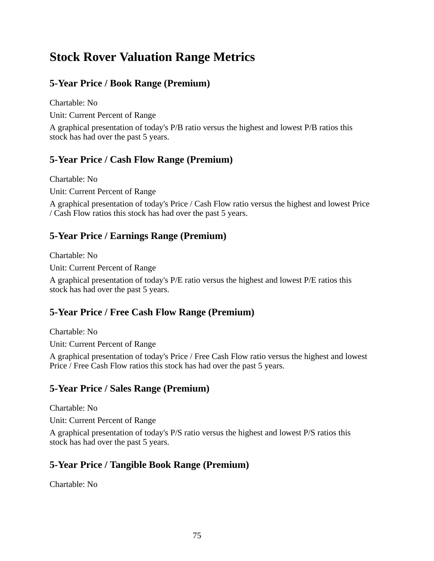# **Stock Rover Valuation Range Metrics**

# **5-Year Price / Book Range (Premium)**

Chartable: No

Unit: Current Percent of Range

A graphical presentation of today's P/B ratio versus the highest and lowest P/B ratios this stock has had over the past 5 years.

### **5-Year Price / Cash Flow Range (Premium)**

Chartable: No

Unit: Current Percent of Range

A graphical presentation of today's Price / Cash Flow ratio versus the highest and lowest Price / Cash Flow ratios this stock has had over the past 5 years.

### **5-Year Price / Earnings Range (Premium)**

Chartable: No

Unit: Current Percent of Range

A graphical presentation of today's P/E ratio versus the highest and lowest P/E ratios this stock has had over the past 5 years.

### **5-Year Price / Free Cash Flow Range (Premium)**

Chartable: No

Unit: Current Percent of Range

A graphical presentation of today's Price / Free Cash Flow ratio versus the highest and lowest Price / Free Cash Flow ratios this stock has had over the past 5 years.

### **5-Year Price / Sales Range (Premium)**

Chartable: No

Unit: Current Percent of Range

A graphical presentation of today's P/S ratio versus the highest and lowest P/S ratios this stock has had over the past 5 years.

# **5-Year Price / Tangible Book Range (Premium)**

Chartable: No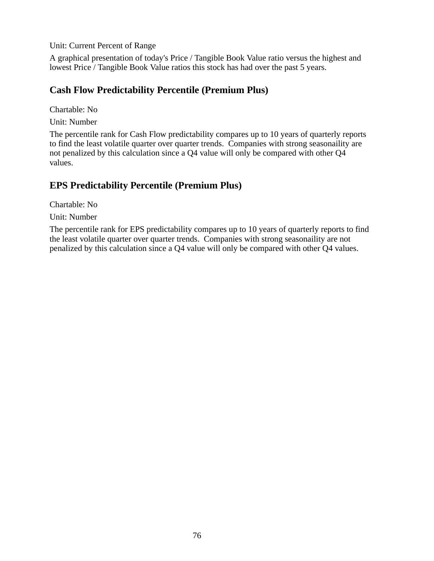Unit: Current Percent of Range

A graphical presentation of today's Price / Tangible Book Value ratio versus the highest and lowest Price / Tangible Book Value ratios this stock has had over the past 5 years.

#### **Cash Flow Predictability Percentile (Premium Plus)**

Chartable: No

Unit: Number

The percentile rank for Cash Flow predictability compares up to 10 years of quarterly reports to find the least volatile quarter over quarter trends. Companies with strong seasonaility are not penalized by this calculation since a Q4 value will only be compared with other Q4 values.

### **EPS Predictability Percentile (Premium Plus)**

Chartable: No

Unit: Number

The percentile rank for EPS predictability compares up to 10 years of quarterly reports to find the least volatile quarter over quarter trends. Companies with strong seasonaility are not penalized by this calculation since a Q4 value will only be compared with other Q4 values.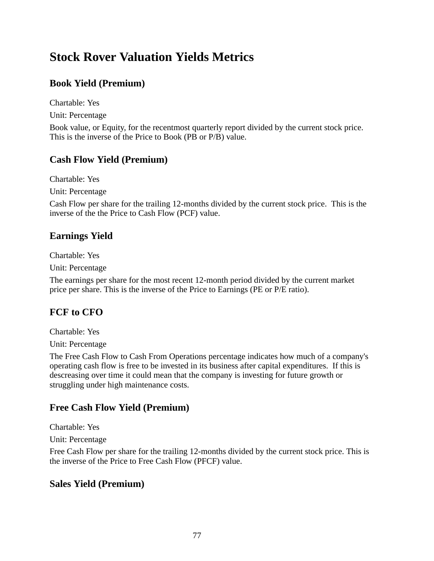# **Stock Rover Valuation Yields Metrics**

## **Book Yield (Premium)**

Chartable: Yes

Unit: Percentage

Book value, or Equity, for the recentmost quarterly report divided by the current stock price. This is the inverse of the Price to Book (PB or P/B) value.

### **Cash Flow Yield (Premium)**

Chartable: Yes

Unit: Percentage

Cash Flow per share for the trailing 12-months divided by the current stock price. This is the inverse of the the Price to Cash Flow (PCF) value.

### **Earnings Yield**

Chartable: Yes

Unit: Percentage

The earnings per share for the most recent 12-month period divided by the current market price per share. This is the inverse of the Price to Earnings (PE or P/E ratio).

### **FCF to CFO**

Chartable: Yes

Unit: Percentage

The Free Cash Flow to Cash From Operations percentage indicates how much of a company's operating cash flow is free to be invested in its business after capital expenditures. If this is descreasing over time it could mean that the company is investing for future growth or struggling under high maintenance costs.

### **Free Cash Flow Yield (Premium)**

Chartable: Yes

Unit: Percentage

Free Cash Flow per share for the trailing 12-months divided by the current stock price. This is the inverse of the Price to Free Cash Flow (PFCF) value.

### **Sales Yield (Premium)**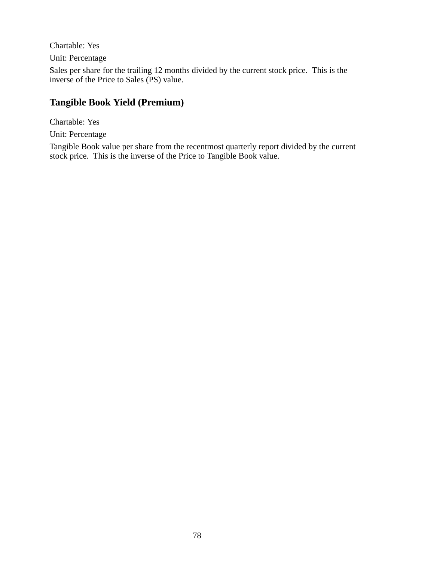Chartable: Yes

Unit: Percentage

Sales per share for the trailing 12 months divided by the current stock price. This is the inverse of the Price to Sales (PS) value.

## **Tangible Book Yield (Premium)**

Chartable: Yes Unit: Percentage

Tangible Book value per share from the recentmost quarterly report divided by the current stock price. This is the inverse of the Price to Tangible Book value.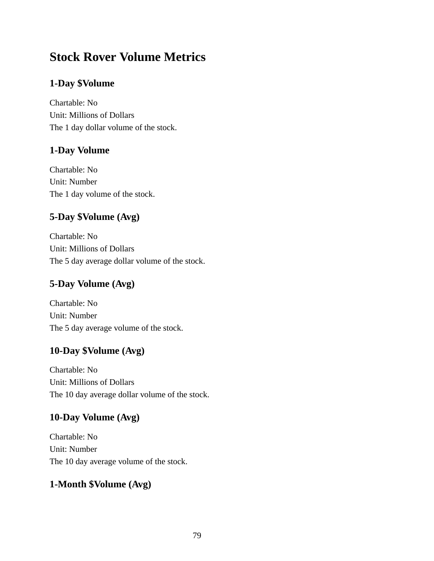# **Stock Rover Volume Metrics**

## **1-Day \$Volume**

Chartable: No Unit: Millions of Dollars The 1 day dollar volume of the stock.

### **1-Day Volume**

Chartable: No Unit: Number The 1 day volume of the stock.

## **5-Day \$Volume (Avg)**

Chartable: No Unit: Millions of Dollars The 5 day average dollar volume of the stock.

# **5-Day Volume (Avg)**

Chartable: No Unit: Number The 5 day average volume of the stock.

### **10-Day \$Volume (Avg)**

Chartable: No Unit: Millions of Dollars The 10 day average dollar volume of the stock.

### **10-Day Volume (Avg)**

Chartable: No Unit: Number The 10 day average volume of the stock.

### **1-Month \$Volume (Avg)**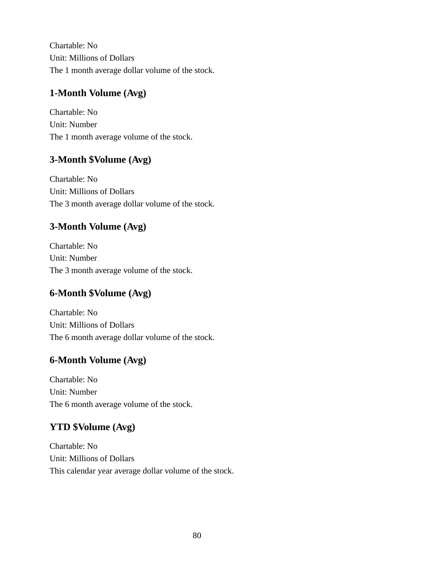Chartable: No Unit: Millions of Dollars The 1 month average dollar volume of the stock.

# **1-Month Volume (Avg)**

Chartable: No Unit: Number The 1 month average volume of the stock.

# **3-Month \$Volume (Avg)**

Chartable: No Unit: Millions of Dollars The 3 month average dollar volume of the stock.

# **3-Month Volume (Avg)**

Chartable: No Unit: Number The 3 month average volume of the stock.

# **6-Month \$Volume (Avg)**

Chartable: No Unit: Millions of Dollars The 6 month average dollar volume of the stock.

# **6-Month Volume (Avg)**

Chartable: No Unit: Number The 6 month average volume of the stock.

# **YTD \$Volume (Avg)**

Chartable: No Unit: Millions of Dollars This calendar year average dollar volume of the stock.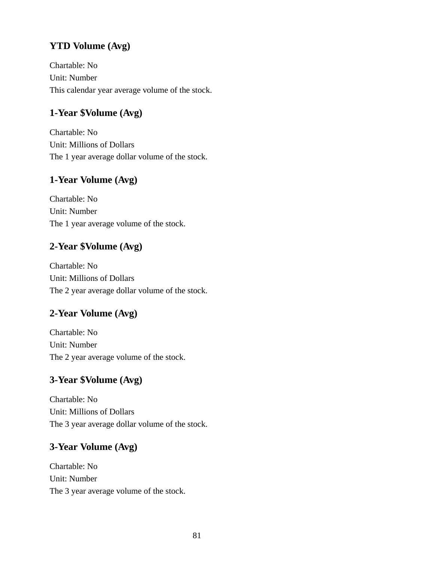# **YTD Volume (Avg)**

Chartable: No Unit: Number This calendar year average volume of the stock.

## **1-Year \$Volume (Avg)**

Chartable: No Unit: Millions of Dollars The 1 year average dollar volume of the stock.

### **1-Year Volume (Avg)**

Chartable: No Unit: Number The 1 year average volume of the stock.

### **2-Year \$Volume (Avg)**

Chartable: No Unit: Millions of Dollars The 2 year average dollar volume of the stock.

### **2-Year Volume (Avg)**

Chartable: No Unit: Number The 2 year average volume of the stock.

### **3-Year \$Volume (Avg)**

Chartable: No Unit: Millions of Dollars The 3 year average dollar volume of the stock.

## **3-Year Volume (Avg)**

Chartable: No Unit: Number The 3 year average volume of the stock.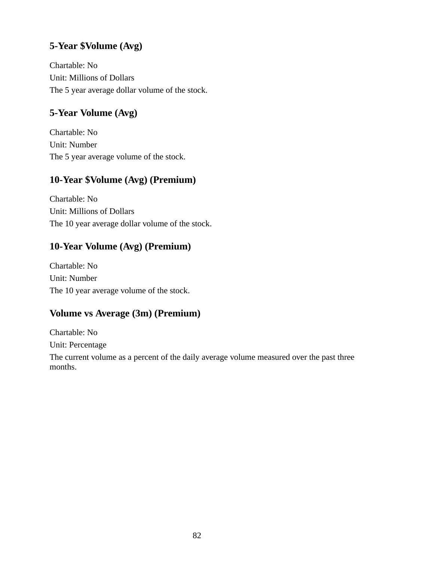## **5-Year \$Volume (Avg)**

Chartable: No Unit: Millions of Dollars The 5 year average dollar volume of the stock.

# **5-Year Volume (Avg)**

Chartable: No Unit: Number The 5 year average volume of the stock.

### **10-Year \$Volume (Avg) (Premium)**

Chartable: No Unit: Millions of Dollars The 10 year average dollar volume of the stock.

### **10-Year Volume (Avg) (Premium)**

Chartable: No Unit: Number The 10 year average volume of the stock.

### **Volume vs Average (3m) (Premium)**

Chartable: No Unit: Percentage

The current volume as a percent of the daily average volume measured over the past three months.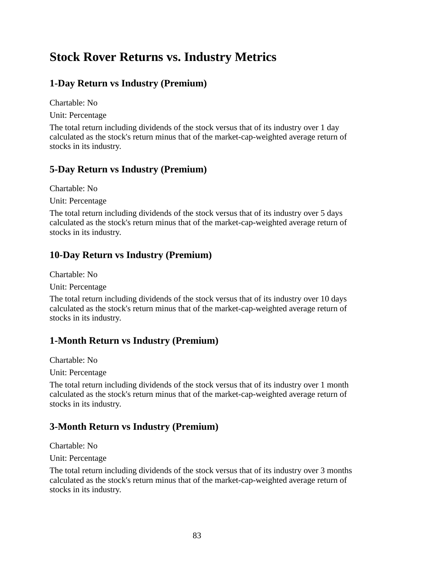# **Stock Rover Returns vs. Industry Metrics**

## **1-Day Return vs Industry (Premium)**

Chartable: No

Unit: Percentage

The total return including dividends of the stock versus that of its industry over 1 day calculated as the stock's return minus that of the market-cap-weighted average return of stocks in its industry.

### **5-Day Return vs Industry (Premium)**

Chartable: No

Unit: Percentage

The total return including dividends of the stock versus that of its industry over 5 days calculated as the stock's return minus that of the market-cap-weighted average return of stocks in its industry.

## **10-Day Return vs Industry (Premium)**

Chartable: No

Unit: Percentage

The total return including dividends of the stock versus that of its industry over 10 days calculated as the stock's return minus that of the market-cap-weighted average return of stocks in its industry.

# **1-Month Return vs Industry (Premium)**

Chartable: No

Unit: Percentage

The total return including dividends of the stock versus that of its industry over 1 month calculated as the stock's return minus that of the market-cap-weighted average return of stocks in its industry.

### **3-Month Return vs Industry (Premium)**

Chartable: No

Unit: Percentage

The total return including dividends of the stock versus that of its industry over 3 months calculated as the stock's return minus that of the market-cap-weighted average return of stocks in its industry.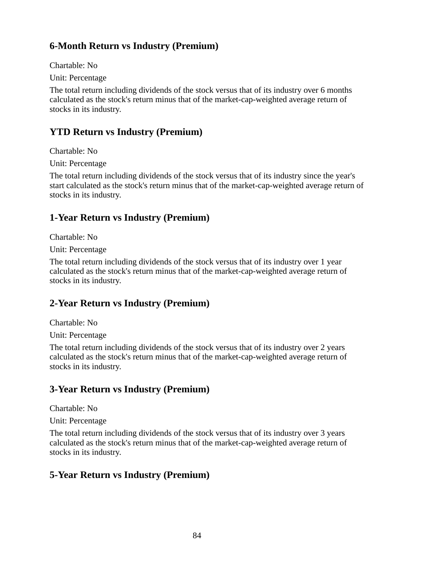## **6-Month Return vs Industry (Premium)**

Chartable: No

Unit: Percentage

The total return including dividends of the stock versus that of its industry over 6 months calculated as the stock's return minus that of the market-cap-weighted average return of stocks in its industry.

## **YTD Return vs Industry (Premium)**

Chartable: No

Unit: Percentage

The total return including dividends of the stock versus that of its industry since the year's start calculated as the stock's return minus that of the market-cap-weighted average return of stocks in its industry.

## **1-Year Return vs Industry (Premium)**

Chartable: No

Unit: Percentage

The total return including dividends of the stock versus that of its industry over 1 year calculated as the stock's return minus that of the market-cap-weighted average return of stocks in its industry.

# **2-Year Return vs Industry (Premium)**

Chartable: No

Unit: Percentage

The total return including dividends of the stock versus that of its industry over 2 years calculated as the stock's return minus that of the market-cap-weighted average return of stocks in its industry.

### **3-Year Return vs Industry (Premium)**

Chartable: No

Unit: Percentage

The total return including dividends of the stock versus that of its industry over 3 years calculated as the stock's return minus that of the market-cap-weighted average return of stocks in its industry.

# **5-Year Return vs Industry (Premium)**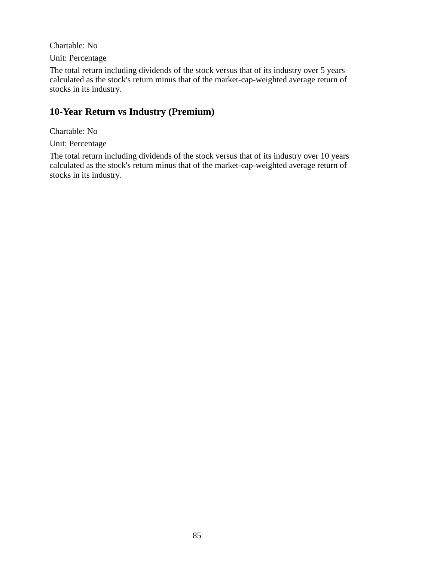Chartable: No

Unit: Percentage

The total return including dividends of the stock versus that of its industry over 5 years calculated as the stock's return minus that of the market-cap-weighted average return of stocks in its industry.

## **10-Year Return vs Industry (Premium)**

Chartable: No

Unit: Percentage

The total return including dividends of the stock versus that of its industry over 10 years calculated as the stock's return minus that of the market-cap-weighted average return of stocks in its industry.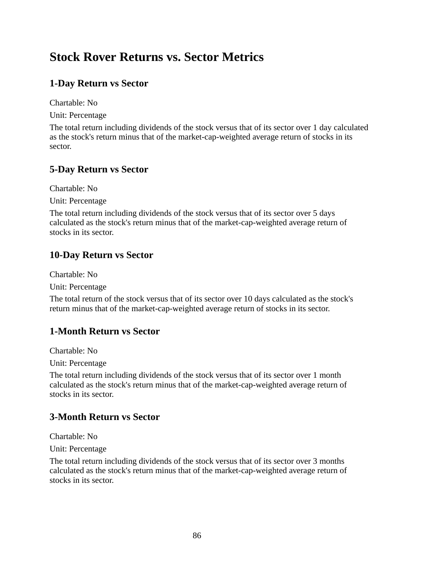# **Stock Rover Returns vs. Sector Metrics**

## **1-Day Return vs Sector**

Chartable: No

Unit: Percentage

The total return including dividends of the stock versus that of its sector over 1 day calculated as the stock's return minus that of the market-cap-weighted average return of stocks in its sector.

### **5-Day Return vs Sector**

Chartable: No

Unit: Percentage

The total return including dividends of the stock versus that of its sector over 5 days calculated as the stock's return minus that of the market-cap-weighted average return of stocks in its sector.

### **10-Day Return vs Sector**

Chartable: No

Unit: Percentage

The total return of the stock versus that of its sector over 10 days calculated as the stock's return minus that of the market-cap-weighted average return of stocks in its sector.

### **1-Month Return vs Sector**

Chartable: No

Unit: Percentage

The total return including dividends of the stock versus that of its sector over 1 month calculated as the stock's return minus that of the market-cap-weighted average return of stocks in its sector.

### **3-Month Return vs Sector**

Chartable: No

Unit: Percentage

The total return including dividends of the stock versus that of its sector over 3 months calculated as the stock's return minus that of the market-cap-weighted average return of stocks in its sector.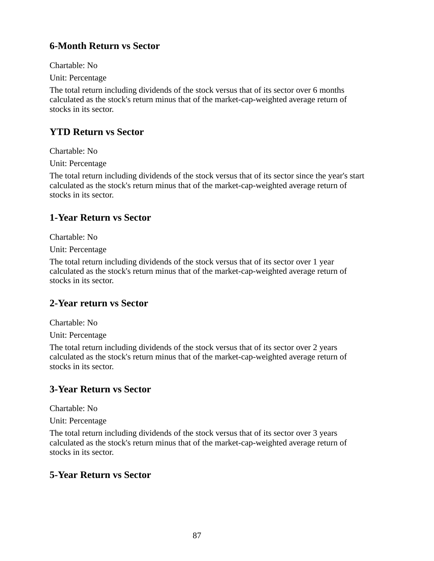## **6-Month Return vs Sector**

Chartable: No

Unit: Percentage

The total return including dividends of the stock versus that of its sector over 6 months calculated as the stock's return minus that of the market-cap-weighted average return of stocks in its sector.

## **YTD Return vs Sector**

Chartable: No

Unit: Percentage

The total return including dividends of the stock versus that of its sector since the year's start calculated as the stock's return minus that of the market-cap-weighted average return of stocks in its sector.

### **1-Year Return vs Sector**

Chartable: No

Unit: Percentage

The total return including dividends of the stock versus that of its sector over 1 year calculated as the stock's return minus that of the market-cap-weighted average return of stocks in its sector.

### **2-Year return vs Sector**

Chartable: No

Unit: Percentage

The total return including dividends of the stock versus that of its sector over 2 years calculated as the stock's return minus that of the market-cap-weighted average return of stocks in its sector.

### **3-Year Return vs Sector**

Chartable: No

Unit: Percentage

The total return including dividends of the stock versus that of its sector over 3 years calculated as the stock's return minus that of the market-cap-weighted average return of stocks in its sector.

### **5-Year Return vs Sector**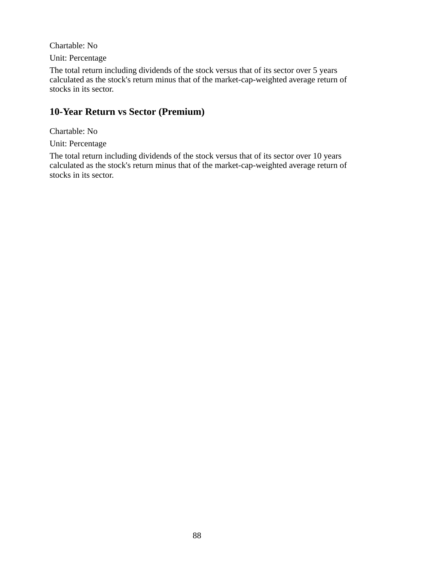Chartable: No

Unit: Percentage

The total return including dividends of the stock versus that of its sector over 5 years calculated as the stock's return minus that of the market-cap-weighted average return of stocks in its sector.

### **10-Year Return vs Sector (Premium)**

Chartable: No

Unit: Percentage

The total return including dividends of the stock versus that of its sector over 10 years calculated as the stock's return minus that of the market-cap-weighted average return of stocks in its sector.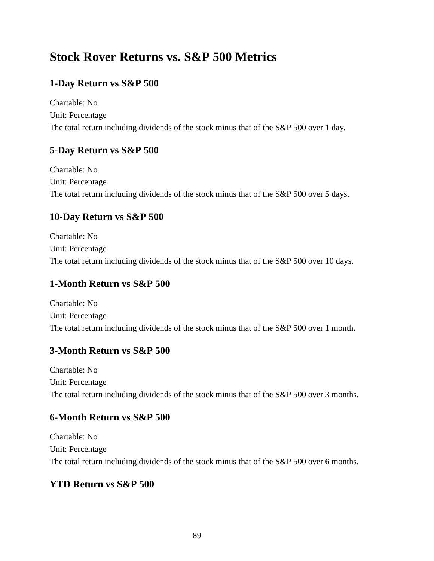# **Stock Rover Returns vs. S&P 500 Metrics**

## **1-Day Return vs S&P 500**

Chartable: No Unit: Percentage The total return including dividends of the stock minus that of the S&P 500 over 1 day.

### **5-Day Return vs S&P 500**

Chartable: No Unit: Percentage The total return including dividends of the stock minus that of the S&P 500 over 5 days.

### **10-Day Return vs S&P 500**

Chartable: No Unit: Percentage The total return including dividends of the stock minus that of the S&P 500 over 10 days.

### **1-Month Return vs S&P 500**

Chartable: No Unit: Percentage The total return including dividends of the stock minus that of the S&P 500 over 1 month.

### **3-Month Return vs S&P 500**

Chartable: No Unit: Percentage The total return including dividends of the stock minus that of the S&P 500 over 3 months.

### **6-Month Return vs S&P 500**

Chartable: No Unit: Percentage The total return including dividends of the stock minus that of the S&P 500 over 6 months.

### **YTD Return vs S&P 500**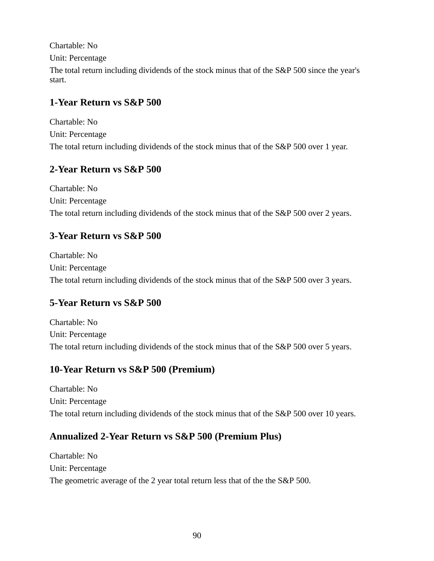Chartable: No Unit: Percentage The total return including dividends of the stock minus that of the S&P 500 since the year's start.

### **1-Year Return vs S&P 500**

Chartable: No Unit: Percentage The total return including dividends of the stock minus that of the S&P 500 over 1 year.

## **2-Year Return vs S&P 500**

Chartable: No Unit: Percentage The total return including dividends of the stock minus that of the S&P 500 over 2 years.

## **3-Year Return vs S&P 500**

Chartable: No Unit: Percentage The total return including dividends of the stock minus that of the S&P 500 over 3 years.

# **5-Year Return vs S&P 500**

Chartable: No Unit: Percentage The total return including dividends of the stock minus that of the S&P 500 over 5 years.

# **10-Year Return vs S&P 500 (Premium)**

Chartable: No Unit: Percentage The total return including dividends of the stock minus that of the S&P 500 over 10 years.

# **Annualized 2-Year Return vs S&P 500 (Premium Plus)**

Chartable: No Unit: Percentage The geometric average of the 2 year total return less that of the the S&P 500.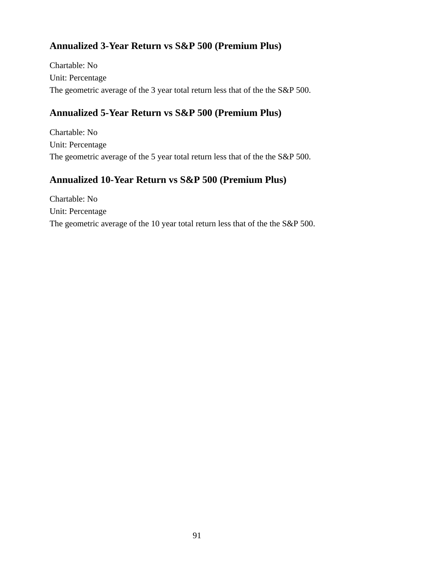# **Annualized 3-Year Return vs S&P 500 (Premium Plus)**

Chartable: No Unit: Percentage The geometric average of the 3 year total return less that of the the S&P 500.

## **Annualized 5-Year Return vs S&P 500 (Premium Plus)**

Chartable: No Unit: Percentage The geometric average of the 5 year total return less that of the the S&P 500.

### **Annualized 10-Year Return vs S&P 500 (Premium Plus)**

Chartable: No Unit: Percentage The geometric average of the 10 year total return less that of the the S&P 500.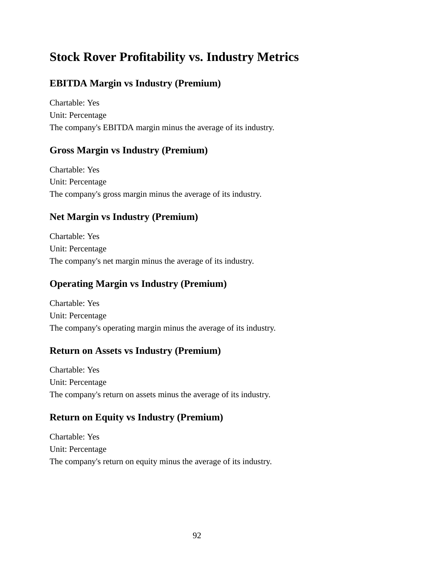# **Stock Rover Profitability vs. Industry Metrics**

## **EBITDA Margin vs Industry (Premium)**

Chartable: Yes Unit: Percentage The company's EBITDA margin minus the average of its industry.

### **Gross Margin vs Industry (Premium)**

Chartable: Yes Unit: Percentage The company's gross margin minus the average of its industry.

## **Net Margin vs Industry (Premium)**

Chartable: Yes Unit: Percentage The company's net margin minus the average of its industry.

## **Operating Margin vs Industry (Premium)**

Chartable: Yes Unit: Percentage The company's operating margin minus the average of its industry.

### **Return on Assets vs Industry (Premium)**

Chartable: Yes Unit: Percentage The company's return on assets minus the average of its industry.

### **Return on Equity vs Industry (Premium)**

Chartable: Yes Unit: Percentage The company's return on equity minus the average of its industry.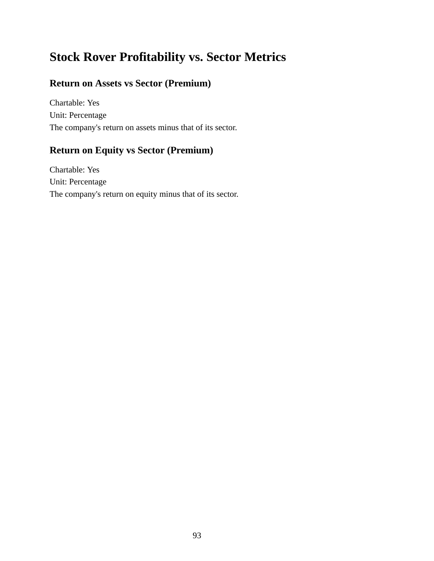# **Stock Rover Profitability vs. Sector Metrics**

### **Return on Assets vs Sector (Premium)**

Chartable: Yes Unit: Percentage The company's return on assets minus that of its sector.

## **Return on Equity vs Sector (Premium)**

Chartable: Yes Unit: Percentage The company's return on equity minus that of its sector.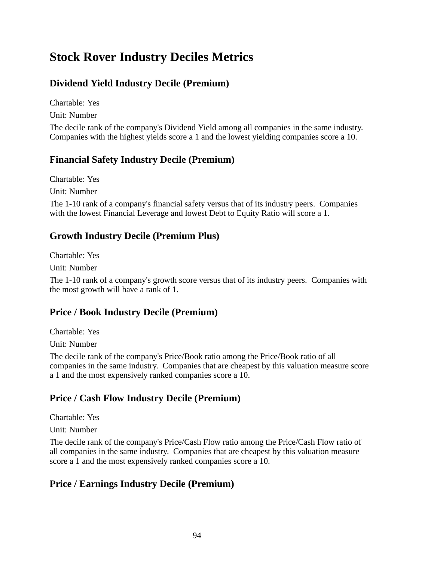# **Stock Rover Industry Deciles Metrics**

## **Dividend Yield Industry Decile (Premium)**

Chartable: Yes

Unit: Number

The decile rank of the company's Dividend Yield among all companies in the same industry. Companies with the highest yields score a 1 and the lowest yielding companies score a 10.

### **Financial Safety Industry Decile (Premium)**

Chartable: Yes

Unit: Number

The 1-10 rank of a company's financial safety versus that of its industry peers. Companies with the lowest Financial Leverage and lowest Debt to Equity Ratio will score a 1.

### **Growth Industry Decile (Premium Plus)**

Chartable: Yes

Unit: Number

The 1-10 rank of a company's growth score versus that of its industry peers. Companies with the most growth will have a rank of 1.

### **Price / Book Industry Decile (Premium)**

Chartable: Yes

Unit: Number

The decile rank of the company's Price/Book ratio among the Price/Book ratio of all companies in the same industry. Companies that are cheapest by this valuation measure score a 1 and the most expensively ranked companies score a 10.

### **Price / Cash Flow Industry Decile (Premium)**

Chartable: Yes

Unit: Number

The decile rank of the company's Price/Cash Flow ratio among the Price/Cash Flow ratio of all companies in the same industry. Companies that are cheapest by this valuation measure score a 1 and the most expensively ranked companies score a 10.

### **Price / Earnings Industry Decile (Premium)**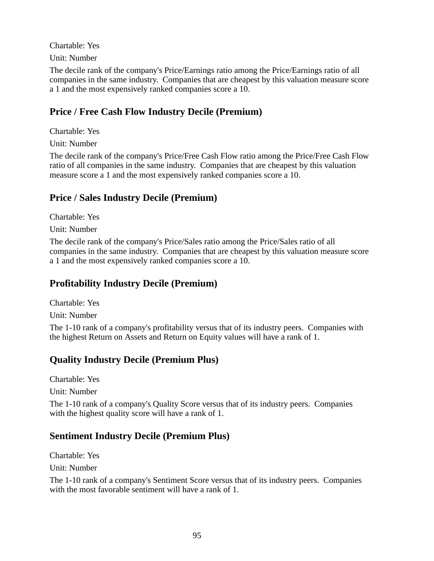Chartable: Yes

Unit: Number

The decile rank of the company's Price/Earnings ratio among the Price/Earnings ratio of all companies in the same industry. Companies that are cheapest by this valuation measure score a 1 and the most expensively ranked companies score a 10.

### **Price / Free Cash Flow Industry Decile (Premium)**

Chartable: Yes

Unit: Number

The decile rank of the company's Price/Free Cash Flow ratio among the Price/Free Cash Flow ratio of all companies in the same industry. Companies that are cheapest by this valuation measure score a 1 and the most expensively ranked companies score a 10.

### **Price / Sales Industry Decile (Premium)**

Chartable: Yes

Unit: Number

The decile rank of the company's Price/Sales ratio among the Price/Sales ratio of all companies in the same industry. Companies that are cheapest by this valuation measure score a 1 and the most expensively ranked companies score a 10.

### **Profitability Industry Decile (Premium)**

Chartable: Yes

Unit: Number

The 1-10 rank of a company's profitability versus that of its industry peers. Companies with the highest Return on Assets and Return on Equity values will have a rank of 1.

### **Quality Industry Decile (Premium Plus)**

Chartable: Yes Unit: Number

The 1-10 rank of a company's Quality Score versus that of its industry peers. Companies with the highest quality score will have a rank of 1.

### **Sentiment Industry Decile (Premium Plus)**

Chartable: Yes Unit: Number

The 1-10 rank of a company's Sentiment Score versus that of its industry peers. Companies with the most favorable sentiment will have a rank of 1.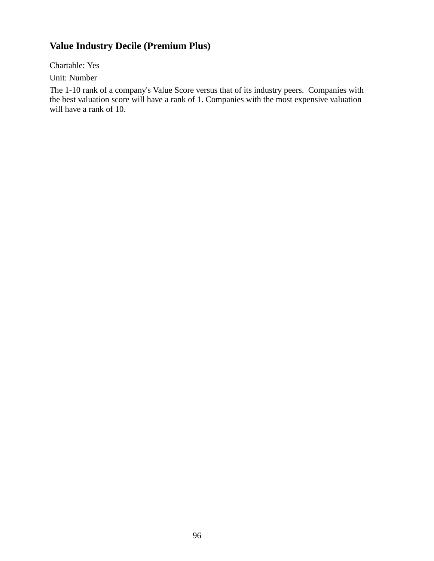## **Value Industry Decile (Premium Plus)**

Chartable: Yes

Unit: Number

The 1-10 rank of a company's Value Score versus that of its industry peers. Companies with the best valuation score will have a rank of 1. Companies with the most expensive valuation will have a rank of 10.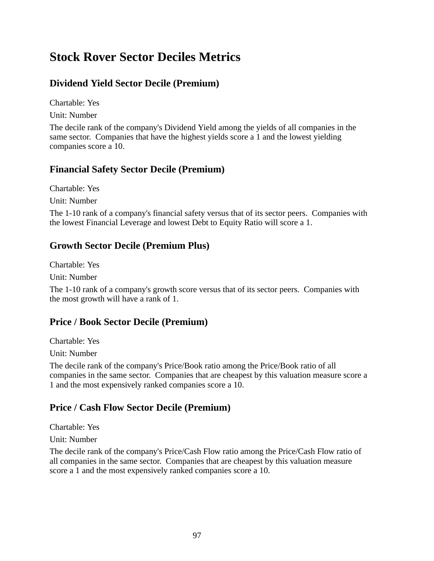# **Stock Rover Sector Deciles Metrics**

### **Dividend Yield Sector Decile (Premium)**

Chartable: Yes

Unit: Number

The decile rank of the company's Dividend Yield among the yields of all companies in the same sector. Companies that have the highest yields score a 1 and the lowest yielding companies score a 10.

### **Financial Safety Sector Decile (Premium)**

Chartable: Yes Unit: Number

The 1-10 rank of a company's financial safety versus that of its sector peers. Companies with the lowest Financial Leverage and lowest Debt to Equity Ratio will score a 1.

### **Growth Sector Decile (Premium Plus)**

Chartable: Yes

Unit: Number

The 1-10 rank of a company's growth score versus that of its sector peers. Companies with the most growth will have a rank of 1.

### **Price / Book Sector Decile (Premium)**

Chartable: Yes

Unit: Number

The decile rank of the company's Price/Book ratio among the Price/Book ratio of all companies in the same sector. Companies that are cheapest by this valuation measure score a 1 and the most expensively ranked companies score a 10.

### **Price / Cash Flow Sector Decile (Premium)**

Chartable: Yes

Unit: Number

The decile rank of the company's Price/Cash Flow ratio among the Price/Cash Flow ratio of all companies in the same sector. Companies that are cheapest by this valuation measure score a 1 and the most expensively ranked companies score a 10.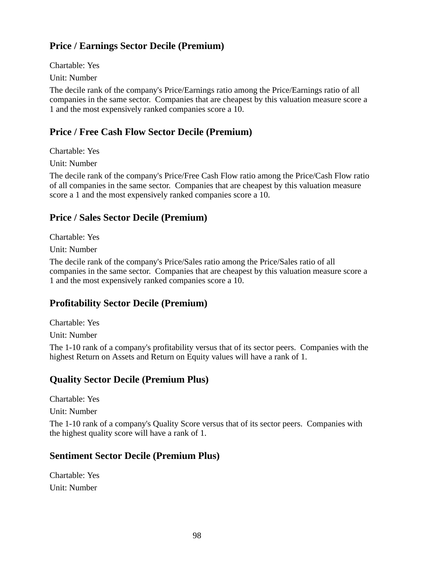## **Price / Earnings Sector Decile (Premium)**

Chartable: Yes

Unit: Number

The decile rank of the company's Price/Earnings ratio among the Price/Earnings ratio of all companies in the same sector. Companies that are cheapest by this valuation measure score a 1 and the most expensively ranked companies score a 10.

## **Price / Free Cash Flow Sector Decile (Premium)**

Chartable: Yes

Unit: Number

The decile rank of the company's Price/Free Cash Flow ratio among the Price/Cash Flow ratio of all companies in the same sector. Companies that are cheapest by this valuation measure score a 1 and the most expensively ranked companies score a 10.

## **Price / Sales Sector Decile (Premium)**

Chartable: Yes

Unit: Number

The decile rank of the company's Price/Sales ratio among the Price/Sales ratio of all companies in the same sector. Companies that are cheapest by this valuation measure score a 1 and the most expensively ranked companies score a 10.

# **Profitability Sector Decile (Premium)**

Chartable: Yes

Unit: Number

The 1-10 rank of a company's profitability versus that of its sector peers. Companies with the highest Return on Assets and Return on Equity values will have a rank of 1.

### **Quality Sector Decile (Premium Plus)**

Chartable: Yes

Unit: Number

The 1-10 rank of a company's Quality Score versus that of its sector peers. Companies with the highest quality score will have a rank of 1.

### **Sentiment Sector Decile (Premium Plus)**

Chartable: Yes Unit: Number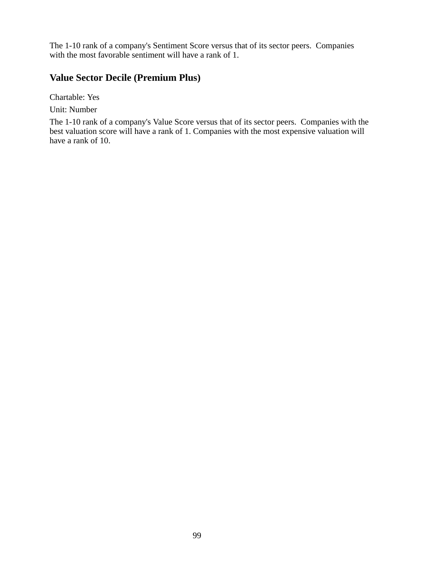The 1-10 rank of a company's Sentiment Score versus that of its sector peers. Companies with the most favorable sentiment will have a rank of 1.

#### **Value Sector Decile (Premium Plus)**

Chartable: Yes

Unit: Number

The 1-10 rank of a company's Value Score versus that of its sector peers. Companies with the best valuation score will have a rank of 1. Companies with the most expensive valuation will have a rank of 10.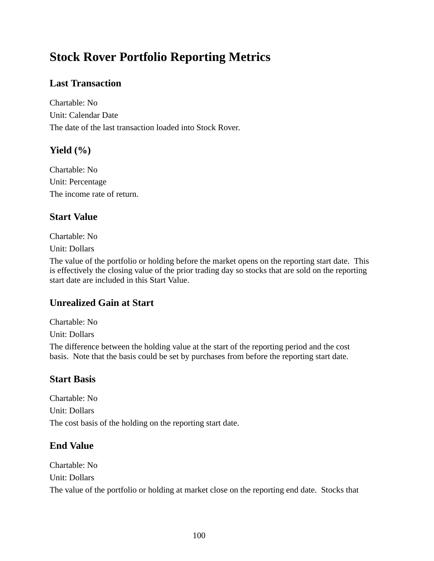# **Stock Rover Portfolio Reporting Metrics**

## **Last Transaction**

Chartable: No Unit: Calendar Date The date of the last transaction loaded into Stock Rover.

### **Yield (%)**

Chartable: No Unit: Percentage The income rate of return.

### **Start Value**

Chartable: No

Unit: Dollars

The value of the portfolio or holding before the market opens on the reporting start date. This is effectively the closing value of the prior trading day so stocks that are sold on the reporting start date are included in this Start Value.

### **Unrealized Gain at Start**

Chartable: No

Unit: Dollars

The difference between the holding value at the start of the reporting period and the cost basis. Note that the basis could be set by purchases from before the reporting start date.

### **Start Basis**

Chartable: No Unit: Dollars The cost basis of the holding on the reporting start date.

### **End Value**

Chartable: No Unit: Dollars The value of the portfolio or holding at market close on the reporting end date. Stocks that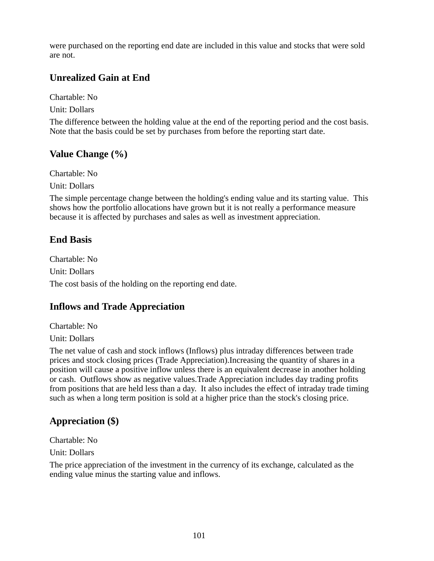were purchased on the reporting end date are included in this value and stocks that were sold are not.

### **Unrealized Gain at End**

Chartable: No Unit: Dollars

The difference between the holding value at the end of the reporting period and the cost basis. Note that the basis could be set by purchases from before the reporting start date.

### **Value Change (%)**

Chartable: No

Unit: Dollars

The simple percentage change between the holding's ending value and its starting value. This shows how the portfolio allocations have grown but it is not really a performance measure because it is affected by purchases and sales as well as investment appreciation.

### **End Basis**

Chartable: No Unit: Dollars The cost basis of the holding on the reporting end date.

### **Inflows and Trade Appreciation**

Chartable: No

Unit: Dollars

The net value of cash and stock inflows (Inflows) plus intraday differences between trade prices and stock closing prices (Trade Appreciation).Increasing the quantity of shares in a position will cause a positive inflow unless there is an equivalent decrease in another holding or cash. Outflows show as negative values.Trade Appreciation includes day trading profits from positions that are held less than a day. It also includes the effect of intraday trade timing such as when a long term position is sold at a higher price than the stock's closing price.

### **Appreciation (\$)**

Chartable: No

Unit: Dollars

The price appreciation of the investment in the currency of its exchange, calculated as the ending value minus the starting value and inflows.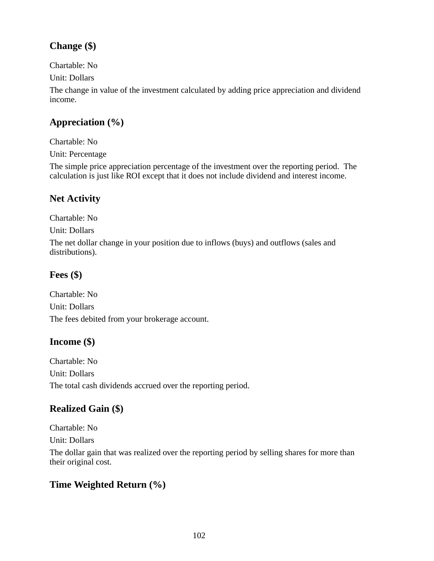# **Change (\$)**

Chartable: No

Unit: Dollars

The change in value of the investment calculated by adding price appreciation and dividend income.

# **Appreciation (%)**

Chartable: No Unit: Percentage

The simple price appreciation percentage of the investment over the reporting period. The calculation is just like ROI except that it does not include dividend and interest income.

# **Net Activity**

Chartable: No Unit: Dollars The net dollar change in your position due to inflows (buys) and outflows (sales and distributions).

## **Fees (\$)**

Chartable: No Unit: Dollars The fees debited from your brokerage account.

# **Income (\$)**

Chartable: No Unit: Dollars The total cash dividends accrued over the reporting period.

# **Realized Gain (\$)**

Chartable: No

Unit: Dollars

The dollar gain that was realized over the reporting period by selling shares for more than their original cost.

# **Time Weighted Return (%)**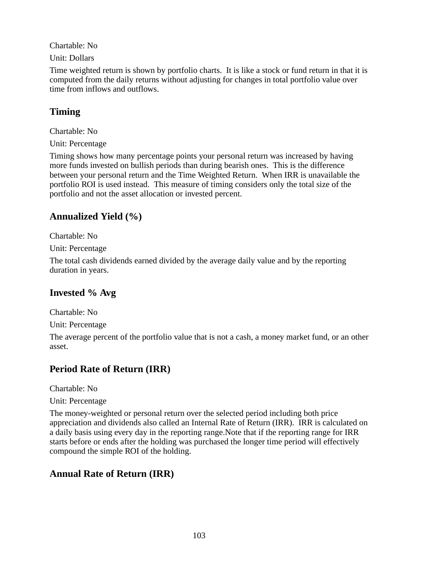Chartable: No

Unit: Dollars

Time weighted return is shown by portfolio charts. It is like a stock or fund return in that it is computed from the daily returns without adjusting for changes in total portfolio value over time from inflows and outflows.

## **Timing**

Chartable: No

Unit: Percentage

Timing shows how many percentage points your personal return was increased by having more funds invested on bullish periods than during bearish ones. This is the difference between your personal return and the Time Weighted Return. When IRR is unavailable the portfolio ROI is used instead. This measure of timing considers only the total size of the portfolio and not the asset allocation or invested percent.

## **Annualized Yield (%)**

Chartable: No

Unit: Percentage

The total cash dividends earned divided by the average daily value and by the reporting duration in years.

# **Invested % Avg**

Chartable: No

Unit: Percentage

The average percent of the portfolio value that is not a cash, a money market fund, or an other asset.

# **Period Rate of Return (IRR)**

Chartable: No

Unit: Percentage

The money-weighted or personal return over the selected period including both price appreciation and dividends also called an Internal Rate of Return (IRR). IRR is calculated on a daily basis using every day in the reporting range.Note that if the reporting range for IRR starts before or ends after the holding was purchased the longer time period will effectively compound the simple ROI of the holding.

### **Annual Rate of Return (IRR)**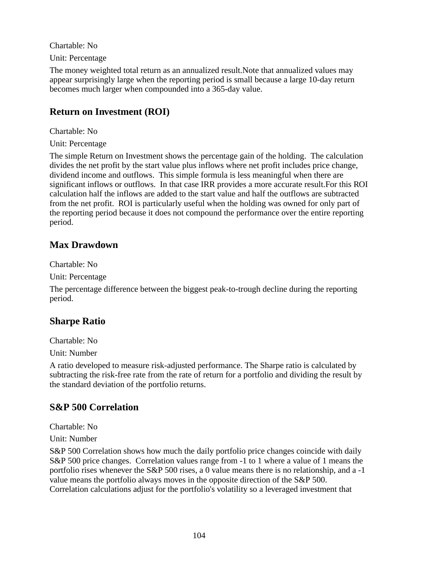Chartable: No

Unit: Percentage

The money weighted total return as an annualized result.Note that annualized values may appear surprisingly large when the reporting period is small because a large 10-day return becomes much larger when compounded into a 365-day value.

## **Return on Investment (ROI)**

Chartable: No

Unit: Percentage

The simple Return on Investment shows the percentage gain of the holding. The calculation divides the net profit by the start value plus inflows where net profit includes price change, dividend income and outflows. This simple formula is less meaningful when there are significant inflows or outflows. In that case IRR provides a more accurate result.For this ROI calculation half the inflows are added to the start value and half the outflows are subtracted from the net profit. ROI is particularly useful when the holding was owned for only part of the reporting period because it does not compound the performance over the entire reporting period.

### **Max Drawdown**

Chartable: No

Unit: Percentage

The percentage difference between the biggest peak-to-trough decline during the reporting period.

### **Sharpe Ratio**

Chartable: No

Unit: Number

A ratio developed to measure risk-adjusted performance. The Sharpe ratio is calculated by subtracting the risk-free rate from the rate of return for a portfolio and dividing the result by the standard deviation of the portfolio returns.

### **S&P 500 Correlation**

Chartable: No

Unit: Number

S&P 500 Correlation shows how much the daily portfolio price changes coincide with daily S&P 500 price changes. Correlation values range from -1 to 1 where a value of 1 means the portfolio rises whenever the S&P 500 rises, a 0 value means there is no relationship, and a -1 value means the portfolio always moves in the opposite direction of the S&P 500. Correlation calculations adjust for the portfolio's volatility so a leveraged investment that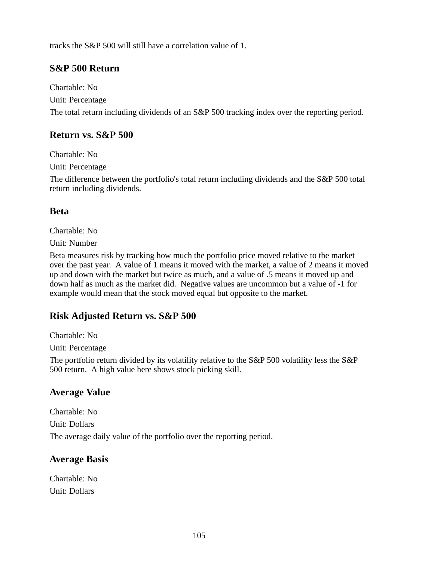tracks the S&P 500 will still have a correlation value of 1.

### **S&P 500 Return**

Chartable: No Unit: Percentage The total return including dividends of an S&P 500 tracking index over the reporting period.

### **Return vs. S&P 500**

Chartable: No

Unit: Percentage

The difference between the portfolio's total return including dividends and the S&P 500 total return including dividends.

### **Beta**

Chartable: No

Unit: Number

Beta measures risk by tracking how much the portfolio price moved relative to the market over the past year. A value of 1 means it moved with the market, a value of 2 means it moved up and down with the market but twice as much, and a value of .5 means it moved up and down half as much as the market did. Negative values are uncommon but a value of -1 for example would mean that the stock moved equal but opposite to the market.

### **Risk Adjusted Return vs. S&P 500**

Chartable: No

Unit: Percentage

The portfolio return divided by its volatility relative to the S&P 500 volatility less the S&P 500 return. A high value here shows stock picking skill.

### **Average Value**

Chartable: No Unit: Dollars The average daily value of the portfolio over the reporting period.

### **Average Basis**

Chartable: No Unit: Dollars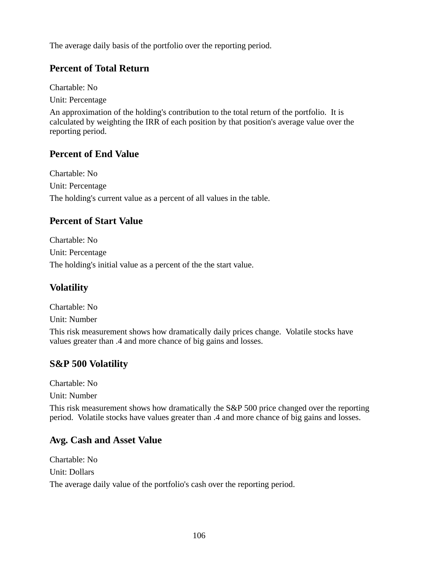The average daily basis of the portfolio over the reporting period.

### **Percent of Total Return**

Chartable: No

Unit: Percentage

An approximation of the holding's contribution to the total return of the portfolio. It is calculated by weighting the IRR of each position by that position's average value over the reporting period.

### **Percent of End Value**

Chartable: No Unit: Percentage The holding's current value as a percent of all values in the table.

### **Percent of Start Value**

Chartable: No Unit: Percentage The holding's initial value as a percent of the the start value.

# **Volatility**

Chartable: No Unit: Number

This risk measurement shows how dramatically daily prices change. Volatile stocks have values greater than .4 and more chance of big gains and losses.

# **S&P 500 Volatility**

Chartable: No

Unit: Number

This risk measurement shows how dramatically the S&P 500 price changed over the reporting period. Volatile stocks have values greater than .4 and more chance of big gains and losses.

### **Avg. Cash and Asset Value**

Chartable: No Unit: Dollars The average daily value of the portfolio's cash over the reporting period.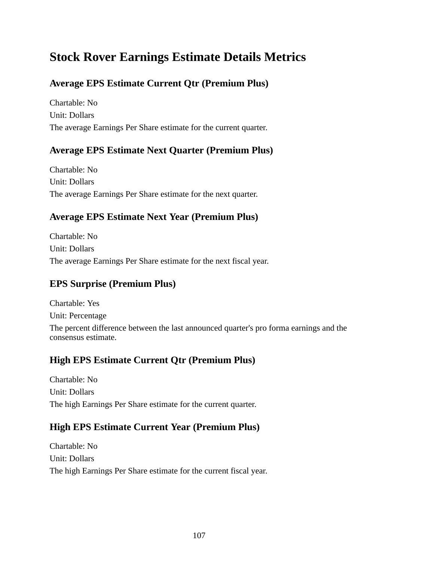# **Stock Rover Earnings Estimate Details Metrics**

# **Average EPS Estimate Current Qtr (Premium Plus)**

Chartable: No Unit: Dollars The average Earnings Per Share estimate for the current quarter.

### **Average EPS Estimate Next Quarter (Premium Plus)**

Chartable: No Unit: Dollars The average Earnings Per Share estimate for the next quarter.

## **Average EPS Estimate Next Year (Premium Plus)**

Chartable: No Unit: Dollars The average Earnings Per Share estimate for the next fiscal year.

## **EPS Surprise (Premium Plus)**

Chartable: Yes Unit: Percentage The percent difference between the last announced quarter's pro forma earnings and the consensus estimate.

### **High EPS Estimate Current Qtr (Premium Plus)**

Chartable: No Unit: Dollars The high Earnings Per Share estimate for the current quarter.

### **High EPS Estimate Current Year (Premium Plus)**

Chartable: No Unit: Dollars The high Earnings Per Share estimate for the current fiscal year.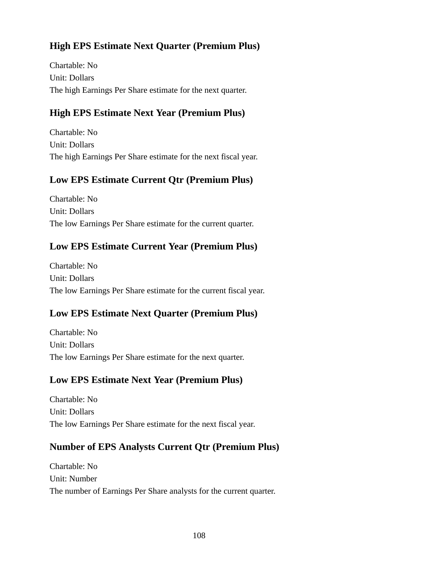# **High EPS Estimate Next Quarter (Premium Plus)**

Chartable: No Unit: Dollars The high Earnings Per Share estimate for the next quarter.

## **High EPS Estimate Next Year (Premium Plus)**

Chartable: No Unit: Dollars The high Earnings Per Share estimate for the next fiscal year.

### **Low EPS Estimate Current Qtr (Premium Plus)**

Chartable: No Unit: Dollars The low Earnings Per Share estimate for the current quarter.

## **Low EPS Estimate Current Year (Premium Plus)**

Chartable: No Unit: Dollars The low Earnings Per Share estimate for the current fiscal year.

### **Low EPS Estimate Next Quarter (Premium Plus)**

Chartable: No Unit: Dollars The low Earnings Per Share estimate for the next quarter.

### **Low EPS Estimate Next Year (Premium Plus)**

Chartable: No Unit: Dollars The low Earnings Per Share estimate for the next fiscal year.

### **Number of EPS Analysts Current Qtr (Premium Plus)**

Chartable: No Unit: Number The number of Earnings Per Share analysts for the current quarter.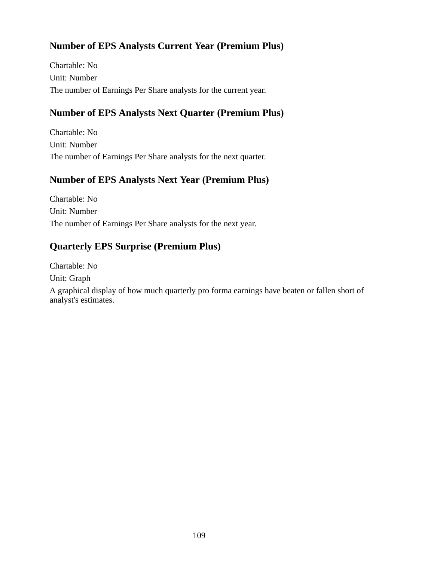## **Number of EPS Analysts Current Year (Premium Plus)**

Chartable: No Unit: Number The number of Earnings Per Share analysts for the current year.

### **Number of EPS Analysts Next Quarter (Premium Plus)**

Chartable: No Unit: Number The number of Earnings Per Share analysts for the next quarter.

### **Number of EPS Analysts Next Year (Premium Plus)**

Chartable: No Unit: Number The number of Earnings Per Share analysts for the next year.

### **Quarterly EPS Surprise (Premium Plus)**

Chartable: No

Unit: Graph

A graphical display of how much quarterly pro forma earnings have beaten or fallen short of analyst's estimates.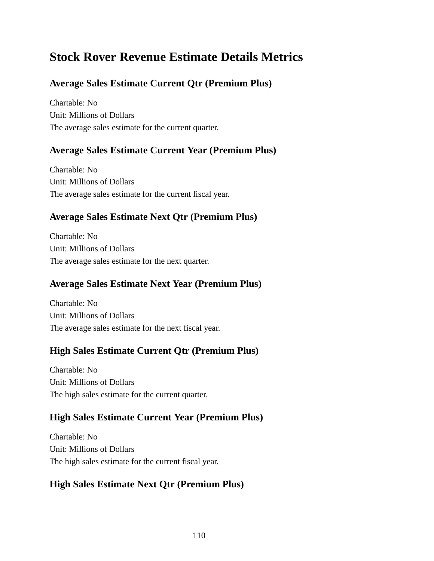# **Stock Rover Revenue Estimate Details Metrics**

# **Average Sales Estimate Current Qtr (Premium Plus)**

Chartable: No Unit: Millions of Dollars The average sales estimate for the current quarter.

## **Average Sales Estimate Current Year (Premium Plus)**

Chartable: No Unit: Millions of Dollars The average sales estimate for the current fiscal year.

## **Average Sales Estimate Next Qtr (Premium Plus)**

Chartable: No Unit: Millions of Dollars The average sales estimate for the next quarter.

## **Average Sales Estimate Next Year (Premium Plus)**

Chartable: No Unit: Millions of Dollars The average sales estimate for the next fiscal year.

## **High Sales Estimate Current Qtr (Premium Plus)**

Chartable: No Unit: Millions of Dollars The high sales estimate for the current quarter.

## **High Sales Estimate Current Year (Premium Plus)**

Chartable: No Unit: Millions of Dollars The high sales estimate for the current fiscal year.

## **High Sales Estimate Next Qtr (Premium Plus)**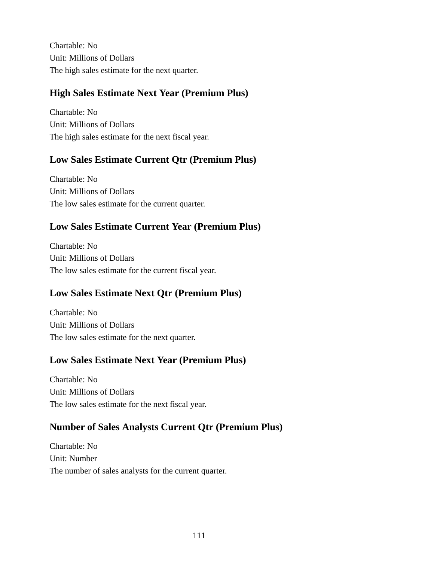Chartable: No Unit: Millions of Dollars The high sales estimate for the next quarter.

## **High Sales Estimate Next Year (Premium Plus)**

Chartable: No Unit: Millions of Dollars The high sales estimate for the next fiscal year.

## **Low Sales Estimate Current Qtr (Premium Plus)**

Chartable: No Unit: Millions of Dollars The low sales estimate for the current quarter.

## **Low Sales Estimate Current Year (Premium Plus)**

Chartable: No Unit: Millions of Dollars The low sales estimate for the current fiscal year.

## **Low Sales Estimate Next Qtr (Premium Plus)**

Chartable: No Unit: Millions of Dollars The low sales estimate for the next quarter.

## **Low Sales Estimate Next Year (Premium Plus)**

Chartable: No Unit: Millions of Dollars The low sales estimate for the next fiscal year.

## **Number of Sales Analysts Current Qtr (Premium Plus)**

Chartable: No Unit: Number The number of sales analysts for the current quarter.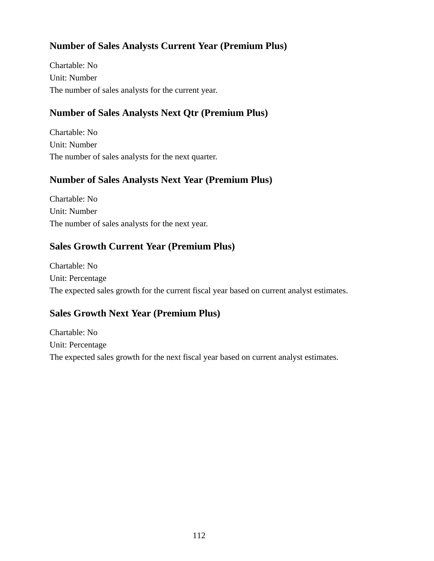## **Number of Sales Analysts Current Year (Premium Plus)**

Chartable: No Unit: Number The number of sales analysts for the current year.

## **Number of Sales Analysts Next Qtr (Premium Plus)**

Chartable: No Unit: Number The number of sales analysts for the next quarter.

## **Number of Sales Analysts Next Year (Premium Plus)**

Chartable: No Unit: Number The number of sales analysts for the next year.

## **Sales Growth Current Year (Premium Plus)**

Chartable: No Unit: Percentage The expected sales growth for the current fiscal year based on current analyst estimates.

## **Sales Growth Next Year (Premium Plus)**

Chartable: No Unit: Percentage The expected sales growth for the next fiscal year based on current analyst estimates.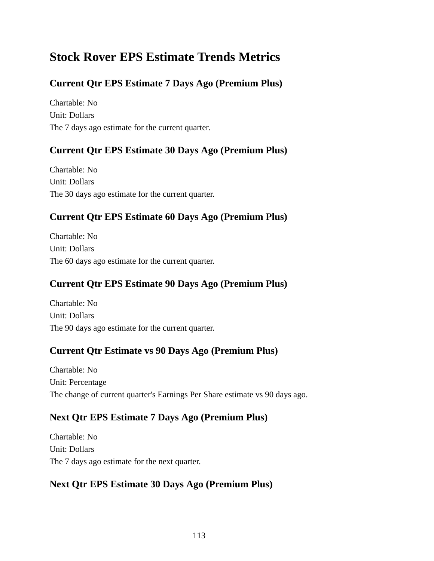# **Stock Rover EPS Estimate Trends Metrics**

# **Current Qtr EPS Estimate 7 Days Ago (Premium Plus)**

Chartable: No Unit: Dollars The 7 days ago estimate for the current quarter.

## **Current Qtr EPS Estimate 30 Days Ago (Premium Plus)**

Chartable: No Unit: Dollars The 30 days ago estimate for the current quarter.

## **Current Qtr EPS Estimate 60 Days Ago (Premium Plus)**

Chartable: No Unit: Dollars The 60 days ago estimate for the current quarter.

## **Current Qtr EPS Estimate 90 Days Ago (Premium Plus)**

Chartable: No Unit: Dollars The 90 days ago estimate for the current quarter.

## **Current Qtr Estimate vs 90 Days Ago (Premium Plus)**

Chartable: No Unit: Percentage The change of current quarter's Earnings Per Share estimate vs 90 days ago.

## **Next Qtr EPS Estimate 7 Days Ago (Premium Plus)**

Chartable: No Unit: Dollars The 7 days ago estimate for the next quarter.

## **Next Qtr EPS Estimate 30 Days Ago (Premium Plus)**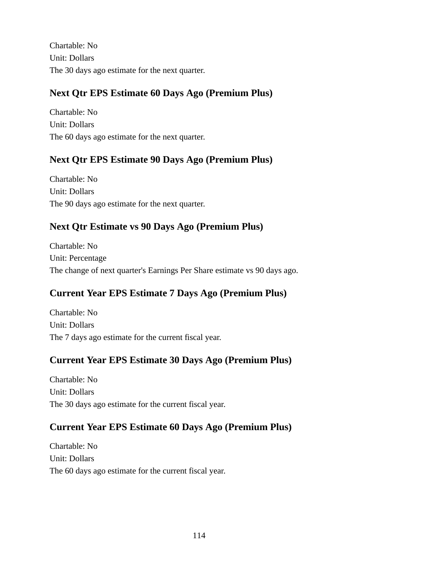Chartable: No Unit: Dollars The 30 days ago estimate for the next quarter.

# **Next Qtr EPS Estimate 60 Days Ago (Premium Plus)**

Chartable: No Unit: Dollars The 60 days ago estimate for the next quarter.

# **Next Qtr EPS Estimate 90 Days Ago (Premium Plus)**

Chartable: No Unit: Dollars The 90 days ago estimate for the next quarter.

## **Next Qtr Estimate vs 90 Days Ago (Premium Plus)**

Chartable: No Unit: Percentage The change of next quarter's Earnings Per Share estimate vs 90 days ago.

## **Current Year EPS Estimate 7 Days Ago (Premium Plus)**

Chartable: No Unit: Dollars The 7 days ago estimate for the current fiscal year.

## **Current Year EPS Estimate 30 Days Ago (Premium Plus)**

Chartable: No Unit: Dollars The 30 days ago estimate for the current fiscal year.

## **Current Year EPS Estimate 60 Days Ago (Premium Plus)**

Chartable: No Unit: Dollars The 60 days ago estimate for the current fiscal year.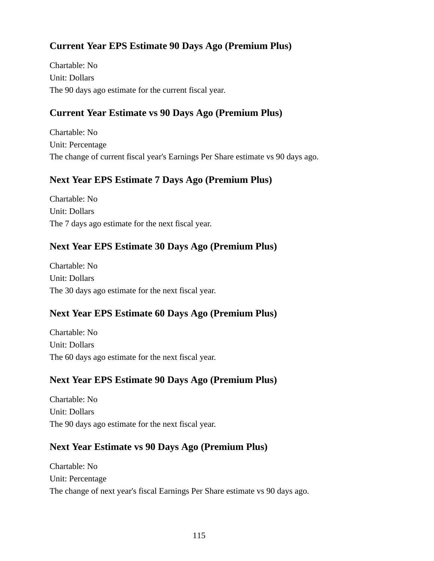# **Current Year EPS Estimate 90 Days Ago (Premium Plus)**

Chartable: No Unit: Dollars The 90 days ago estimate for the current fiscal year.

# **Current Year Estimate vs 90 Days Ago (Premium Plus)**

Chartable: No Unit: Percentage The change of current fiscal year's Earnings Per Share estimate vs 90 days ago.

# **Next Year EPS Estimate 7 Days Ago (Premium Plus)**

Chartable: No Unit: Dollars The 7 days ago estimate for the next fiscal year.

# **Next Year EPS Estimate 30 Days Ago (Premium Plus)**

Chartable: No Unit: Dollars The 30 days ago estimate for the next fiscal year.

# **Next Year EPS Estimate 60 Days Ago (Premium Plus)**

Chartable: No Unit: Dollars The 60 days ago estimate for the next fiscal year.

## **Next Year EPS Estimate 90 Days Ago (Premium Plus)**

Chartable: No Unit: Dollars The 90 days ago estimate for the next fiscal year.

## **Next Year Estimate vs 90 Days Ago (Premium Plus)**

Chartable: No Unit: Percentage The change of next year's fiscal Earnings Per Share estimate vs 90 days ago.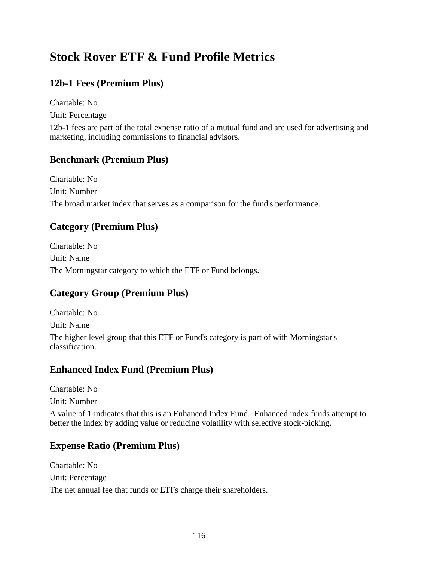# **Stock Rover ETF & Fund Profile Metrics**

# **12b-1 Fees (Premium Plus)**

Chartable: No Unit: Percentage

12b-1 fees are part of the total expense ratio of a mutual fund and are used for advertising and marketing, including commissions to financial advisors.

## **Benchmark (Premium Plus)**

Chartable: No Unit: Number The broad market index that serves as a comparison for the fund's performance.

## **Category (Premium Plus)**

Chartable: No Unit: Name The Morningstar category to which the ETF or Fund belongs.

## **Category Group (Premium Plus)**

Chartable: No Unit: Name The higher level group that this ETF or Fund's category is part of with Morningstar's classification.

## **Enhanced Index Fund (Premium Plus)**

Chartable: No

Unit: Number

A value of 1 indicates that this is an Enhanced Index Fund. Enhanced index funds attempt to better the index by adding value or reducing volatility with selective stock-picking.

## **Expense Ratio (Premium Plus)**

Chartable: No Unit: Percentage The net annual fee that funds or ETFs charge their shareholders.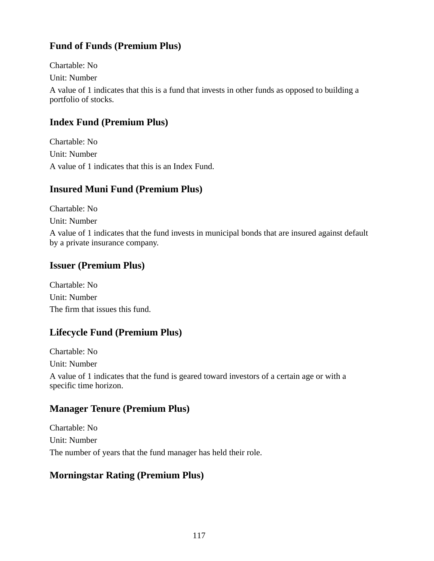# **Fund of Funds (Premium Plus)**

Chartable: No Unit: Number A value of 1 indicates that this is a fund that invests in other funds as opposed to building a portfolio of stocks.

## **Index Fund (Premium Plus)**

Chartable: No Unit: Number A value of 1 indicates that this is an Index Fund.

## **Insured Muni Fund (Premium Plus)**

Chartable: No

Unit: Number

A value of 1 indicates that the fund invests in municipal bonds that are insured against default by a private insurance company.

## **Issuer (Premium Plus)**

Chartable: No Unit: Number The firm that issues this fund.

## **Lifecycle Fund (Premium Plus)**

Chartable: No Unit: Number A value of 1 indicates that the fund is geared toward investors of a certain age or with a specific time horizon.

## **Manager Tenure (Premium Plus)**

Chartable: No Unit: Number The number of years that the fund manager has held their role.

## **Morningstar Rating (Premium Plus)**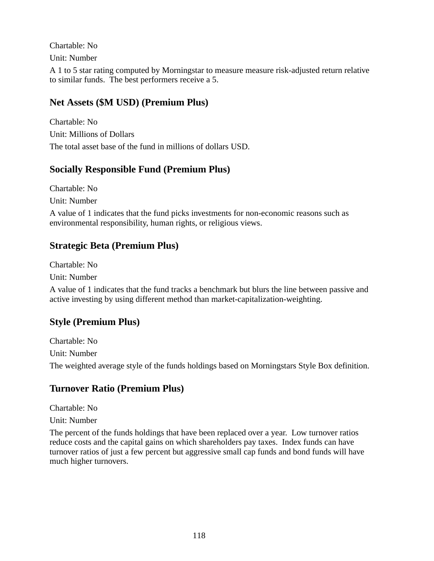Chartable: No

Unit: Number

A 1 to 5 star rating computed by Morningstar to measure measure risk-adjusted return relative to similar funds. The best performers receive a 5.

# **Net Assets (\$M USD) (Premium Plus)**

Chartable: No Unit: Millions of Dollars The total asset base of the fund in millions of dollars USD.

## **Socially Responsible Fund (Premium Plus)**

Chartable: No Unit: Number

A value of 1 indicates that the fund picks investments for non-economic reasons such as environmental responsibility, human rights, or religious views.

# **Strategic Beta (Premium Plus)**

Chartable: No

Unit: Number

A value of 1 indicates that the fund tracks a benchmark but blurs the line between passive and active investing by using different method than market-capitalization-weighting.

# **Style (Premium Plus)**

Chartable: No Unit: Number The weighted average style of the funds holdings based on Morningstars Style Box definition.

# **Turnover Ratio (Premium Plus)**

Chartable: No

Unit: Number

The percent of the funds holdings that have been replaced over a year. Low turnover ratios reduce costs and the capital gains on which shareholders pay taxes. Index funds can have turnover ratios of just a few percent but aggressive small cap funds and bond funds will have much higher turnovers.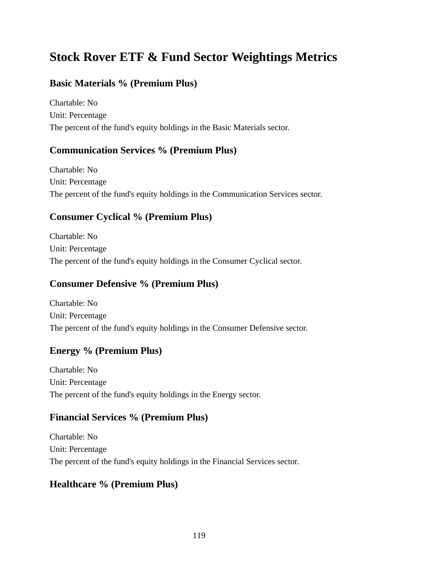# **Stock Rover ETF & Fund Sector Weightings Metrics**

## **Basic Materials % (Premium Plus)**

Chartable: No Unit: Percentage The percent of the fund's equity holdings in the Basic Materials sector.

#### **Communication Services % (Premium Plus)**

Chartable: No Unit: Percentage The percent of the fund's equity holdings in the Communication Services sector.

## **Consumer Cyclical % (Premium Plus)**

Chartable: No Unit: Percentage The percent of the fund's equity holdings in the Consumer Cyclical sector.

## **Consumer Defensive % (Premium Plus)**

Chartable: No Unit: Percentage The percent of the fund's equity holdings in the Consumer Defensive sector.

## **Energy % (Premium Plus)**

Chartable: No Unit: Percentage The percent of the fund's equity holdings in the Energy sector.

## **Financial Services % (Premium Plus)**

Chartable: No Unit: Percentage The percent of the fund's equity holdings in the Financial Services sector.

## **Healthcare % (Premium Plus)**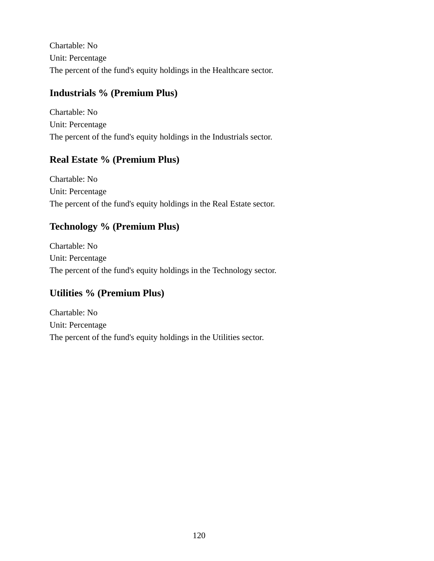Chartable: No Unit: Percentage The percent of the fund's equity holdings in the Healthcare sector.

## **Industrials % (Premium Plus)**

Chartable: No Unit: Percentage The percent of the fund's equity holdings in the Industrials sector.

## **Real Estate % (Premium Plus)**

Chartable: No Unit: Percentage The percent of the fund's equity holdings in the Real Estate sector.

## **Technology % (Premium Plus)**

Chartable: No Unit: Percentage The percent of the fund's equity holdings in the Technology sector.

# **Utilities % (Premium Plus)**

Chartable: No Unit: Percentage The percent of the fund's equity holdings in the Utilities sector.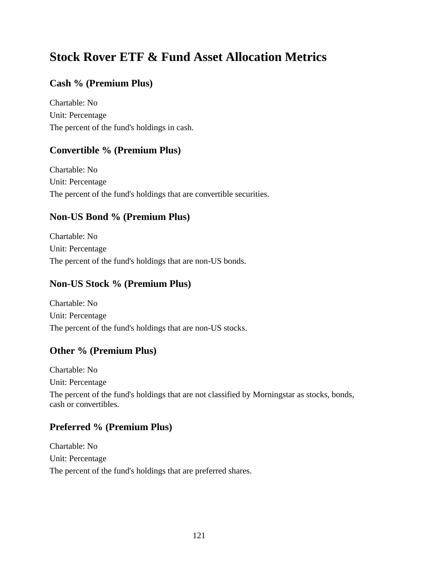# **Stock Rover ETF & Fund Asset Allocation Metrics**

## **Cash % (Premium Plus)**

Chartable: No Unit: Percentage The percent of the fund's holdings in cash.

## **Convertible % (Premium Plus)**

Chartable: No Unit: Percentage The percent of the fund's holdings that are convertible securities.

## **Non-US Bond % (Premium Plus)**

Chartable: No Unit: Percentage The percent of the fund's holdings that are non-US bonds.

## **Non-US Stock % (Premium Plus)**

Chartable: No Unit: Percentage The percent of the fund's holdings that are non-US stocks.

## **Other % (Premium Plus)**

Chartable: No Unit: Percentage The percent of the fund's holdings that are not classified by Morningstar as stocks, bonds, cash or convertibles.

## **Preferred % (Premium Plus)**

Chartable: No Unit: Percentage The percent of the fund's holdings that are preferred shares.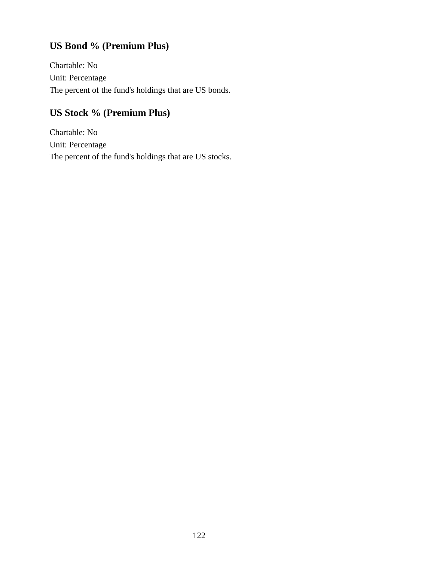# **US Bond % (Premium Plus)**

Chartable: No Unit: Percentage The percent of the fund's holdings that are US bonds.

# **US Stock % (Premium Plus)**

Chartable: No Unit: Percentage The percent of the fund's holdings that are US stocks.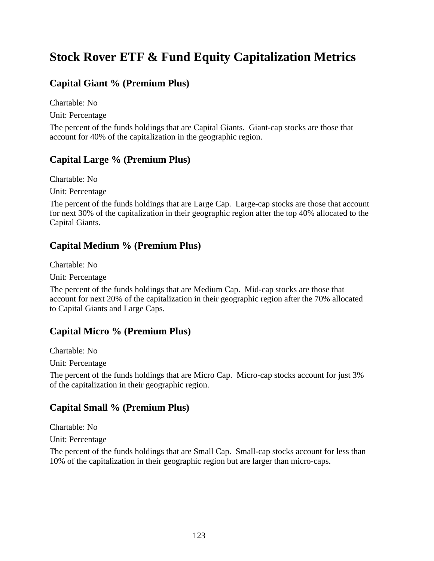# **Stock Rover ETF & Fund Equity Capitalization Metrics**

## **Capital Giant % (Premium Plus)**

Chartable: No

Unit: Percentage

The percent of the funds holdings that are Capital Giants. Giant-cap stocks are those that account for 40% of the capitalization in the geographic region.

#### **Capital Large % (Premium Plus)**

Chartable: No

Unit: Percentage

The percent of the funds holdings that are Large Cap. Large-cap stocks are those that account for next 30% of the capitalization in their geographic region after the top 40% allocated to the Capital Giants.

#### **Capital Medium % (Premium Plus)**

Chartable: No

Unit: Percentage

The percent of the funds holdings that are Medium Cap. Mid-cap stocks are those that account for next 20% of the capitalization in their geographic region after the 70% allocated to Capital Giants and Large Caps.

#### **Capital Micro % (Premium Plus)**

Chartable: No

Unit: Percentage

The percent of the funds holdings that are Micro Cap. Micro-cap stocks account for just 3% of the capitalization in their geographic region.

#### **Capital Small % (Premium Plus)**

Chartable: No

Unit: Percentage

The percent of the funds holdings that are Small Cap. Small-cap stocks account for less than 10% of the capitalization in their geographic region but are larger than micro-caps.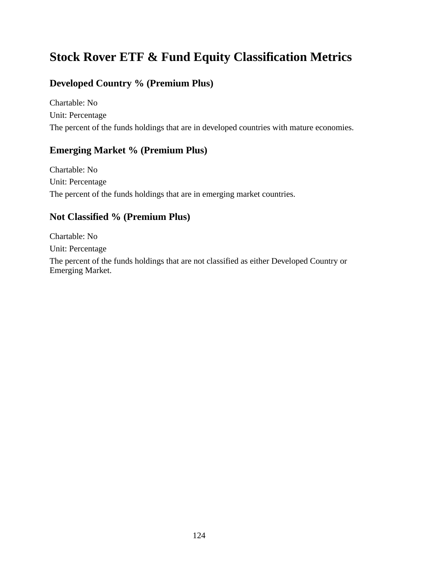# **Stock Rover ETF & Fund Equity Classification Metrics**

## **Developed Country % (Premium Plus)**

Chartable: No Unit: Percentage The percent of the funds holdings that are in developed countries with mature economies.

#### **Emerging Market % (Premium Plus)**

Chartable: No Unit: Percentage The percent of the funds holdings that are in emerging market countries.

## **Not Classified % (Premium Plus)**

Chartable: No Unit: Percentage

The percent of the funds holdings that are not classified as either Developed Country or Emerging Market.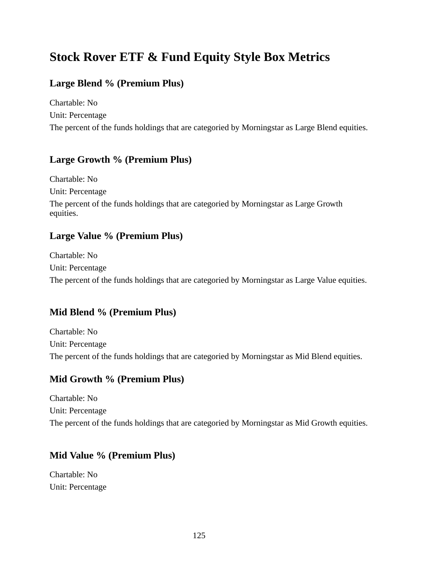# **Stock Rover ETF & Fund Equity Style Box Metrics**

# **Large Blend % (Premium Plus)**

Chartable: No Unit: Percentage The percent of the funds holdings that are categoried by Morningstar as Large Blend equities.

## **Large Growth % (Premium Plus)**

Chartable: No Unit: Percentage The percent of the funds holdings that are categoried by Morningstar as Large Growth equities.

## **Large Value % (Premium Plus)**

Chartable: No Unit: Percentage The percent of the funds holdings that are categoried by Morningstar as Large Value equities.

## **Mid Blend % (Premium Plus)**

Chartable: No Unit: Percentage The percent of the funds holdings that are categoried by Morningstar as Mid Blend equities.

## **Mid Growth % (Premium Plus)**

Chartable: No Unit: Percentage The percent of the funds holdings that are categoried by Morningstar as Mid Growth equities.

## **Mid Value % (Premium Plus)**

Chartable: No Unit: Percentage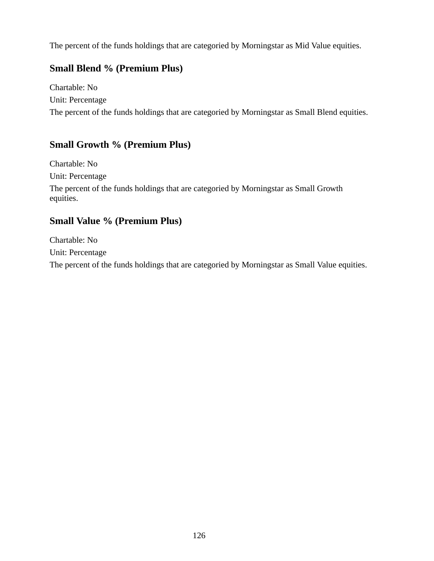The percent of the funds holdings that are categoried by Morningstar as Mid Value equities.

## **Small Blend % (Premium Plus)**

Chartable: No Unit: Percentage The percent of the funds holdings that are categoried by Morningstar as Small Blend equities.

# **Small Growth % (Premium Plus)**

Chartable: No Unit: Percentage The percent of the funds holdings that are categoried by Morningstar as Small Growth equities.

## **Small Value % (Premium Plus)**

Chartable: No Unit: Percentage The percent of the funds holdings that are categoried by Morningstar as Small Value equities.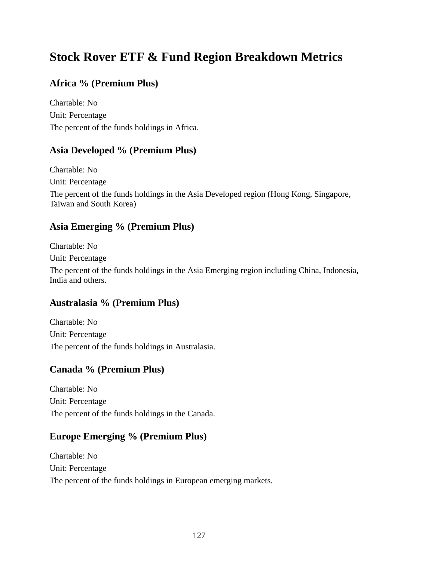# **Stock Rover ETF & Fund Region Breakdown Metrics**

## **Africa % (Premium Plus)**

Chartable: No Unit: Percentage The percent of the funds holdings in Africa.

#### **Asia Developed % (Premium Plus)**

Chartable: No Unit: Percentage The percent of the funds holdings in the Asia Developed region (Hong Kong, Singapore, Taiwan and South Korea)

#### **Asia Emerging % (Premium Plus)**

Chartable: No Unit: Percentage The percent of the funds holdings in the Asia Emerging region including China, Indonesia, India and others.

#### **Australasia % (Premium Plus)**

Chartable: No Unit: Percentage The percent of the funds holdings in Australasia.

## **Canada % (Premium Plus)**

Chartable: No Unit: Percentage The percent of the funds holdings in the Canada.

#### **Europe Emerging % (Premium Plus)**

Chartable: No Unit: Percentage The percent of the funds holdings in European emerging markets.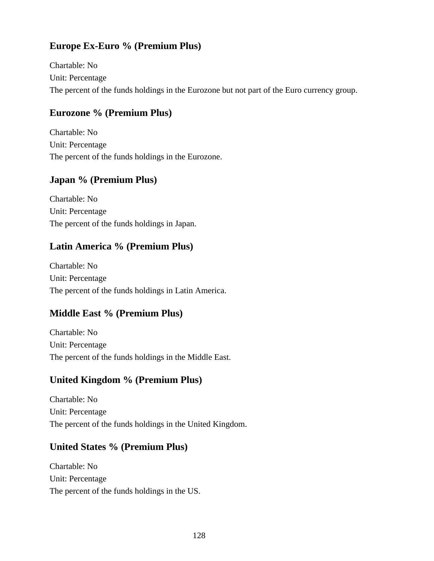## **Europe Ex-Euro % (Premium Plus)**

Chartable: No Unit: Percentage The percent of the funds holdings in the Eurozone but not part of the Euro currency group.

## **Eurozone % (Premium Plus)**

Chartable: No Unit: Percentage The percent of the funds holdings in the Eurozone.

## **Japan % (Premium Plus)**

Chartable: No Unit: Percentage The percent of the funds holdings in Japan.

## **Latin America % (Premium Plus)**

Chartable: No Unit: Percentage The percent of the funds holdings in Latin America.

## **Middle East % (Premium Plus)**

Chartable: No Unit: Percentage The percent of the funds holdings in the Middle East.

## **United Kingdom % (Premium Plus)**

Chartable: No Unit: Percentage The percent of the funds holdings in the United Kingdom.

## **United States % (Premium Plus)**

Chartable: No Unit: Percentage The percent of the funds holdings in the US.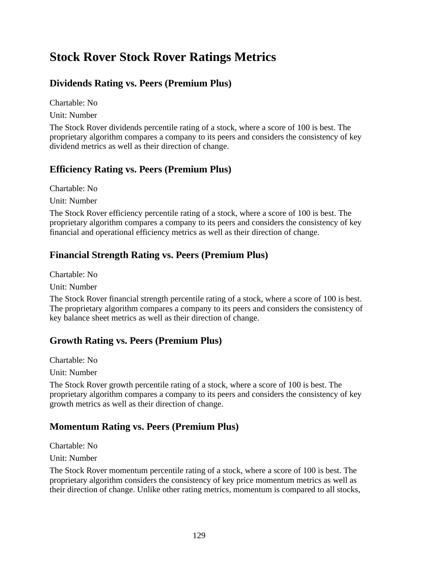# **Stock Rover Stock Rover Ratings Metrics**

# **Dividends Rating vs. Peers (Premium Plus)**

Chartable: No

Unit: Number

The Stock Rover dividends percentile rating of a stock, where a score of 100 is best. The proprietary algorithm compares a company to its peers and considers the consistency of key dividend metrics as well as their direction of change.

## **Efficiency Rating vs. Peers (Premium Plus)**

Chartable: No Unit: Number

The Stock Rover efficiency percentile rating of a stock, where a score of 100 is best. The proprietary algorithm compares a company to its peers and considers the consistency of key financial and operational efficiency metrics as well as their direction of change.

# **Financial Strength Rating vs. Peers (Premium Plus)**

Chartable: No

Unit: Number

The Stock Rover financial strength percentile rating of a stock, where a score of 100 is best. The proprietary algorithm compares a company to its peers and considers the consistency of key balance sheet metrics as well as their direction of change.

# **Growth Rating vs. Peers (Premium Plus)**

Chartable: No

Unit: Number

The Stock Rover growth percentile rating of a stock, where a score of 100 is best. The proprietary algorithm compares a company to its peers and considers the consistency of key growth metrics as well as their direction of change.

## **Momentum Rating vs. Peers (Premium Plus)**

Chartable: No

Unit: Number

The Stock Rover momentum percentile rating of a stock, where a score of 100 is best. The proprietary algorithm considers the consistency of key price momentum metrics as well as their direction of change. Unlike other rating metrics, momentum is compared to all stocks,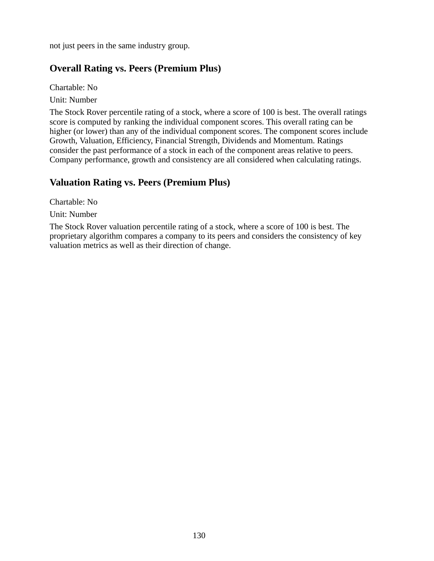not just peers in the same industry group.

## **Overall Rating vs. Peers (Premium Plus)**

Chartable: No

Unit: Number

The Stock Rover percentile rating of a stock, where a score of 100 is best. The overall ratings score is computed by ranking the individual component scores. This overall rating can be higher (or lower) than any of the individual component scores. The component scores include Growth, Valuation, Efficiency, Financial Strength, Dividends and Momentum. Ratings consider the past performance of a stock in each of the component areas relative to peers. Company performance, growth and consistency are all considered when calculating ratings.

## **Valuation Rating vs. Peers (Premium Plus)**

Chartable: No

Unit: Number

The Stock Rover valuation percentile rating of a stock, where a score of 100 is best. The proprietary algorithm compares a company to its peers and considers the consistency of key valuation metrics as well as their direction of change.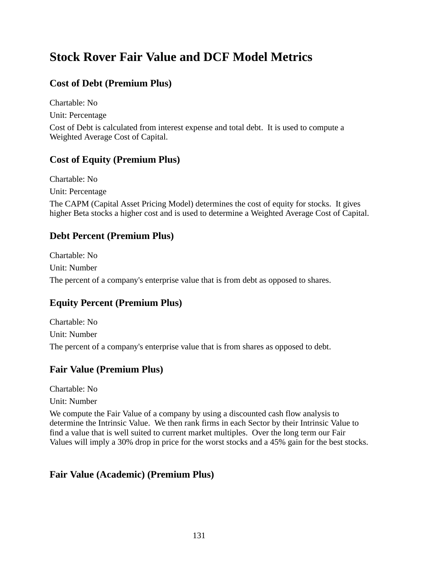# **Stock Rover Fair Value and DCF Model Metrics**

# **Cost of Debt (Premium Plus)**

Chartable: No

Unit: Percentage

Cost of Debt is calculated from interest expense and total debt. It is used to compute a Weighted Average Cost of Capital.

# **Cost of Equity (Premium Plus)**

Chartable: No

Unit: Percentage

The CAPM (Capital Asset Pricing Model) determines the cost of equity for stocks. It gives higher Beta stocks a higher cost and is used to determine a Weighted Average Cost of Capital.

# **Debt Percent (Premium Plus)**

Chartable: No Unit: Number The percent of a company's enterprise value that is from debt as opposed to shares.

# **Equity Percent (Premium Plus)**

Chartable: No Unit: Number The percent of a company's enterprise value that is from shares as opposed to debt.

# **Fair Value (Premium Plus)**

Chartable: No

Unit: Number

We compute the Fair Value of a company by using a discounted cash flow analysis to determine the Intrinsic Value. We then rank firms in each Sector by their Intrinsic Value to find a value that is well suited to current market multiples. Over the long term our Fair Values will imply a 30% drop in price for the worst stocks and a 45% gain for the best stocks.

# **Fair Value (Academic) (Premium Plus)**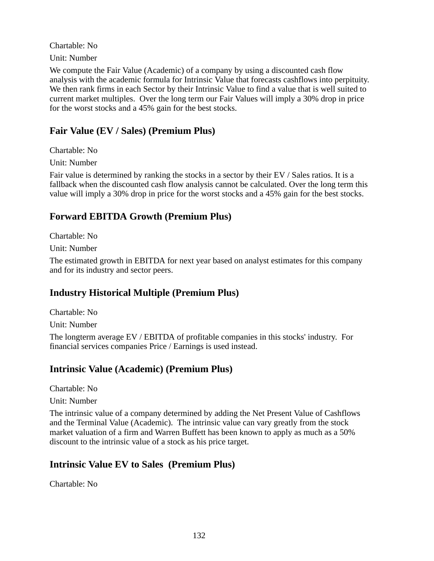Chartable: No

Unit: Number

We compute the Fair Value (Academic) of a company by using a discounted cash flow analysis with the academic formula for Intrinsic Value that forecasts cashflows into perpituity. We then rank firms in each Sector by their Intrinsic Value to find a value that is well suited to current market multiples. Over the long term our Fair Values will imply a 30% drop in price for the worst stocks and a 45% gain for the best stocks.

#### **Fair Value (EV / Sales) (Premium Plus)**

Chartable: No

Unit: Number

Fair value is determined by ranking the stocks in a sector by their EV / Sales ratios. It is a fallback when the discounted cash flow analysis cannot be calculated. Over the long term this value will imply a 30% drop in price for the worst stocks and a 45% gain for the best stocks.

## **Forward EBITDA Growth (Premium Plus)**

Chartable: No

Unit: Number

The estimated growth in EBITDA for next year based on analyst estimates for this company and for its industry and sector peers.

## **Industry Historical Multiple (Premium Plus)**

Chartable: No

Unit: Number

The longterm average EV / EBITDA of profitable companies in this stocks' industry. For financial services companies Price / Earnings is used instead.

## **Intrinsic Value (Academic) (Premium Plus)**

Chartable: No

Unit: Number

The intrinsic value of a company determined by adding the Net Present Value of Cashflows and the Terminal Value (Academic). The intrinsic value can vary greatly from the stock market valuation of a firm and Warren Buffett has been known to apply as much as a 50% discount to the intrinsic value of a stock as his price target.

## **Intrinsic Value EV to Sales (Premium Plus)**

Chartable: No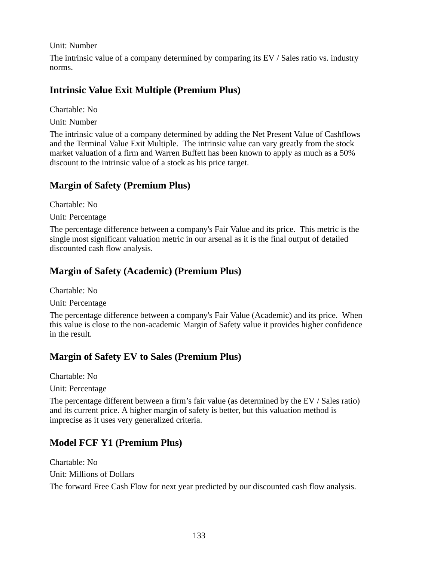Unit: Number

The intrinsic value of a company determined by comparing its EV / Sales ratio vs. industry norms.

## **Intrinsic Value Exit Multiple (Premium Plus)**

Chartable: No

Unit: Number

The intrinsic value of a company determined by adding the Net Present Value of Cashflows and the Terminal Value Exit Multiple. The intrinsic value can vary greatly from the stock market valuation of a firm and Warren Buffett has been known to apply as much as a 50% discount to the intrinsic value of a stock as his price target.

## **Margin of Safety (Premium Plus)**

Chartable: No

Unit: Percentage

The percentage difference between a company's Fair Value and its price. This metric is the single most significant valuation metric in our arsenal as it is the final output of detailed discounted cash flow analysis.

## **Margin of Safety (Academic) (Premium Plus)**

Chartable: No

Unit: Percentage

The percentage difference between a company's Fair Value (Academic) and its price. When this value is close to the non-academic Margin of Safety value it provides higher confidence in the result.

## **Margin of Safety EV to Sales (Premium Plus)**

Chartable: No

Unit: Percentage

The percentage different between a firm's fair value (as determined by the EV / Sales ratio) and its current price. A higher margin of safety is better, but this valuation method is imprecise as it uses very generalized criteria.

## **Model FCF Y1 (Premium Plus)**

Chartable: No Unit: Millions of Dollars The forward Free Cash Flow for next year predicted by our discounted cash flow analysis.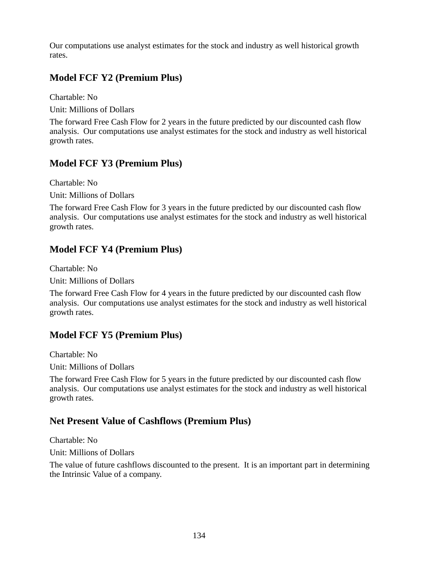Our computations use analyst estimates for the stock and industry as well historical growth rates.

## **Model FCF Y2 (Premium Plus)**

Chartable: No Unit: Millions of Dollars

The forward Free Cash Flow for 2 years in the future predicted by our discounted cash flow analysis. Our computations use analyst estimates for the stock and industry as well historical growth rates.

## **Model FCF Y3 (Premium Plus)**

Chartable: No Unit: Millions of Dollars

The forward Free Cash Flow for 3 years in the future predicted by our discounted cash flow analysis. Our computations use analyst estimates for the stock and industry as well historical growth rates.

## **Model FCF Y4 (Premium Plus)**

Chartable: No

Unit: Millions of Dollars

The forward Free Cash Flow for 4 years in the future predicted by our discounted cash flow analysis. Our computations use analyst estimates for the stock and industry as well historical growth rates.

## **Model FCF Y5 (Premium Plus)**

Chartable: No

Unit: Millions of Dollars

The forward Free Cash Flow for 5 years in the future predicted by our discounted cash flow analysis. Our computations use analyst estimates for the stock and industry as well historical growth rates.

## **Net Present Value of Cashflows (Premium Plus)**

Chartable: No

Unit: Millions of Dollars

The value of future cashflows discounted to the present. It is an important part in determining the Intrinsic Value of a company.